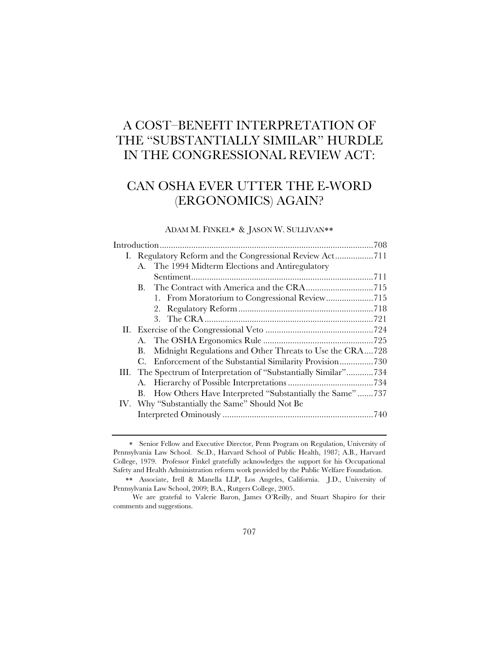# A COST–BENEFIT INTERPRETATION OF THE "SUBSTANTIALLY SIMILAR" HURDLE IN THE CONGRESSIONAL REVIEW ACT:

# CAN OSHA EVER UTTER THE E-WORD (ERGONOMICS) AGAIN?

# ADAM M. FINKEL\* & JASON W. SULLIVAN\*\*

|             | A. The 1994 Midterm Elections and Antiregulatory                  |  |
|-------------|-------------------------------------------------------------------|--|
|             |                                                                   |  |
| B.          |                                                                   |  |
|             |                                                                   |  |
|             |                                                                   |  |
|             |                                                                   |  |
|             |                                                                   |  |
|             |                                                                   |  |
| В.          | Midnight Regulations and Other Threats to Use the CRA728          |  |
| $C_{\cdot}$ | Enforcement of the Substantial Similarity Provision730            |  |
|             | III. The Spectrum of Interpretation of "Substantially Similar"734 |  |
| A.          |                                                                   |  |
| В.          | How Others Have Interpreted "Substantially the Same"737           |  |
|             | IV. Why "Substantially the Same" Should Not Be                    |  |
|             |                                                                   |  |
|             |                                                                   |  |

Senior Fellow and Executive Director, Penn Program on Regulation, University of Pennsylvania Law School. Sc.D., Harvard School of Public Health, 1987; A.B., Harvard College, 1979. Professor Finkel gratefully acknowledges the support for his Occupational Safety and Health Administration reform work provided by the Public Welfare Foundation.

Associate, Irell & Manella LLP, Los Angeles, California. J.D., University of Pennsylvania Law School, 2009; B.A., Rutgers College, 2005.

We are grateful to Valerie Baron, James O'Reilly, and Stuart Shapiro for their comments and suggestions.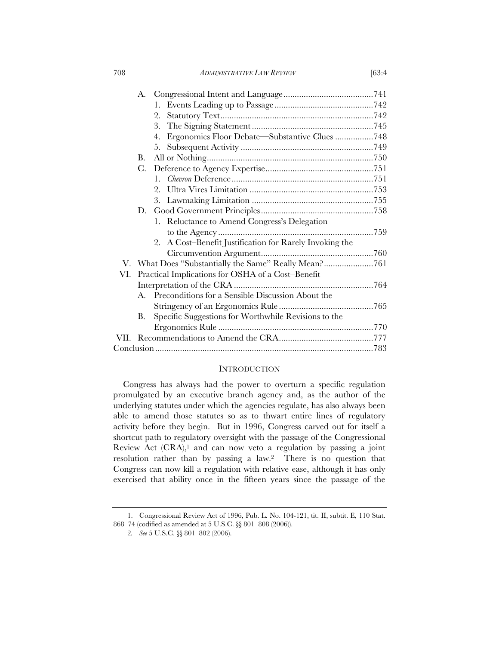708 *ADMINISTRATIVE LAW REVIEW* [63:4

|     |             | 2.                                                         |  |
|-----|-------------|------------------------------------------------------------|--|
|     |             | 3.                                                         |  |
|     |             | Ergonomics Floor Debate—Substantive Clues 748<br>4.        |  |
|     |             | 5.                                                         |  |
|     | В.          |                                                            |  |
|     | $C_{\cdot}$ |                                                            |  |
|     |             | $1_{-}$                                                    |  |
|     |             |                                                            |  |
|     |             |                                                            |  |
|     | D.          |                                                            |  |
|     |             | 1. Reluctance to Amend Congress's Delegation               |  |
|     |             |                                                            |  |
|     |             | A Cost-Benefit Justification for Rarely Invoking the<br>2. |  |
|     |             |                                                            |  |
|     |             | V. What Does "Substantially the Same" Really Mean?761      |  |
| VI. |             | Practical Implications for OSHA of a Cost-Benefit          |  |
|     |             |                                                            |  |
|     | $A_{\cdot}$ | Preconditions for a Sensible Discussion About the          |  |
|     |             |                                                            |  |
|     | Β.          | Specific Suggestions for Worthwhile Revisions to the       |  |
|     |             |                                                            |  |
|     |             |                                                            |  |
|     |             |                                                            |  |
|     |             |                                                            |  |

## **INTRODUCTION**

Congress has always had the power to overturn a specific regulation promulgated by an executive branch agency and, as the author of the underlying statutes under which the agencies regulate, has also always been able to amend those statutes so as to thwart entire lines of regulatory activity before they begin. But in 1996, Congress carved out for itself a shortcut path to regulatory oversight with the passage of the Congressional Review Act  $(CRA)$ ,<sup>1</sup> and can now veto a regulation by passing a joint resolution rather than by passing a law.2 There is no question that Congress can now kill a regulation with relative ease, although it has only exercised that ability once in the fifteen years since the passage of the

<sup>1.</sup> Congressional Review Act of 1996, Pub. L. No. 104-121, tit. II, subtit. E, 110 Stat. 868–74 (codified as amended at 5 U.S.C. §§ 801–808 (2006)).

<sup>2</sup>*. See* 5 U.S.C. §§ 801–802 (2006).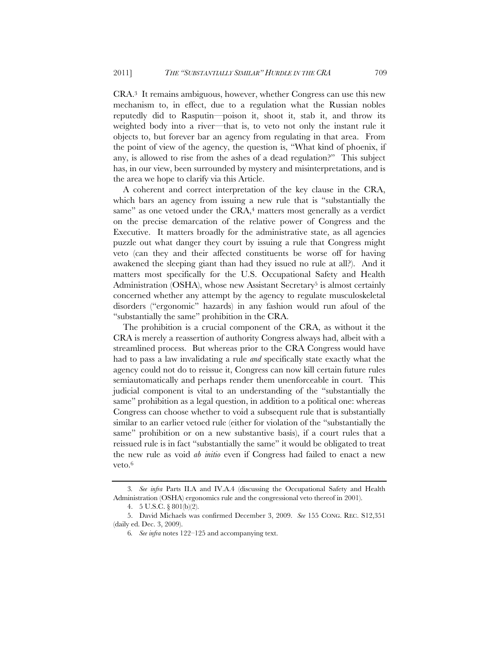CRA.3 It remains ambiguous, however, whether Congress can use this new mechanism to, in effect, due to a regulation what the Russian nobles reputedly did to Rasputin—poison it, shoot it, stab it, and throw its weighted body into a river—that is, to veto not only the instant rule it objects to, but forever bar an agency from regulating in that area. From the point of view of the agency, the question is, "What kind of phoenix, if any, is allowed to rise from the ashes of a dead regulation?" This subject has, in our view, been surrounded by mystery and misinterpretations, and is the area we hope to clarify via this Article.

A coherent and correct interpretation of the key clause in the CRA, which bars an agency from issuing a new rule that is "substantially the same" as one vetoed under the CRA,<sup>4</sup> matters most generally as a verdict on the precise demarcation of the relative power of Congress and the Executive. It matters broadly for the administrative state, as all agencies puzzle out what danger they court by issuing a rule that Congress might veto (can they and their affected constituents be worse off for having awakened the sleeping giant than had they issued no rule at all?). And it matters most specifically for the U.S. Occupational Safety and Health Administration (OSHA), whose new Assistant Secretary<sup>5</sup> is almost certainly concerned whether any attempt by the agency to regulate musculoskeletal disorders ("ergonomic" hazards) in any fashion would run afoul of the "substantially the same" prohibition in the CRA.

The prohibition is a crucial component of the CRA, as without it the CRA is merely a reassertion of authority Congress always had, albeit with a streamlined process. But whereas prior to the CRA Congress would have had to pass a law invalidating a rule *and* specifically state exactly what the agency could not do to reissue it, Congress can now kill certain future rules semiautomatically and perhaps render them unenforceable in court. This judicial component is vital to an understanding of the "substantially the same" prohibition as a legal question, in addition to a political one: whereas Congress can choose whether to void a subsequent rule that is substantially similar to an earlier vetoed rule (either for violation of the "substantially the same" prohibition or on a new substantive basis), if a court rules that a reissued rule is in fact "substantially the same" it would be obligated to treat the new rule as void *ab initio* even if Congress had failed to enact a new veto.6

<sup>3</sup>*. See infra* Parts II.A and IV.A.4 (discussing the Occupational Safety and Health Administration (OSHA) ergonomics rule and the congressional veto thereof in 2001).

<sup>4. 5</sup> U.S.C. § 801(b)(2).

<sup>5.</sup> David Michaels was confirmed December 3, 2009. *See* 155 CONG. REC. S12,351 (daily ed. Dec. 3, 2009).

<sup>6</sup>*. See infra* notes 122–125 and accompanying text.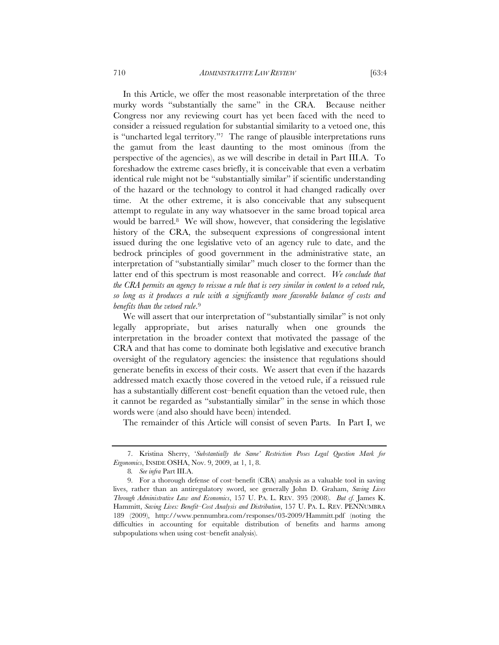In this Article, we offer the most reasonable interpretation of the three murky words "substantially the same" in the CRA. Because neither Congress nor any reviewing court has yet been faced with the need to consider a reissued regulation for substantial similarity to a vetoed one, this is "uncharted legal territory."7 The range of plausible interpretations runs the gamut from the least daunting to the most ominous (from the perspective of the agencies), as we will describe in detail in Part III.A. To foreshadow the extreme cases briefly, it is conceivable that even a verbatim identical rule might not be "substantially similar" if scientific understanding of the hazard or the technology to control it had changed radically over time. At the other extreme, it is also conceivable that any subsequent attempt to regulate in any way whatsoever in the same broad topical area would be barred.8 We will show, however, that considering the legislative history of the CRA, the subsequent expressions of congressional intent issued during the one legislative veto of an agency rule to date, and the bedrock principles of good government in the administrative state, an interpretation of "substantially similar" much closer to the former than the latter end of this spectrum is most reasonable and correct. *We conclude that the CRA permits an agency to reissue a rule that is very similar in content to a vetoed rule, so long as it produces a rule with a significantly more favorable balance of costs and benefits than the vetoed rule*.9

We will assert that our interpretation of "substantially similar" is not only legally appropriate, but arises naturally when one grounds the interpretation in the broader context that motivated the passage of the CRA and that has come to dominate both legislative and executive branch oversight of the regulatory agencies: the insistence that regulations should generate benefits in excess of their costs. We assert that even if the hazards addressed match exactly those covered in the vetoed rule, if a reissued rule has a substantially different cost–benefit equation than the vetoed rule, then it cannot be regarded as "substantially similar" in the sense in which those words were (and also should have been) intended.

The remainder of this Article will consist of seven Parts. In Part I, we

<sup>7.</sup> Kristina Sherry, '*Substantially the Same' Restriction Poses Legal Question Mark for Ergonomics*, INSIDE OSHA, Nov. 9, 2009, at 1, 1, 8.

<sup>8</sup>*. See infra* Part III.A.

<sup>9.</sup> For a thorough defense of cost–benefit (CBA) analysis as a valuable tool in saving lives, rather than an antiregulatory sword, see generally John D. Graham, *Saving Lives Through Administrative Law and Economics*, 157 U. PA. L. REV. 395 (2008). *But cf.* James K. Hammitt, *Saving Lives: Benefit–Cost Analysis and Distribution*, 157 U. PA. L. REV. PENNUMBRA 189 (2009), http://www.pennumbra.com/responses/03-2009/Hammitt.pdf (noting the difficulties in accounting for equitable distribution of benefits and harms among subpopulations when using cost–benefit analysis).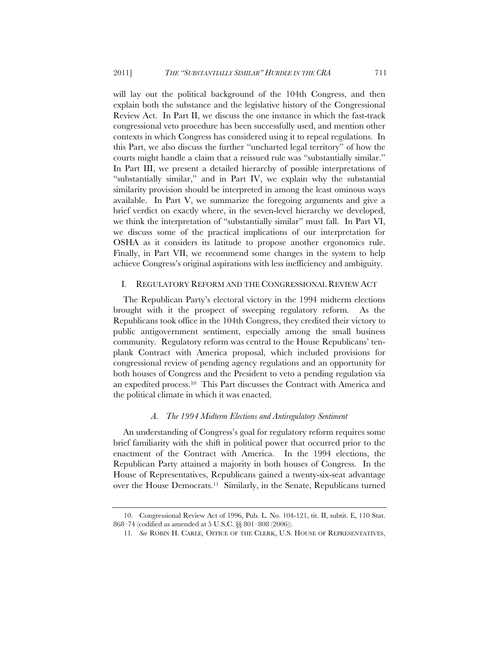will lay out the political background of the 104th Congress, and then explain both the substance and the legislative history of the Congressional Review Act. In Part II, we discuss the one instance in which the fast-track congressional veto procedure has been successfully used, and mention other contexts in which Congress has considered using it to repeal regulations. In this Part, we also discuss the further "uncharted legal territory" of how the courts might handle a claim that a reissued rule was "substantially similar." In Part III, we present a detailed hierarchy of possible interpretations of "substantially similar," and in Part IV, we explain why the substantial similarity provision should be interpreted in among the least ominous ways available. In Part V, we summarize the foregoing arguments and give a brief verdict on exactly where, in the seven-level hierarchy we developed, we think the interpretation of "substantially similar" must fall. In Part VI, we discuss some of the practical implications of our interpretation for OSHA as it considers its latitude to propose another ergonomics rule. Finally, in Part VII, we recommend some changes in the system to help achieve Congress's original aspirations with less inefficiency and ambiguity.

## I. REGULATORY REFORM AND THE CONGRESSIONAL REVIEW ACT

The Republican Party's electoral victory in the 1994 midterm elections brought with it the prospect of sweeping regulatory reform. As the Republicans took office in the 104th Congress, they credited their victory to public antigovernment sentiment, especially among the small business community. Regulatory reform was central to the House Republicans' tenplank Contract with America proposal, which included provisions for congressional review of pending agency regulations and an opportunity for both houses of Congress and the President to veto a pending regulation via an expedited process.10 This Part discusses the Contract with America and the political climate in which it was enacted.

## *A. The 1994 Midterm Elections and Antiregulatory Sentiment*

An understanding of Congress's goal for regulatory reform requires some brief familiarity with the shift in political power that occurred prior to the enactment of the Contract with America. In the 1994 elections, the Republican Party attained a majority in both houses of Congress. In the House of Representatives, Republicans gained a twenty-six-seat advantage over the House Democrats.11 Similarly, in the Senate, Republicans turned

<sup>10.</sup> Congressional Review Act of 1996, Pub. L. No. 104-121, tit. II, subtit. E, 110 Stat. 868–74 (codified as amended at 5 U.S.C. §§ 801–808 (2006)).

<sup>11</sup>*. See* ROBIN H. CARLE, OFFICE OF THE CLERK, U.S. HOUSE OF REPRESENTATIVES,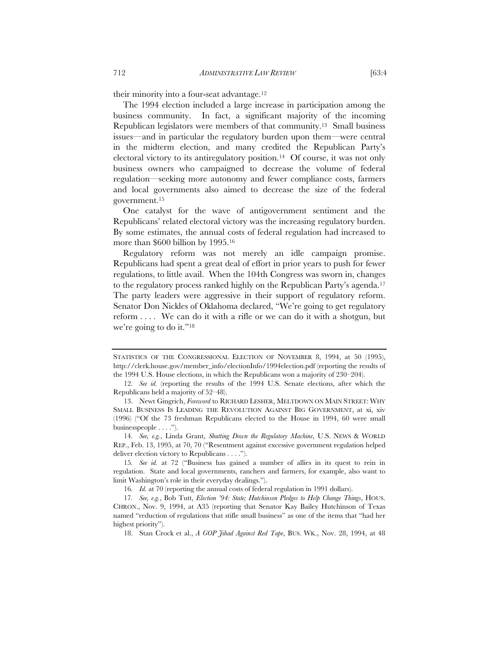their minority into a four-seat advantage.12

The 1994 election included a large increase in participation among the business community. In fact, a significant majority of the incoming Republican legislators were members of that community.13 Small business issues—and in particular the regulatory burden upon them—were central in the midterm election, and many credited the Republican Party's electoral victory to its antiregulatory position.<sup>14</sup> Of course, it was not only business owners who campaigned to decrease the volume of federal regulation—seeking more autonomy and fewer compliance costs, farmers and local governments also aimed to decrease the size of the federal government.15

One catalyst for the wave of antigovernment sentiment and the Republicans' related electoral victory was the increasing regulatory burden. By some estimates, the annual costs of federal regulation had increased to more than \$600 billion by 1995.16

Regulatory reform was not merely an idle campaign promise. Republicans had spent a great deal of effort in prior years to push for fewer regulations, to little avail. When the 104th Congress was sworn in, changes to the regulatory process ranked highly on the Republican Party's agenda.17 The party leaders were aggressive in their support of regulatory reform. Senator Don Nickles of Oklahoma declared, "We're going to get regulatory reform . . . . We can do it with a rifle or we can do it with a shotgun, but we're going to do it."18

STATISTICS OF THE CONGRESSIONAL ELECTION OF NOVEMBER 8, 1994, at 50 (1995), http://clerk.house.gov/member\_info/electionInfo/1994election.pdf (reporting the results of the 1994 U.S. House elections, in which the Republicans won a majority of 230–204).

<sup>12</sup>*. See id.* (reporting the results of the 1994 U.S. Senate elections, after which the Republicans held a majority of 52–48).

<sup>13.</sup> Newt Gingrich, *Foreword* to RICHARD LESHER, MELTDOWN ON MAIN STREET: WHY SMALL BUSINESS IS LEADING THE REVOLUTION AGAINST BIG GOVERNMENT, at xi, xiv (1996) ("Of the 73 freshman Republicans elected to the House in 1994, 60 were small businesspeople . . . .").

<sup>14</sup>*. See, e.g.*, Linda Grant, *Shutting Down the Regulatory Machine*, U.S. NEWS & WORLD REP., Feb. 13, 1995, at 70, 70 ("Resentment against excessive government regulation helped deliver election victory to Republicans . . . .").

<sup>15</sup>*. See id.* at 72 ("Business has gained a number of allies in its quest to rein in regulation. State and local governments, ranchers and farmers, for example, also want to limit Washington's role in their everyday dealings.").

<sup>16</sup>*. Id.* at 70 (reporting the annual costs of federal regulation in 1991 dollars).

<sup>17</sup>*. See, e.g.*, Bob Tutt, *Election '94: State; Hutchinson Pledges to Help Change Things*, HOUS. CHRON., Nov. 9, 1994, at A35 (reporting that Senator Kay Bailey Hutchinson of Texas named "reduction of regulations that stifle small business" as one of the items that "had her highest priority").

<sup>18.</sup> Stan Crock et al., *A GOP Jihad Against Red Tape*, BUS. WK., Nov. 28, 1994, at 48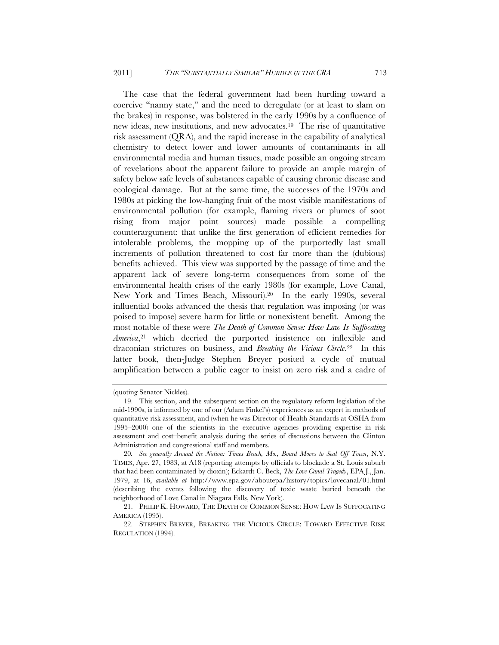The case that the federal government had been hurtling toward a coercive "nanny state," and the need to deregulate (or at least to slam on the brakes) in response, was bolstered in the early 1990s by a confluence of new ideas, new institutions, and new advocates.19 The rise of quantitative risk assessment (QRA), and the rapid increase in the capability of analytical chemistry to detect lower and lower amounts of contaminants in all environmental media and human tissues, made possible an ongoing stream of revelations about the apparent failure to provide an ample margin of safety below safe levels of substances capable of causing chronic disease and ecological damage. But at the same time, the successes of the 1970s and 1980s at picking the low-hanging fruit of the most visible manifestations of environmental pollution (for example, flaming rivers or plumes of soot rising from major point sources) made possible a compelling counterargument: that unlike the first generation of efficient remedies for intolerable problems, the mopping up of the purportedly last small increments of pollution threatened to cost far more than the (dubious) benefits achieved. This view was supported by the passage of time and the apparent lack of severe long-term consequences from some of the environmental health crises of the early 1980s (for example, Love Canal, New York and Times Beach, Missouri).20 In the early 1990s, several influential books advanced the thesis that regulation was imposing (or was poised to impose) severe harm for little or nonexistent benefit. Among the most notable of these were *The Death of Common Sense: How Law Is Suffocating America*,<sup>21</sup> which decried the purported insistence on inflexible and draconian strictures on business, and *Breaking the Vicious Circle*.22 In this latter book, then-Judge Stephen Breyer posited a cycle of mutual amplification between a public eager to insist on zero risk and a cadre of

<sup>(</sup>quoting Senator Nickles).

<sup>19.</sup> This section, and the subsequent section on the regulatory reform legislation of the mid-1990s, is informed by one of our (Adam Finkel's) experiences as an expert in methods of quantitative risk assessment, and (when he was Director of Health Standards at OSHA from 1995–2000) one of the scientists in the executive agencies providing expertise in risk assessment and cost–benefit analysis during the series of discussions between the Clinton Administration and congressional staff and members.

<sup>20</sup>*. See generally Around the Nation: Times Beach, Mo., Board Moves to Seal Off Town*, N.Y. TIMES, Apr. 27, 1983, at A18 (reporting attempts by officials to blockade a St. Louis suburb that had been contaminated by dioxin); Eckardt C. Beck, *The Love Canal Tragedy*, EPA J., Jan. 1979, at 16, *available at* http://www.epa.gov/aboutepa/history/topics/lovecanal/01.html (describing the events following the discovery of toxic waste buried beneath the neighborhood of Love Canal in Niagara Falls, New York).

<sup>21.</sup> PHILIP K. HOWARD, THE DEATH OF COMMON SENSE: HOW LAW IS SUFFOCATING AMERICA (1995).

<sup>22.</sup> STEPHEN BREYER, BREAKING THE VICIOUS CIRCLE: TOWARD EFFECTIVE RISK REGULATION (1994).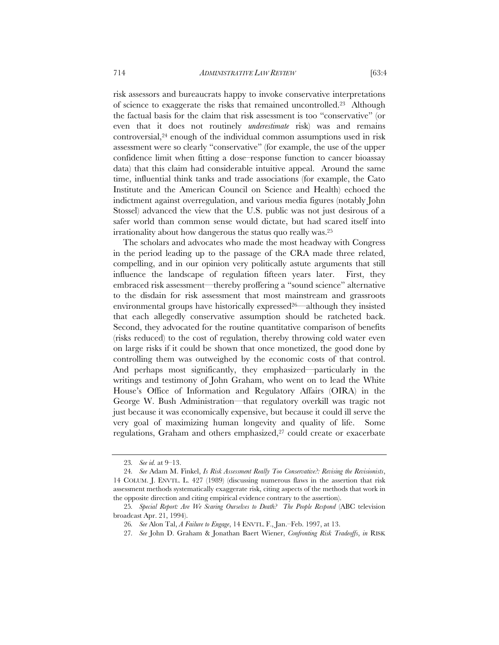risk assessors and bureaucrats happy to invoke conservative interpretations of science to exaggerate the risks that remained uncontrolled.23 Although the factual basis for the claim that risk assessment is too "conservative" (or even that it does not routinely *underestimate* risk) was and remains controversial,24 enough of the individual common assumptions used in risk assessment were so clearly "conservative" (for example, the use of the upper confidence limit when fitting a dose–response function to cancer bioassay data) that this claim had considerable intuitive appeal. Around the same time, influential think tanks and trade associations (for example, the Cato Institute and the American Council on Science and Health) echoed the indictment against overregulation, and various media figures (notably John Stossel) advanced the view that the U.S. public was not just desirous of a safer world than common sense would dictate, but had scared itself into irrationality about how dangerous the status quo really was.25

The scholars and advocates who made the most headway with Congress in the period leading up to the passage of the CRA made three related, compelling, and in our opinion very politically astute arguments that still influence the landscape of regulation fifteen years later. First, they embraced risk assessment—thereby proffering a "sound science" alternative to the disdain for risk assessment that most mainstream and grassroots environmental groups have historically expressed<sup>26</sup>—although they insisted that each allegedly conservative assumption should be ratcheted back. Second, they advocated for the routine quantitative comparison of benefits (risks reduced) to the cost of regulation, thereby throwing cold water even on large risks if it could be shown that once monetized, the good done by controlling them was outweighed by the economic costs of that control. And perhaps most significantly, they emphasized—particularly in the writings and testimony of John Graham, who went on to lead the White House's Office of Information and Regulatory Affairs (OIRA) in the George W. Bush Administration—that regulatory overkill was tragic not just because it was economically expensive, but because it could ill serve the very goal of maximizing human longevity and quality of life. Some regulations, Graham and others emphasized,<sup>27</sup> could create or exacerbate

<sup>23</sup>*. See id.* at 9–13.

<sup>24</sup>*. See* Adam M. Finkel, *Is Risk Assessment Really Too Conservative?: Revising the Revisionists*, 14 COLUM. J. ENVTL. L. 427 (1989) (discussing numerous flaws in the assertion that risk assessment methods systematically exaggerate risk, citing aspects of the methods that work in the opposite direction and citing empirical evidence contrary to the assertion).

<sup>25</sup>*. Special Report: Are We Scaring Ourselves to Death? The People Respond* (ABC television broadcast Apr. 21, 1994).

<sup>26</sup>*. See* Alon Tal, *A Failure to Engage*, 14 ENVTL. F., Jan.–Feb. 1997, at 13.

<sup>27</sup>*. See* John D. Graham & Jonathan Baert Wiener, *Confronting Risk Tradeoffs*, *in* RISK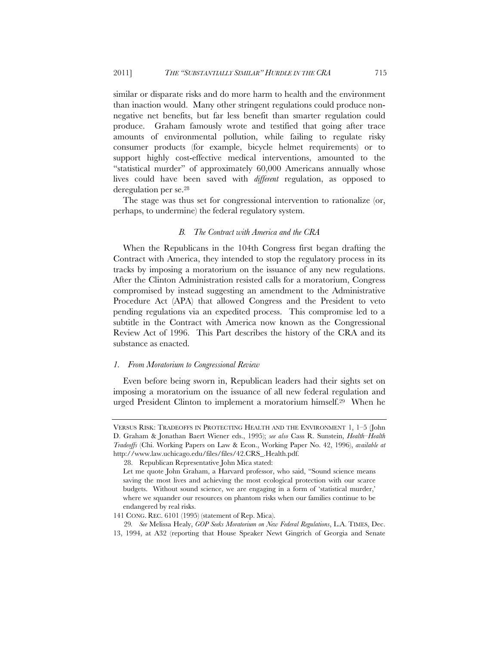similar or disparate risks and do more harm to health and the environment than inaction would. Many other stringent regulations could produce nonnegative net benefits, but far less benefit than smarter regulation could produce. Graham famously wrote and testified that going after trace amounts of environmental pollution, while failing to regulate risky consumer products (for example, bicycle helmet requirements) or to support highly cost-effective medical interventions, amounted to the "statistical murder" of approximately 60,000 Americans annually whose lives could have been saved with *different* regulation, as opposed to deregulation per se.28

The stage was thus set for congressional intervention to rationalize (or, perhaps, to undermine) the federal regulatory system.

#### *B. The Contract with America and the CRA*

When the Republicans in the 104th Congress first began drafting the Contract with America, they intended to stop the regulatory process in its tracks by imposing a moratorium on the issuance of any new regulations. After the Clinton Administration resisted calls for a moratorium, Congress compromised by instead suggesting an amendment to the Administrative Procedure Act (APA) that allowed Congress and the President to veto pending regulations via an expedited process. This compromise led to a subtitle in the Contract with America now known as the Congressional Review Act of 1996. This Part describes the history of the CRA and its substance as enacted.

## *1. From Moratorium to Congressional Review*

Even before being sworn in, Republican leaders had their sights set on imposing a moratorium on the issuance of all new federal regulation and urged President Clinton to implement a moratorium himself.29 When he

VERSUS RISK: TRADEOFFS IN PROTECTING HEALTH AND THE ENVIRONMENT 1, 1–5 (John D. Graham & Jonathan Baert Wiener eds., 1995); *see also* Cass R. Sunstein, *Health–Health Tradeoffs* (Chi. Working Papers on Law & Econ., Working Paper No. 42, 1996), *available at* http://www.law.uchicago.edu/files/files/42.CRS\_.Health.pdf.

<sup>28.</sup> Republican Representative John Mica stated:

Let me quote John Graham, a Harvard professor, who said, "Sound science means saving the most lives and achieving the most ecological protection with our scarce budgets. Without sound science, we are engaging in a form of 'statistical murder,' where we squander our resources on phantom risks when our families continue to be endangered by real risks.

<sup>141</sup> CONG. REC. 6101 (1995) (statement of Rep. Mica).

<sup>29</sup>*. See* Melissa Healy, *GOP Seeks Moratorium on New Federal Regulations*, L.A. TIMES, Dec. 13, 1994, at A32 (reporting that House Speaker Newt Gingrich of Georgia and Senate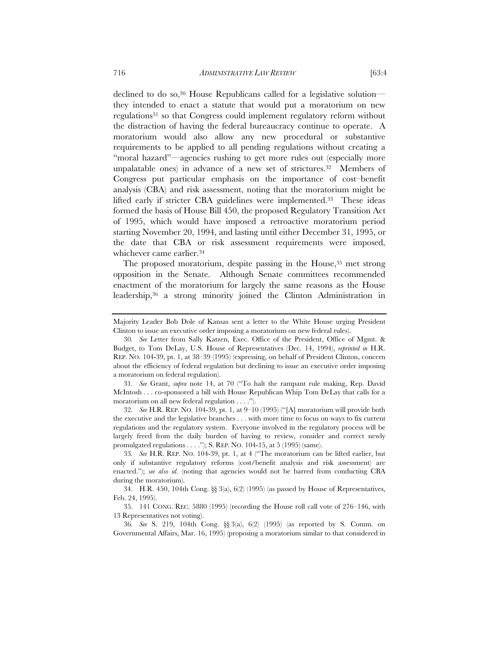declined to do so,30 House Republicans called for a legislative solution they intended to enact a statute that would put a moratorium on new regulations31 so that Congress could implement regulatory reform without the distraction of having the federal bureaucracy continue to operate. A moratorium would also allow any new procedural or substantive requirements to be applied to all pending regulations without creating a "moral hazard"—agencies rushing to get more rules out (especially more unpalatable ones) in advance of a new set of strictures.<sup>32</sup> Members of Congress put particular emphasis on the importance of cost–benefit analysis (CBA) and risk assessment, noting that the moratorium might be lifted early if stricter CBA guidelines were implemented.33 These ideas formed the basis of House Bill 450, the proposed Regulatory Transition Act of 1995, which would have imposed a retroactive moratorium period starting November 20, 1994, and lasting until either December 31, 1995, or the date that CBA or risk assessment requirements were imposed,

The proposed moratorium, despite passing in the House,<sup>35</sup> met strong opposition in the Senate. Although Senate committees recommended enactment of the moratorium for largely the same reasons as the House leadership,36 a strong minority joined the Clinton Administration in

31*. See* Grant, *supra* note 14, at 70 ("To halt the rampant rule making, Rep. David McIntosh . . . co-sponsored a bill with House Republican Whip Tom DeLay that calls for a moratorium on all new federal regulation . . . .").

32*. See* H.R. REP. NO. 104-39, pt. 1, at 9–10 (1995) ("[A] moratorium will provide both the executive and the legislative branches . . . with more time to focus on ways to fix current regulations and the regulatory system. Everyone involved in the regulatory process will be largely freed from the daily burden of having to review, consider and correct newly promulgated regulations  $\dots$ ."); S. REP. NO. 104-15, at 5 (1995) (same).

whichever came earlier.34

Majority Leader Bob Dole of Kansas sent a letter to the White House urging President Clinton to issue an executive order imposing a moratorium on new federal rules).

<sup>30</sup>*. See* Letter from Sally Katzen, Exec. Office of the President, Office of Mgmt. & Budget, to Tom DeLay, U.S. House of Representatives (Dec. 14, 1994), *reprinted in* H.R. REP. NO. 104-39, pt. 1, at 38–39 (1995) (expressing, on behalf of President Clinton, concern about the efficiency of federal regulation but declining to issue an executive order imposing a moratorium on federal regulation).

<sup>33</sup>*. See* H.R. REP. NO. 104-39, pt. 1, at 4 ("The moratorium can be lifted earlier, but only if substantive regulatory reforms (cost/benefit analysis and risk assessment) are enacted."); *see also id.* (noting that agencies would not be barred from conducting CBA during the moratorium).

<sup>34.</sup> H.R. 450, 104th Cong. §§ 3(a), 6(2) (1995) (as passed by House of Representatives, Feb. 24, 1995).

<sup>35. 141</sup> CONG. REC. 5880 (1995) (recording the House roll call vote of 276–146, with 13 Representatives not voting).

<sup>36</sup>*. See* S. 219, 104th Cong. §§ 3(a), 6(2) (1995) (as reported by S. Comm. on Governmental Affairs, Mar. 16, 1995) (proposing a moratorium similar to that considered in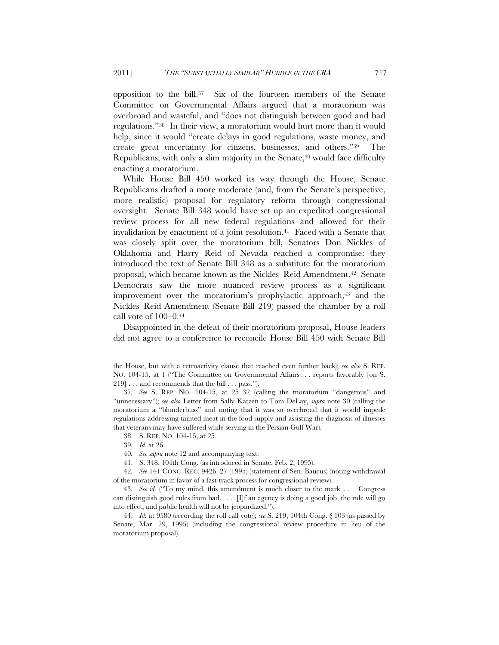opposition to the bill.37 Six of the fourteen members of the Senate Committee on Governmental Affairs argued that a moratorium was overbroad and wasteful, and "does not distinguish between good and bad regulations."38 In their view, a moratorium would hurt more than it would help, since it would "create delays in good regulations, waste money, and create great uncertainty for citizens, businesses, and others."39 The Republicans, with only a slim majority in the Senate, $40$  would face difficulty enacting a moratorium.

While House Bill 450 worked its way through the House, Senate Republicans drafted a more moderate (and, from the Senate's perspective, more realistic) proposal for regulatory reform through congressional oversight. Senate Bill 348 would have set up an expedited congressional review process for all new federal regulations and allowed for their invalidation by enactment of a joint resolution.<sup>41</sup> Faced with a Senate that was closely split over the moratorium bill, Senators Don Nickles of Oklahoma and Harry Reid of Nevada reached a compromise: they introduced the text of Senate Bill 348 as a substitute for the moratorium proposal, which became known as the Nickles–Reid Amendment.42 Senate Democrats saw the more nuanced review process as a significant improvement over the moratorium's prophylactic approach,<sup>43</sup> and the Nickles–Reid Amendment (Senate Bill 219) passed the chamber by a roll call vote of 100–0.44

Disappointed in the defeat of their moratorium proposal, House leaders did not agree to a conference to reconcile House Bill 450 with Senate Bill

the House, but with a retroactivity clause that reached even further back); *see also* S. REP. NO. 104-15, at 1 ("The Committee on Governmental Affairs . . . reports favorably [on S. 219] . . . and recommends that the bill . . . pass.").

<sup>37</sup>*. See* S. REP. NO. 104-15, at 25–32 (calling the moratorium "dangerous" and "unnecessary"); *see also* Letter from Sally Katzen to Tom DeLay, *supra* note 30 (calling the moratorium a "blunderbuss" and noting that it was so overbroad that it would impede regulations addressing tainted meat in the food supply and assisting the diagnosis of illnesses that veterans may have suffered while serving in the Persian Gulf War).

<sup>38.</sup> S. REP. NO. 104-15, at 25.

<sup>39</sup>*. Id.* at 26.

<sup>40</sup>*. See supra* note 12 and accompanying text.

<sup>41.</sup> S. 348, 104th Cong. (as introduced in Senate, Feb. 2, 1995).

<sup>42</sup>*. See* 141 CONG. REC. 9426–27 (1995) (statement of Sen. Baucus) (noting withdrawal of the moratorium in favor of a fast-track process for congressional review).

<sup>43</sup>*. See id.* ("To my mind, this amendment is much closer to the mark. . . . Congress can distinguish good rules from bad.  $\ldots$  [I]f an agency is doing a good job, the rule will go into effect, and public health will not be jeopardized.").

<sup>44.</sup> *Id.* at 9580 (recording the roll call vote); *see* S. 219, 104th Cong. § 103 (as passed by Senate, Mar. 29, 1995) (including the congressional review procedure in lieu of the moratorium proposal).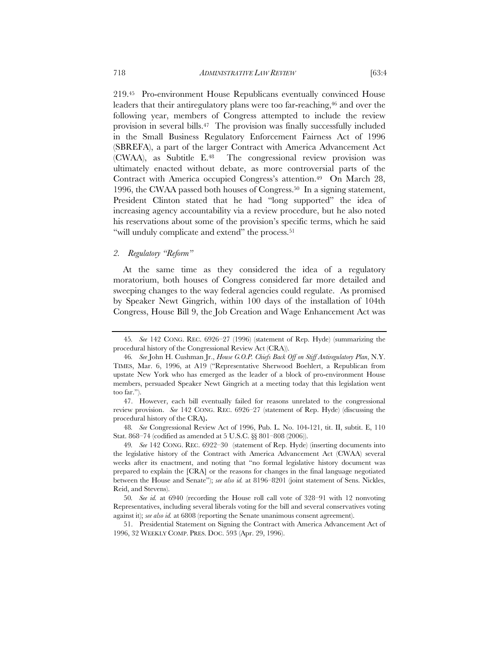219.45 Pro-environment House Republicans eventually convinced House leaders that their antiregulatory plans were too far-reaching,<sup>46</sup> and over the following year, members of Congress attempted to include the review provision in several bills.47 The provision was finally successfully included in the Small Business Regulatory Enforcement Fairness Act of 1996 (SBREFA), a part of the larger Contract with America Advancement Act (CWAA), as Subtitle E.48 The congressional review provision was ultimately enacted without debate, as more controversial parts of the Contract with America occupied Congress's attention.49 On March 28, 1996, the CWAA passed both houses of Congress.50 In a signing statement, President Clinton stated that he had "long supported" the idea of increasing agency accountability via a review procedure, but he also noted his reservations about some of the provision's specific terms, which he said "will unduly complicate and extend" the process.<sup>51</sup>

#### *2. Regulatory "Reform"*

At the same time as they considered the idea of a regulatory moratorium, both houses of Congress considered far more detailed and sweeping changes to the way federal agencies could regulate. As promised by Speaker Newt Gingrich, within 100 days of the installation of 104th Congress, House Bill 9, the Job Creation and Wage Enhancement Act was

48*. See* Congressional Review Act of 1996, Pub. L. No. 104-121, tit. II, subtit. E, 110 Stat. 868–74 (codified as amended at 5 U.S.C. §§ 801–808 (2006)).

<sup>45</sup>*. See* 142 CONG. REC. 6926–27 (1996) (statement of Rep. Hyde) (summarizing the procedural history of the Congressional Review Act (CRA)).

<sup>46</sup>*. See* John H. Cushman Jr., *House G.O.P. Chiefs Back Off on Stiff Antiregulatory Plan*, N.Y. TIMES, Mar. 6, 1996, at A19 ("Representative Sherwood Boehlert, a Republican from upstate New York who has emerged as the leader of a block of pro-environment House members, persuaded Speaker Newt Gingrich at a meeting today that this legislation went too far.").

<sup>47.</sup> However, each bill eventually failed for reasons unrelated to the congressional review provision. *See* 142 CONG. REC. 6926–27 (statement of Rep. Hyde) (discussing the procedural history of the CRA**).** 

<sup>49</sup>*. See* 142 CONG. REC. 6922–30 (statement of Rep. Hyde) (inserting documents into the legislative history of the Contract with America Advancement Act (CWAA) several weeks after its enactment, and noting that "no formal legislative history document was prepared to explain the [CRA] or the reasons for changes in the final language negotiated between the House and Senate"); *see also id.* at 8196–8201 (joint statement of Sens. Nickles, Reid, and Stevens).

<sup>50</sup>*. See id.* at 6940 (recording the House roll call vote of 328–91 with 12 nonvoting Representatives, including several liberals voting for the bill and several conservatives voting against it); *see also id.* at 6808 (reporting the Senate unanimous consent agreement).

<sup>51.</sup> Presidential Statement on Signing the Contract with America Advancement Act of 1996, 32 WEEKLY COMP. PRES. DOC. 593 (Apr. 29, 1996).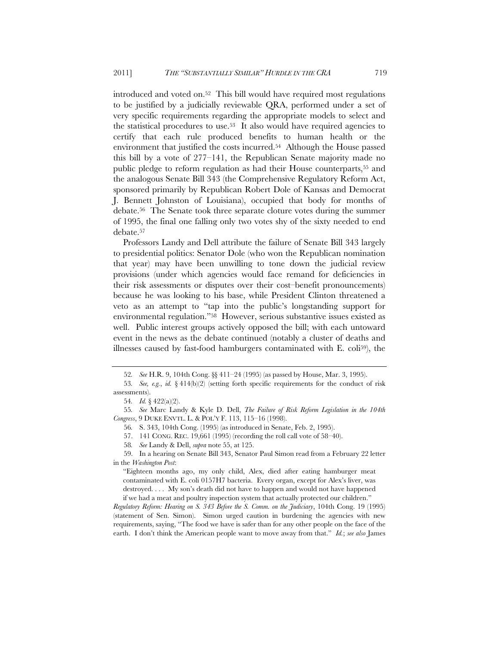introduced and voted on.52 This bill would have required most regulations to be justified by a judicially reviewable QRA, performed under a set of very specific requirements regarding the appropriate models to select and the statistical procedures to use.<sup>53</sup> It also would have required agencies to certify that each rule produced benefits to human health or the environment that justified the costs incurred.54 Although the House passed this bill by a vote of 277–141, the Republican Senate majority made no public pledge to reform regulation as had their House counterparts,<sup>55</sup> and the analogous Senate Bill 343 (the Comprehensive Regulatory Reform Act, sponsored primarily by Republican Robert Dole of Kansas and Democrat J. Bennett Johnston of Louisiana), occupied that body for months of debate.56 The Senate took three separate cloture votes during the summer of 1995, the final one falling only two votes shy of the sixty needed to end debate.57

Professors Landy and Dell attribute the failure of Senate Bill 343 largely to presidential politics: Senator Dole (who won the Republican nomination that year) may have been unwilling to tone down the judicial review provisions (under which agencies would face remand for deficiencies in their risk assessments or disputes over their cost–benefit pronouncements) because he was looking to his base, while President Clinton threatened a veto as an attempt to "tap into the public's longstanding support for environmental regulation."58 However, serious substantive issues existed as well. Public interest groups actively opposed the bill; with each untoward event in the news as the debate continued (notably a cluster of deaths and illnesses caused by fast-food hamburgers contaminated with E. coli59), the

55*. See* Marc Landy & Kyle D. Dell, *The Failure of Risk Reform Legislation in the 104th Congress*, 9 DUKE ENVTL. L. & POL'Y F. 113, 115–16 (1998).

56*.* S. 343, 104th Cong. (1995) (as introduced in Senate, Feb. 2, 1995).

57. 141 CONG. REC. 19,661 (1995) (recording the roll call vote of 58–40).

58*. See* Landy & Dell, *supra* note 55, at 125.

59. In a hearing on Senate Bill 343, Senator Paul Simon read from a February 22 letter in the *Washington Post*:

"Eighteen months ago, my only child, Alex, died after eating hamburger meat contaminated with E. coli 0157H7 bacteria. Every organ, except for Alex's liver, was destroyed. . . . My son's death did not have to happen and would not have happened if we had a meat and poultry inspection system that actually protected our children."

*Regulatory Reform: Hearing on S. 343 Before the S. Comm. on the Judiciary*, 104th Cong. 19 (1995) (statement of Sen. Simon). Simon urged caution in burdening the agencies with new requirements, saying, "The food we have is safer than for any other people on the face of the earth. I don't think the American people want to move away from that." *Id.*; *see also* James

<sup>52</sup>*. See* H.R. 9, 104th Cong. §§ 411–24 (1995) (as passed by House, Mar. 3, 1995).

<sup>53</sup>*. See, e.g.*, *id.* § 414(b)(2) (setting forth specific requirements for the conduct of risk assessments).

<sup>54</sup>*. Id.* § 422(a)(2).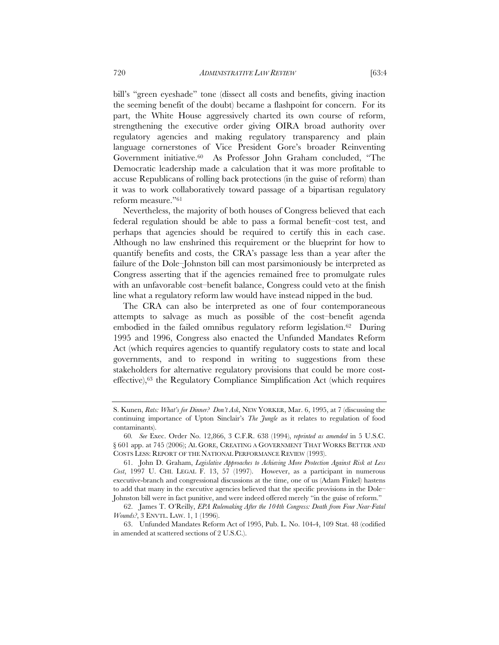bill's "green eyeshade" tone (dissect all costs and benefits, giving inaction the seeming benefit of the doubt) became a flashpoint for concern. For its part, the White House aggressively charted its own course of reform, strengthening the executive order giving OIRA broad authority over regulatory agencies and making regulatory transparency and plain language cornerstones of Vice President Gore's broader Reinventing Government initiative.60 As Professor John Graham concluded, "The Democratic leadership made a calculation that it was more profitable to accuse Republicans of rolling back protections (in the guise of reform) than it was to work collaboratively toward passage of a bipartisan regulatory reform measure."61

Nevertheless, the majority of both houses of Congress believed that each federal regulation should be able to pass a formal benefit–cost test, and perhaps that agencies should be required to certify this in each case. Although no law enshrined this requirement or the blueprint for how to quantify benefits and costs, the CRA's passage less than a year after the failure of the Dole–Johnston bill can most parsimoniously be interpreted as Congress asserting that if the agencies remained free to promulgate rules with an unfavorable cost–benefit balance, Congress could veto at the finish line what a regulatory reform law would have instead nipped in the bud.

The CRA can also be interpreted as one of four contemporaneous attempts to salvage as much as possible of the cost–benefit agenda embodied in the failed omnibus regulatory reform legislation.62 During 1995 and 1996, Congress also enacted the Unfunded Mandates Reform Act (which requires agencies to quantify regulatory costs to state and local governments, and to respond in writing to suggestions from these stakeholders for alternative regulatory provisions that could be more costeffective),63 the Regulatory Compliance Simplification Act (which requires

S. Kunen, *Rats: What's for Dinner? Don't Ask*, NEW YORKER, Mar. 6, 1995, at 7 (discussing the continuing importance of Upton Sinclair's *The Jungle* as it relates to regulation of food contaminants).

<sup>60</sup>*. See* Exec. Order No. 12,866, 3 C.F.R. 638 (1994), *reprinted as amended* in 5 U.S.C. § 601 app. at 745 (2006); AL GORE, CREATING A GOVERNMENT THAT WORKS BETTER AND COSTS LESS: REPORT OF THE NATIONAL PERFORMANCE REVIEW (1993).

<sup>61.</sup> John D. Graham, *Legislative Approaches to Achieving More Protection Against Risk at Less Cost*, 1997 U. CHI. LEGAL F. 13, 57 (1997). However, as a participant in numerous executive-branch and congressional discussions at the time, one of us (Adam Finkel) hastens to add that many in the executive agencies believed that the specific provisions in the Dole– Johnston bill were in fact punitive, and were indeed offered merely "in the guise of reform."

<sup>62.</sup> James T. O'Reilly, *EPA Rulemaking After the 104th Congress: Death from Four Near-Fatal Wounds?*, 3 ENVTL. LAW. 1, 1 (1996).

<sup>63.</sup> Unfunded Mandates Reform Act of 1995, Pub. L. No. 104-4, 109 Stat. 48 (codified in amended at scattered sections of 2 U.S.C.).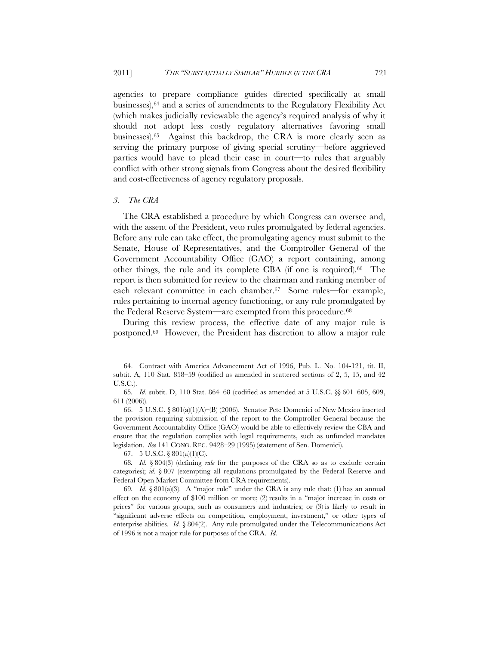agencies to prepare compliance guides directed specifically at small businesses),64 and a series of amendments to the Regulatory Flexibility Act (which makes judicially reviewable the agency's required analysis of why it should not adopt less costly regulatory alternatives favoring small businesses).65 Against this backdrop, the CRA is more clearly seen as serving the primary purpose of giving special scrutiny—before aggrieved parties would have to plead their case in court—to rules that arguably conflict with other strong signals from Congress about the desired flexibility and cost-effectiveness of agency regulatory proposals.

#### *3. The CRA*

The CRA established a procedure by which Congress can oversee and, with the assent of the President, veto rules promulgated by federal agencies. Before any rule can take effect, the promulgating agency must submit to the Senate, House of Representatives, and the Comptroller General of the Government Accountability Office (GAO) a report containing, among other things, the rule and its complete CBA (if one is required).66 The report is then submitted for review to the chairman and ranking member of each relevant committee in each chamber.<sup>67</sup> Some rules—for example, rules pertaining to internal agency functioning, or any rule promulgated by the Federal Reserve System—are exempted from this procedure.68

During this review process, the effective date of any major rule is postponed.69 However, the President has discretion to allow a major rule

67. 5 U.S.C. § 801(a)(1)(C).

<sup>64.</sup> Contract with America Advancement Act of 1996, Pub. L. No. 104-121, tit. II, subtit. A, 110 Stat. 858–59 (codified as amended in scattered sections of 2, 5, 15, and 42 U.S.C.).

<sup>65</sup>*. Id.* subtit. D, 110 Stat. 864–68 (codified as amended at 5 U.S.C. §§ 601–605, 609, 611 (2006)).

<sup>66. 5</sup> U.S.C. § 801(a)(1)(A)–(B) (2006). Senator Pete Domenici of New Mexico inserted the provision requiring submission of the report to the Comptroller General because the Government Accountability Office (GAO) would be able to effectively review the CBA and ensure that the regulation complies with legal requirements, such as unfunded mandates legislation. *See* 141 CONG. REC. 9428–29 (1995) (statement of Sen. Domenici).

<sup>68</sup>*. Id.* § 804(3) (defining *rule* for the purposes of the CRA so as to exclude certain categories); *id.* § 807 (exempting all regulations promulgated by the Federal Reserve and Federal Open Market Committee from CRA requirements).

<sup>69</sup>*. Id.* § 801(a)(3). A "major rule" under the CRA is any rule that: (1) has an annual effect on the economy of \$100 million or more; (2) results in a "major increase in costs or prices" for various groups, such as consumers and industries; or (3) is likely to result in "significant adverse effects on competition, employment, investment," or other types of enterprise abilities. *Id.* § 804(2). Any rule promulgated under the Telecommunications Act of 1996 is not a major rule for purposes of the CRA. *Id.*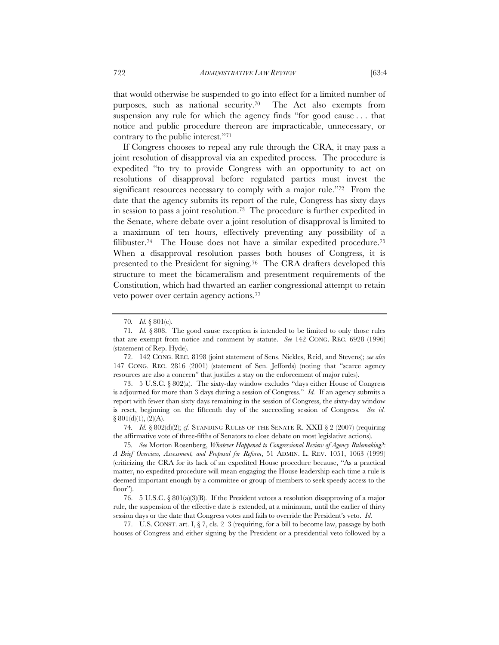that would otherwise be suspended to go into effect for a limited number of purposes, such as national security.70 The Act also exempts from suspension any rule for which the agency finds "for good cause . . . that notice and public procedure thereon are impracticable, unnecessary, or contrary to the public interest."71

If Congress chooses to repeal any rule through the CRA, it may pass a joint resolution of disapproval via an expedited process. The procedure is expedited "to try to provide Congress with an opportunity to act on resolutions of disapproval before regulated parties must invest the significant resources necessary to comply with a major rule."72 From the date that the agency submits its report of the rule, Congress has sixty days in session to pass a joint resolution.73 The procedure is further expedited in the Senate, where debate over a joint resolution of disapproval is limited to a maximum of ten hours, effectively preventing any possibility of a filibuster.<sup>74</sup> The House does not have a similar expedited procedure.<sup>75</sup> When a disapproval resolution passes both houses of Congress, it is presented to the President for signing.76 The CRA drafters developed this structure to meet the bicameralism and presentment requirements of the Constitution, which had thwarted an earlier congressional attempt to retain veto power over certain agency actions.77

72. 142 CONG. REC. 8198 (joint statement of Sens. Nickles, Reid, and Stevens); *see also* 147 CONG. REC. 2816 (2001) (statement of Sen. Jeffords) (noting that "scarce agency resources are also a concern" that justifies a stay on the enforcement of major rules).

73. 5 U.S.C. § 802(a). The sixty-day window excludes "days either House of Congress is adjourned for more than 3 days during a session of Congress." *Id.* If an agency submits a report with fewer than sixty days remaining in the session of Congress, the sixty-day window is reset, beginning on the fifteenth day of the succeeding session of Congress. *See id.*  $§ 801(d)(1), (2)(A).$ 

74*. Id.* § 802(d)(2); *cf.* STANDING RULES OF THE SENATE R. XXII § 2 (2007) (requiring the affirmative vote of three-fifths of Senators to close debate on most legislative actions).

75*. See* Morton Rosenberg, *Whatever Happened to Congressional Review of Agency Rulemaking?: A Brief Overview, Assessment, and Proposal for Reform*, 51 ADMIN. L. REV. 1051, 1063 (1999) (criticizing the CRA for its lack of an expedited House procedure because, "As a practical matter, no expedited procedure will mean engaging the House leadership each time a rule is deemed important enough by a committee or group of members to seek speedy access to the floor").

76. 5 U.S.C. § 801(a)(3)(B). If the President vetoes a resolution disapproving of a major rule, the suspension of the effective date is extended, at a minimum, until the earlier of thirty session days or the date that Congress votes and fails to override the President's veto. *Id.*

77. U.S. CONST. art. I,  $\S$  7, cls. 2–3 (requiring, for a bill to become law, passage by both houses of Congress and either signing by the President or a presidential veto followed by a

<sup>70</sup>*. Id.* § 801(c).

<sup>71</sup>*. Id.* § 808. The good cause exception is intended to be limited to only those rules that are exempt from notice and comment by statute. *See* 142 CONG. REC. 6928 (1996) (statement of Rep. Hyde).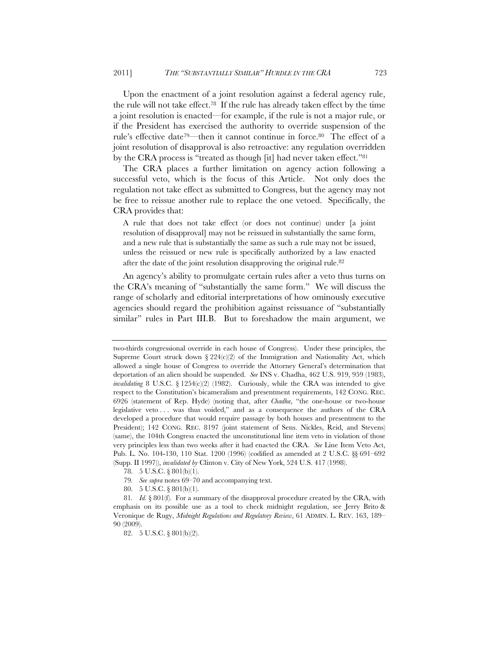Upon the enactment of a joint resolution against a federal agency rule, the rule will not take effect.78 If the rule has already taken effect by the time a joint resolution is enacted—for example, if the rule is not a major rule, or if the President has exercised the authority to override suspension of the rule's effective date<sup>79—then</sup> it cannot continue in force.<sup>80</sup> The effect of a joint resolution of disapproval is also retroactive: any regulation overridden by the CRA process is "treated as though [it] had never taken effect."81

The CRA places a further limitation on agency action following a successful veto, which is the focus of this Article. Not only does the regulation not take effect as submitted to Congress, but the agency may not be free to reissue another rule to replace the one vetoed. Specifically, the CRA provides that:

A rule that does not take effect (or does not continue) under [a joint resolution of disapproval] may not be reissued in substantially the same form, and a new rule that is substantially the same as such a rule may not be issued, unless the reissued or new rule is specifically authorized by a law enacted after the date of the joint resolution disapproving the original rule.82

An agency's ability to promulgate certain rules after a veto thus turns on the CRA's meaning of "substantially the same form." We will discuss the range of scholarly and editorial interpretations of how ominously executive agencies should regard the prohibition against reissuance of "substantially similar" rules in Part III.B. But to foreshadow the main argument, we

- 79*. See supra* notes 69–70 and accompanying text.
- 80. 5 U.S.C. § 801(b)(1).

two-thirds congressional override in each house of Congress). Under these principles, the Supreme Court struck down  $\S 224(c)(2)$  of the Immigration and Nationality Act, which allowed a single house of Congress to override the Attorney General's determination that deportation of an alien should be suspended. *See* INS v. Chadha, 462 U.S. 919, 959 (1983), *invalidating* 8 U.S.C. § 1254(c)(2) (1982). Curiously, while the CRA was intended to give respect to the Constitution's bicameralism and presentment requirements, 142 CONG. REC. 6926 (statement of Rep. Hyde) (noting that, after *Chadha*, "the one-house or two-house legislative veto . . . was thus voided," and as a consequence the authors of the CRA developed a procedure that would require passage by both houses and presentment to the President); 142 CONG. REC. 8197 (joint statement of Sens. Nickles, Reid, and Stevens) (same), the 104th Congress enacted the unconstitutional line item veto in violation of those very principles less than two weeks after it had enacted the CRA. *See* Line Item Veto Act, Pub. L. No. 104-130, 110 Stat. 1200 (1996) (codified as amended at 2 U.S.C. §§ 691–692 (Supp. II 1997)), *invalidated by* Clinton v. City of New York, 524 U.S. 417 (1998).

<sup>78. 5</sup> U.S.C. § 801(b)(1).

<sup>81</sup>*. Id.* § 801(f). For a summary of the disapproval procedure created by the CRA, with emphasis on its possible use as a tool to check midnight regulation, see Jerry Brito & Veronique de Rugy, *Midnight Regulations and Regulatory Review*, 61 ADMIN. L. REV. 163, 189– 90 (2009).

<sup>82. 5</sup> U.S.C. § 801(b)(2).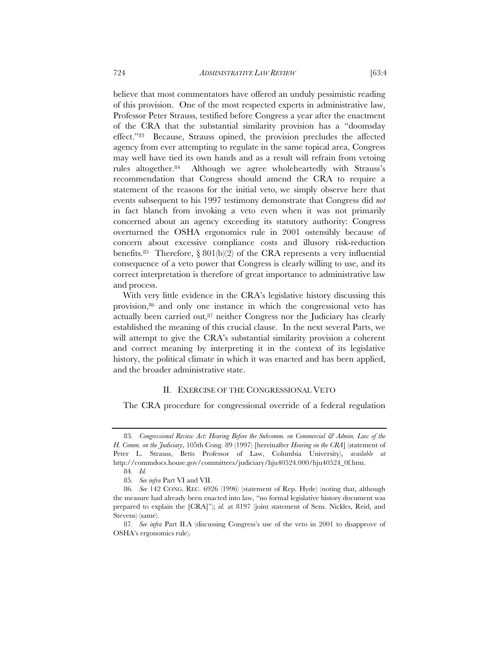believe that most commentators have offered an unduly pessimistic reading of this provision. One of the most respected experts in administrative law, Professor Peter Strauss, testified before Congress a year after the enactment of the CRA that the substantial similarity provision has a "doomsday effect."83 Because, Strauss opined, the provision precludes the affected agency from ever attempting to regulate in the same topical area, Congress may well have tied its own hands and as a result will refrain from vetoing rules altogether.84 Although we agree wholeheartedly with Strauss's recommendation that Congress should amend the CRA to require a statement of the reasons for the initial veto, we simply observe here that events subsequent to his 1997 testimony demonstrate that Congress did *not* in fact blanch from invoking a veto even when it was not primarily concerned about an agency exceeding its statutory authority: Congress overturned the OSHA ergonomics rule in 2001 ostensibly because of concern about excessive compliance costs and illusory risk-reduction benefits.<sup>85</sup> Therefore, § 801(b)(2) of the CRA represents a very influential consequence of a veto power that Congress is clearly willing to use, and its correct interpretation is therefore of great importance to administrative law

With very little evidence in the CRA's legislative history discussing this provision,86 and only one instance in which the congressional veto has actually been carried out,87 neither Congress nor the Judiciary has clearly established the meaning of this crucial clause. In the next several Parts, we will attempt to give the CRA's substantial similarity provision a coherent and correct meaning by interpreting it in the context of its legislative history, the political climate in which it was enacted and has been applied, and the broader administrative state.

## II. EXERCISE OF THE CONGRESSIONAL VETO

The CRA procedure for congressional override of a federal regulation

and process.

<sup>83</sup>*. Congressional Review Act: Hearing Before the Subcomm. on Commercial & Admin. Law of the H. Comm. on the Judiciary*, 105th Cong. 89 (1997) [hereinafter *Hearing on the CRA*] (statement of Peter L. Strauss, Betts Professor of Law, Columbia University), *available at* http://commdocs.house.gov/committees/judiciary/hju40524.000/hju40524\_0f.htm.

<sup>84</sup>*. Id.*

<sup>85</sup>*. See infra* Part VI and VII.

<sup>86</sup>*. See* 142 CONG. REC. 6926 (1996) (statement of Rep. Hyde) (noting that, although the measure had already been enacted into law, "no formal legislative history document was prepared to explain the [CRA]"); *id.* at 8197 (joint statement of Sens. Nickles, Reid, and Stevens) (same).

<sup>87</sup>*. See infra* Part II.A (discussing Congress's use of the veto in 2001 to disapprove of OSHA's ergonomics rule).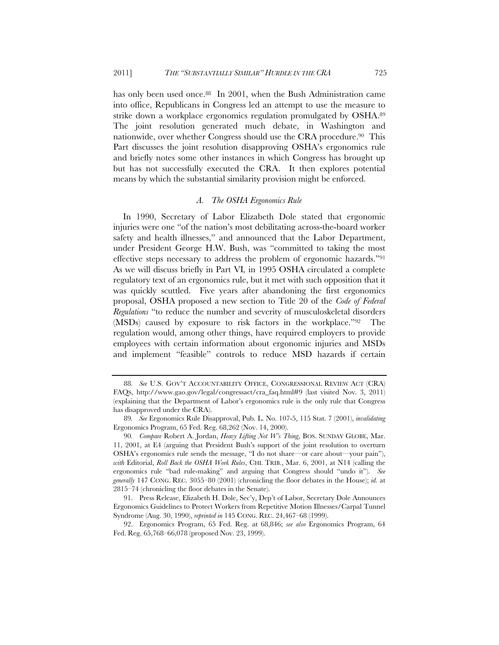has only been used once.<sup>88</sup> In 2001, when the Bush Administration came into office, Republicans in Congress led an attempt to use the measure to strike down a workplace ergonomics regulation promulgated by OSHA.89 The joint resolution generated much debate, in Washington and nationwide, over whether Congress should use the CRA procedure.<sup>90</sup> This Part discusses the joint resolution disapproving OSHA's ergonomics rule and briefly notes some other instances in which Congress has brought up but has not successfully executed the CRA. It then explores potential means by which the substantial similarity provision might be enforced.

#### *A. The OSHA Ergonomics Rule*

In 1990, Secretary of Labor Elizabeth Dole stated that ergonomic injuries were one "of the nation's most debilitating across-the-board worker safety and health illnesses," and announced that the Labor Department, under President George H.W. Bush, was "committed to taking the most effective steps necessary to address the problem of ergonomic hazards."91 As we will discuss briefly in Part VI*,* in 1995 OSHA circulated a complete regulatory text of an ergonomics rule, but it met with such opposition that it was quickly scuttled. Five years after abandoning the first ergonomics proposal, OSHA proposed a new section to Title 20 of the *Code of Federal Regulations* "to reduce the number and severity of musculoskeletal disorders (MSDs) caused by exposure to risk factors in the workplace."92 The regulation would, among other things, have required employers to provide employees with certain information about ergonomic injuries and MSDs and implement "feasible" controls to reduce MSD hazards if certain

<sup>88</sup>*. See* U.S. GOV'T ACCOUNTABILITY OFFICE, CONGRESSIONAL REVIEW ACT (CRA) FAQS, http://www.gao.gov/legal/congressact/cra\_faq.html#9 (last visited Nov. 3, 2011) (explaining that the Department of Labor's ergonomics rule is the only rule that Congress has disapproved under the CRA).

<sup>89</sup>*. See* Ergonomics Rule Disapproval, Pub. L. No. 107-5, 115 Stat. 7 (2001), *invalidating* Ergonomics Program, 65 Fed. Reg. 68,262 (Nov. 14, 2000).

<sup>90</sup>*. Compare* Robert A. Jordan, *Heavy Lifting Not W's Thing*, BOS. SUNDAY GLOBE, Mar. 11, 2001, at E4 (arguing that President Bush's support of the joint resolution to overturn OSHA's ergonomics rule sends the message, "I do not share—or care about—your pain"), *with* Editorial, *Roll Back the OSHA Work Rules*, CHI. TRIB., Mar. 6, 2001, at N14 (calling the ergonomics rule "bad rule-making" and arguing that Congress should "undo it"). *See generally* 147 CONG. REC. 3055–80 (2001) (chronicling the floor debates in the House); *id.* at 2815–74 (chronicling the floor debates in the Senate).

<sup>91.</sup> Press Release, Elizabeth H. Dole, Sec'y, Dep't of Labor, Secretary Dole Announces Ergonomics Guidelines to Protect Workers from Repetitive Motion Illnesses/Carpal Tunnel Syndrome (Aug. 30, 1990), *reprinted in* 145 CONG. REC. 24,467–68 (1999).

<sup>92.</sup> Ergonomics Program, 65 Fed. Reg. at 68,846; *see also* Ergonomics Program, 64 Fed. Reg. 65,768–66,078 (proposed Nov. 23, 1999).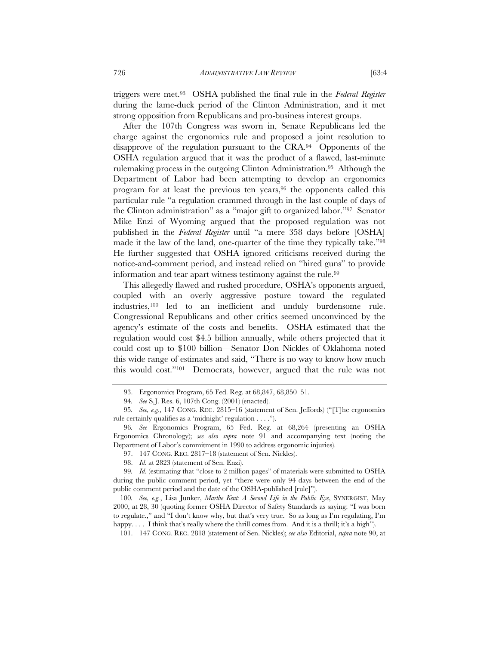triggers were met.93 OSHA published the final rule in the *Federal Register* during the lame-duck period of the Clinton Administration, and it met strong opposition from Republicans and pro-business interest groups.

After the 107th Congress was sworn in, Senate Republicans led the charge against the ergonomics rule and proposed a joint resolution to disapprove of the regulation pursuant to the CRA.94 Opponents of the OSHA regulation argued that it was the product of a flawed, last-minute rulemaking process in the outgoing Clinton Administration.95 Although the Department of Labor had been attempting to develop an ergonomics program for at least the previous ten years,<sup>96</sup> the opponents called this particular rule "a regulation crammed through in the last couple of days of the Clinton administration" as a "major gift to organized labor."97 Senator Mike Enzi of Wyoming argued that the proposed regulation was not published in the *Federal Register* until "a mere 358 days before [OSHA] made it the law of the land, one-quarter of the time they typically take."98 He further suggested that OSHA ignored criticisms received during the notice-and-comment period, and instead relied on "hired guns" to provide information and tear apart witness testimony against the rule.99

This allegedly flawed and rushed procedure, OSHA's opponents argued, coupled with an overly aggressive posture toward the regulated industries,100 led to an inefficient and unduly burdensome rule. Congressional Republicans and other critics seemed unconvinced by the agency's estimate of the costs and benefits. OSHA estimated that the regulation would cost \$4.5 billion annually, while others projected that it could cost up to \$100 billion—Senator Don Nickles of Oklahoma noted this wide range of estimates and said, "There is no way to know how much this would cost."101 Democrats, however, argued that the rule was not

<sup>93.</sup> Ergonomics Program, 65 Fed. Reg. at 68,847, 68,850–51.

<sup>94</sup>*. See* S.J. Res. 6, 107th Cong. (2001) (enacted).

<sup>95</sup>*. See, e.g.*, 147 CONG. REC. 2815–16 (statement of Sen. Jeffords) ("[T]he ergonomics rule certainly qualifies as a 'midnight' regulation . . . .").

<sup>96</sup>*. See* Ergonomics Program, 65 Fed. Reg. at 68,264 (presenting an OSHA Ergonomics Chronology); *see also supra* note 91 and accompanying text (noting the Department of Labor's commitment in 1990 to address ergonomic injuries).

<sup>97. 147</sup> CONG. REC. 2817–18 (statement of Sen. Nickles).

<sup>98.</sup> *Id.* at 2823 (statement of Sen. Enzi).

<sup>99</sup>*. Id.* (estimating that "close to 2 million pages" of materials were submitted to OSHA during the public comment period, yet "there were only 94 days between the end of the public comment period and the date of the OSHA-published [rule]").

<sup>100</sup>*. See, e.g.*, Lisa Junker, *Marthe Kent: A Second Life in the Public Eye*, SYNERGIST, May 2000, at 28, 30 (quoting former OSHA Director of Safety Standards as saying: "I was born to regulate.," and "I don't know why, but that's very true. So as long as I'm regulating, I'm happy.... I think that's really where the thrill comes from. And it is a thrill; it's a high").

 <sup>101. 147</sup> CONG. REC. 2818 (statement of Sen. Nickles); *see also* Editorial, *supra* note 90, at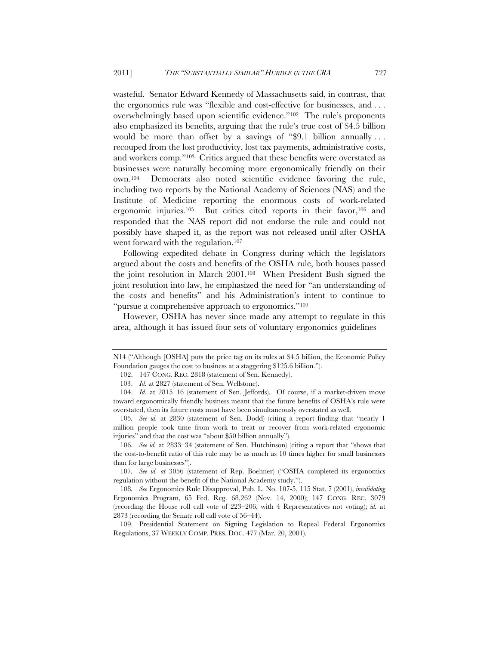wasteful. Senator Edward Kennedy of Massachusetts said, in contrast, that the ergonomics rule was "flexible and cost-effective for businesses, and . . . overwhelmingly based upon scientific evidence."102 The rule's proponents also emphasized its benefits, arguing that the rule's true cost of \$4.5 billion would be more than offset by a savings of "\$9.1 billion annually . . . recouped from the lost productivity, lost tax payments, administrative costs, and workers comp."103 Critics argued that these benefits were overstated as businesses were naturally becoming more ergonomically friendly on their own.104 Democrats also noted scientific evidence favoring the rule, including two reports by the National Academy of Sciences (NAS) and the Institute of Medicine reporting the enormous costs of work-related ergonomic injuries.105 But critics cited reports in their favor,106 and responded that the NAS report did not endorse the rule and could not possibly have shaped it, as the report was not released until after OSHA went forward with the regulation.107

Following expedited debate in Congress during which the legislators argued about the costs and benefits of the OSHA rule, both houses passed the joint resolution in March 2001.108 When President Bush signed the joint resolution into law, he emphasized the need for "an understanding of the costs and benefits" and his Administration's intent to continue to "pursue a comprehensive approach to ergonomics."109

However, OSHA has never since made any attempt to regulate in this area, although it has issued four sets of voluntary ergonomics guidelines—

106*. See id.* at 2833–34 (statement of Sen. Hutchinson) (citing a report that "shows that the cost-to-benefit ratio of this rule may be as much as 10 times higher for small businesses than for large businesses").

107*. See id. at* 3056 (statement of Rep. Boehner) ("OSHA completed its ergonomics regulation without the benefit of the National Academy study.").

N14 ("Although [OSHA] puts the price tag on its rules at \$4.5 billion, the Economic Policy Foundation gauges the cost to business at a staggering \$125.6 billion.").

 <sup>102. 147</sup> CONG. REC. 2818 (statement of Sen. Kennedy).

 <sup>103.</sup> *Id.* at 2827 (statement of Sen. Wellstone).

 <sup>104.</sup> *Id.* at 2815–16 (statement of Sen. Jeffords). Of course, if a market-driven move toward ergonomically friendly business meant that the future benefits of OSHA's rule were overstated, then its future costs must have been simultaneously overstated as well.

<sup>105</sup>*. See id.* at 2830 (statement of Sen. Dodd) (citing a report finding that "nearly 1 million people took time from work to treat or recover from work-related ergonomic injuries" and that the cost was "about \$50 billion annually").

<sup>108</sup>*. See* Ergonomics Rule Disapproval, Pub. L. No. 107-5, 115 Stat. 7 (2001), *invalidating* Ergonomics Program, 65 Fed. Reg. 68,262 (Nov. 14, 2000); 147 CONG. REC. 3079 (recording the House roll call vote of 223–206, with 4 Representatives not voting); *id.* at 2873 (recording the Senate roll call vote of 56–44).

 <sup>109.</sup> Presidential Statement on Signing Legislation to Repeal Federal Ergonomics Regulations, 37 WEEKLY COMP. PRES. DOC. 477 (Mar. 20, 2001).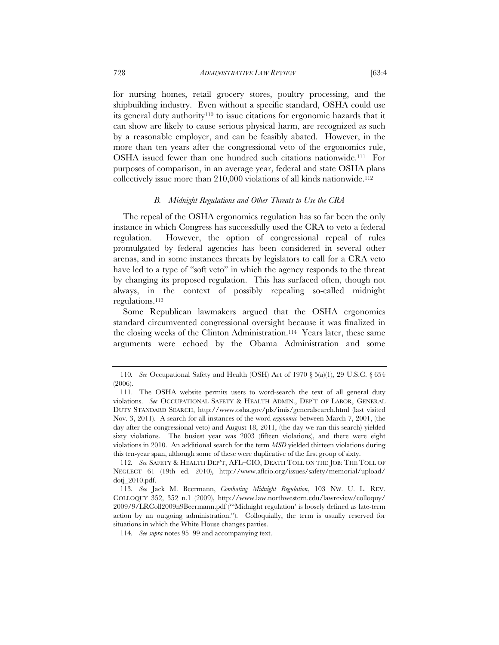for nursing homes, retail grocery stores, poultry processing, and the shipbuilding industry. Even without a specific standard, OSHA could use its general duty authority110 to issue citations for ergonomic hazards that it can show are likely to cause serious physical harm, are recognized as such by a reasonable employer, and can be feasibly abated. However, in the more than ten years after the congressional veto of the ergonomics rule, OSHA issued fewer than one hundred such citations nationwide.111 For purposes of comparison, in an average year, federal and state OSHA plans collectively issue more than 210,000 violations of all kinds nationwide.112

#### *B. Midnight Regulations and Other Threats to Use the CRA*

The repeal of the OSHA ergonomics regulation has so far been the only instance in which Congress has successfully used the CRA to veto a federal regulation. However, the option of congressional repeal of rules promulgated by federal agencies has been considered in several other arenas, and in some instances threats by legislators to call for a CRA veto have led to a type of "soft veto" in which the agency responds to the threat by changing its proposed regulation. This has surfaced often, though not always, in the context of possibly repealing so-called midnight regulations.113

Some Republican lawmakers argued that the OSHA ergonomics standard circumvented congressional oversight because it was finalized in the closing weeks of the Clinton Administration.114 Years later, these same arguments were echoed by the Obama Administration and some

<sup>110</sup>*. See* Occupational Safety and Health (OSH) Act of 1970 § 5(a)(1), 29 U.S.C. § 654 (2006).

 <sup>111.</sup> The OSHA website permits users to word-search the text of all general duty violations. *See* OCCUPATIONAL SAFETY & HEALTH ADMIN., DEP'T OF LABOR, GENERAL DUTY STANDARD SEARCH, http://www.osha.gov/pls/imis/generalsearch.html (last visited Nov. 3, 2011). A search for all instances of the word *ergonomic* between March 7, 2001, (the day after the congressional veto) and August 18, 2011, (the day we ran this search) yielded sixty violations. The busiest year was 2003 (fifteen violations), and there were eight violations in 2010. An additional search for the term *MSD* yielded thirteen violations during this ten-year span, although some of these were duplicative of the first group of sixty.

<sup>112</sup>*. See* SAFETY & HEALTH DEP'T, AFL–CIO, DEATH TOLL ON THE JOB: THE TOLL OF NEGLECT 61 (19th ed. 2010), http://www.aflcio.org/issues/safety/memorial/upload/ dotj\_2010.pdf.

<sup>113</sup>*. See* Jack M. Beermann, *Combating Midnight Regulation*, 103 NW. U. L. REV. COLLOQUY 352, 352 n.1 (2009), http://www.law.northwestern.edu/lawreview/colloquy/ 2009/9/LRColl2009n9Beermann.pdf ("'Midnight regulation' is loosely defined as late-term action by an outgoing administration."). Colloquially, the term is usually reserved for situations in which the White House changes parties.

<sup>114</sup>*. See supra* notes 95–99 and accompanying text.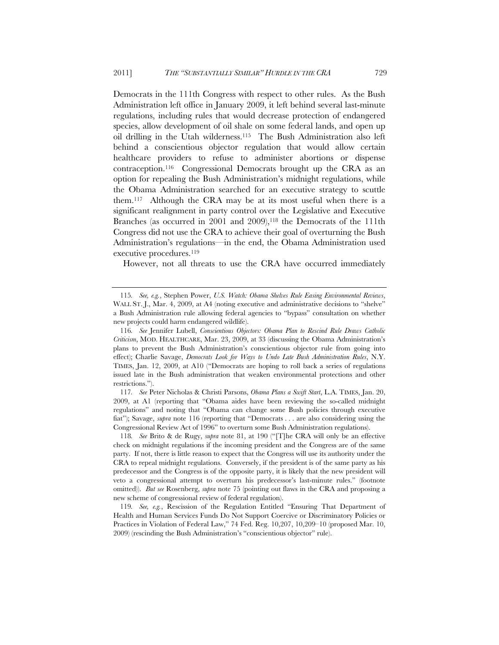Democrats in the 111th Congress with respect to other rules. As the Bush Administration left office in January 2009, it left behind several last-minute regulations, including rules that would decrease protection of endangered species, allow development of oil shale on some federal lands, and open up oil drilling in the Utah wilderness.115 The Bush Administration also left behind a conscientious objector regulation that would allow certain healthcare providers to refuse to administer abortions or dispense contraception.116 Congressional Democrats brought up the CRA as an option for repealing the Bush Administration's midnight regulations, while the Obama Administration searched for an executive strategy to scuttle them.117 Although the CRA may be at its most useful when there is a significant realignment in party control over the Legislative and Executive Branches (as occurred in 2001 and 2009),<sup>118</sup> the Democrats of the 111th Congress did not use the CRA to achieve their goal of overturning the Bush Administration's regulations—in the end, the Obama Administration used executive procedures.<sup>119</sup>

However, not all threats to use the CRA have occurred immediately

117*. See* Peter Nicholas & Christi Parsons, *Obama Plans a Swift Start*, L.A. TIMES, Jan. 20, 2009, at A1 (reporting that "Obama aides have been reviewing the so-called midnight regulations" and noting that "Obama can change some Bush policies through executive fiat"); Savage, *supra* note 116 (reporting that "Democrats . . . are also considering using the Congressional Review Act of 1996" to overturn some Bush Administration regulations).

118*. See* Brito & de Rugy, *supra* note 81, at 190 ("[T]he CRA will only be an effective check on midnight regulations if the incoming president and the Congress are of the same party. If not, there is little reason to expect that the Congress will use its authority under the CRA to repeal midnight regulations. Conversely, if the president is of the same party as his predecessor and the Congress is of the opposite party, it is likely that the new president will veto a congressional attempt to overturn his predecessor's last-minute rules." (footnote omitted)). *But see* Rosenberg, *supra* note 75 (pointing out flaws in the CRA and proposing a new scheme of congressional review of federal regulation).

119*. See, e.g.*, Rescission of the Regulation Entitled "Ensuring That Department of Health and Human Services Funds Do Not Support Coercive or Discriminatory Policies or Practices in Violation of Federal Law," 74 Fed. Reg. 10,207, 10,209–10 (proposed Mar. 10, 2009) (rescinding the Bush Administration's "conscientious objector" rule).

<sup>115</sup>*. See, e.g.*, Stephen Power, *U.S. Watch: Obama Shelves Rule Easing Environmental Reviews*, WALL ST. J., Mar. 4, 2009, at A4 (noting executive and administrative decisions to "shelve" a Bush Administration rule allowing federal agencies to "bypass" consultation on whether new projects could harm endangered wildlife).

<sup>116</sup>*. See* Jennifer Lubell, *Conscientious Objectors: Obama Plan to Rescind Rule Draws Catholic Criticism*, MOD. HEALTHCARE, Mar. 23, 2009, at 33 (discussing the Obama Administration's plans to prevent the Bush Administration's conscientious objector rule from going into effect); Charlie Savage, *Democrats Look for Ways to Undo Late Bush Administration Rules*, N.Y. TIMES, Jan. 12, 2009, at A10 ("Democrats are hoping to roll back a series of regulations issued late in the Bush administration that weaken environmental protections and other restrictions.").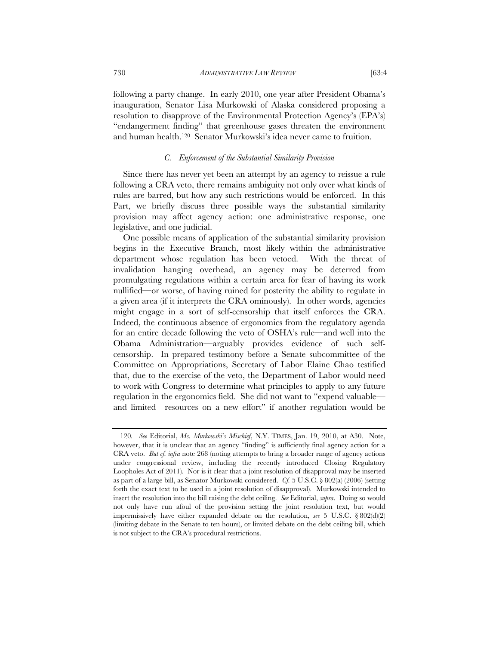following a party change. In early 2010, one year after President Obama's inauguration, Senator Lisa Murkowski of Alaska considered proposing a resolution to disapprove of the Environmental Protection Agency's (EPA's) "endangerment finding" that greenhouse gases threaten the environment and human health.120 Senator Murkowski's idea never came to fruition.

# *C. Enforcement of the Substantial Similarity Provision*

Since there has never yet been an attempt by an agency to reissue a rule following a CRA veto, there remains ambiguity not only over what kinds of rules are barred, but how any such restrictions would be enforced. In this Part, we briefly discuss three possible ways the substantial similarity provision may affect agency action: one administrative response, one legislative, and one judicial.

One possible means of application of the substantial similarity provision begins in the Executive Branch, most likely within the administrative department whose regulation has been vetoed. With the threat of invalidation hanging overhead, an agency may be deterred from promulgating regulations within a certain area for fear of having its work nullified—or worse, of having ruined for posterity the ability to regulate in a given area (if it interprets the CRA ominously). In other words, agencies might engage in a sort of self-censorship that itself enforces the CRA. Indeed, the continuous absence of ergonomics from the regulatory agenda for an entire decade following the veto of OSHA's rule—and well into the Obama Administration—arguably provides evidence of such selfcensorship. In prepared testimony before a Senate subcommittee of the Committee on Appropriations, Secretary of Labor Elaine Chao testified that, due to the exercise of the veto, the Department of Labor would need to work with Congress to determine what principles to apply to any future regulation in the ergonomics field. She did not want to "expend valuable and limited—resources on a new effort" if another regulation would be

<sup>120</sup>*. See* Editorial, *Ms. Murkowski's Mischief*, N.Y. TIMES, Jan. 19, 2010, at A30. Note, however, that it is unclear that an agency "finding" is sufficiently final agency action for a CRA veto. *But cf. infra* note 268 (noting attempts to bring a broader range of agency actions under congressional review, including the recently introduced Closing Regulatory Loopholes Act of 2011). Nor is it clear that a joint resolution of disapproval may be inserted as part of a large bill, as Senator Murkowski considered. *Cf.* 5 U.S.C. § 802(a) (2006) (setting forth the exact text to be used in a joint resolution of disapproval). Murkowski intended to insert the resolution into the bill raising the debt ceiling. *See* Editorial, *supra*. Doing so would not only have run afoul of the provision setting the joint resolution text, but would impermissively have either expanded debate on the resolution, *see* 5 U.S.C. § 802(d)(2) (limiting debate in the Senate to ten hours), or limited debate on the debt ceiling bill, which is not subject to the CRA's procedural restrictions.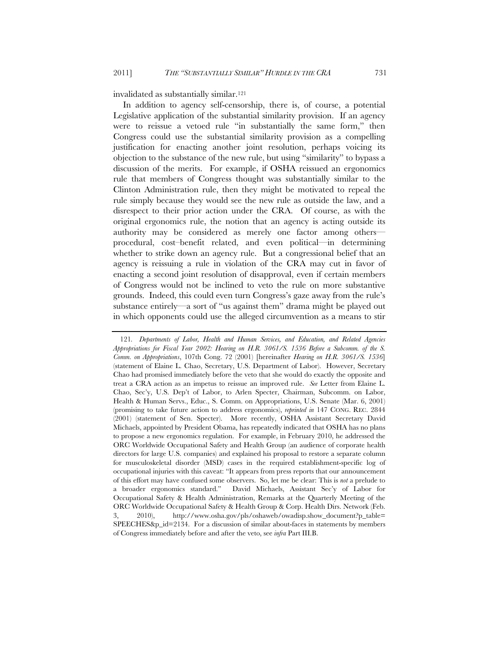invalidated as substantially similar.121

In addition to agency self-censorship, there is, of course, a potential Legislative application of the substantial similarity provision. If an agency were to reissue a vetoed rule "in substantially the same form," then Congress could use the substantial similarity provision as a compelling justification for enacting another joint resolution, perhaps voicing its objection to the substance of the new rule, but using "similarity" to bypass a discussion of the merits. For example, if OSHA reissued an ergonomics rule that members of Congress thought was substantially similar to the Clinton Administration rule, then they might be motivated to repeal the rule simply because they would see the new rule as outside the law, and a disrespect to their prior action under the CRA. Of course, as with the original ergonomics rule, the notion that an agency is acting outside its authority may be considered as merely one factor among others procedural, cost–benefit related, and even political—in determining whether to strike down an agency rule. But a congressional belief that an agency is reissuing a rule in violation of the CRA may cut in favor of enacting a second joint resolution of disapproval, even if certain members of Congress would not be inclined to veto the rule on more substantive grounds. Indeed, this could even turn Congress's gaze away from the rule's substance entirely—a sort of "us against them" drama might be played out in which opponents could use the alleged circumvention as a means to stir

<sup>121</sup>*. Departments of Labor, Health and Human Services, and Education, and Related Agencies Appropriations for Fiscal Year 2002: Hearing on H.R. 3061/S. 1536 Before a Subcomm. of the S. Comm. on Appropriations*, 107th Cong. 72 (2001) [hereinafter *Hearing on H.R. 3061/S. 1536*] (statement of Elaine L. Chao, Secretary, U.S. Department of Labor). However, Secretary Chao had promised immediately before the veto that she would do exactly the opposite and treat a CRA action as an impetus to reissue an improved rule. *See* Letter from Elaine L. Chao, Sec'y, U.S. Dep't of Labor, to Arlen Specter, Chairman, Subcomm. on Labor, Health & Human Servs., Educ., S. Comm. on Appropriations, U.S. Senate (Mar. 6, 2001) (promising to take future action to address ergonomics), *reprinted in* 147 CONG. REC. 2844 (2001) (statement of Sen. Specter). More recently, OSHA Assistant Secretary David Michaels, appointed by President Obama, has repeatedly indicated that OSHA has no plans to propose a new ergonomics regulation. For example, in February 2010, he addressed the ORC Worldwide Occupational Safety and Health Group (an audience of corporate health directors for large U.S. companies) and explained his proposal to restore a separate column for musculoskeletal disorder (MSD) cases in the required establishment-specific log of occupational injuries with this caveat: "It appears from press reports that our announcement of this effort may have confused some observers. So, let me be clear: This is *not* a prelude to a broader ergonomics standard." David Michaels, Assistant Sec'y of Labor for Occupational Safety & Health Administration, Remarks at the Quarterly Meeting of the ORC Worldwide Occupational Safety & Health Group & Corp. Health Dirs. Network (Feb. 3, 2010), http://www.osha.gov/pls/oshaweb/owadisp.show\_document?p\_table= SPEECHES&p\_id=2134. For a discussion of similar about-faces in statements by members of Congress immediately before and after the veto, see *infra* Part III.B.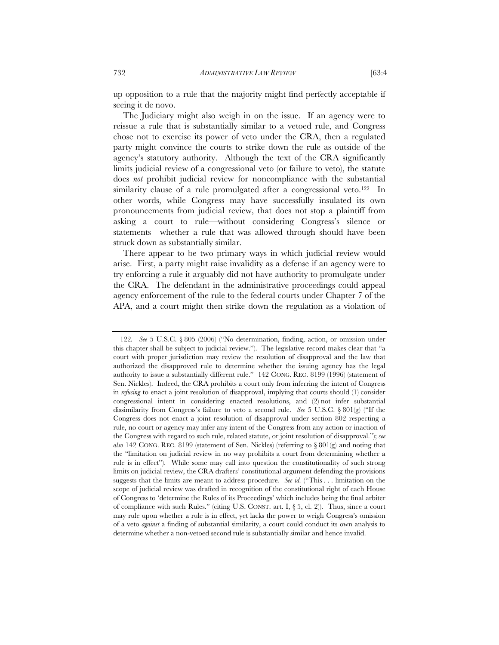up opposition to a rule that the majority might find perfectly acceptable if seeing it de novo.

The Judiciary might also weigh in on the issue. If an agency were to reissue a rule that is substantially similar to a vetoed rule, and Congress chose not to exercise its power of veto under the CRA, then a regulated party might convince the courts to strike down the rule as outside of the agency's statutory authority. Although the text of the CRA significantly limits judicial review of a congressional veto (or failure to veto), the statute does *not* prohibit judicial review for noncompliance with the substantial similarity clause of a rule promulgated after a congressional veto.<sup>122</sup> In other words, while Congress may have successfully insulated its own pronouncements from judicial review, that does not stop a plaintiff from asking a court to rule—without considering Congress's silence or statements—whether a rule that was allowed through should have been struck down as substantially similar.

There appear to be two primary ways in which judicial review would arise. First, a party might raise invalidity as a defense if an agency were to try enforcing a rule it arguably did not have authority to promulgate under the CRA. The defendant in the administrative proceedings could appeal agency enforcement of the rule to the federal courts under Chapter 7 of the APA, and a court might then strike down the regulation as a violation of

<sup>122</sup>*. See* 5 U.S.C. § 805 (2006) ("No determination, finding, action, or omission under this chapter shall be subject to judicial review."). The legislative record makes clear that "a court with proper jurisdiction may review the resolution of disapproval and the law that authorized the disapproved rule to determine whether the issuing agency has the legal authority to issue a substantially different rule." 142 CONG. REC. 8199 (1996) (statement of Sen. Nickles). Indeed, the CRA prohibits a court only from inferring the intent of Congress in *refusing* to enact a joint resolution of disapproval, implying that courts should (1) consider congressional intent in considering enacted resolutions, and (2) not infer substantial dissimilarity from Congress's failure to veto a second rule. *See* 5 U.S.C. § 801(g) ("If the Congress does not enact a joint resolution of disapproval under section 802 respecting a rule, no court or agency may infer any intent of the Congress from any action or inaction of the Congress with regard to such rule, related statute, or joint resolution of disapproval."); *see also* 142 CONG. REC. 8199 (statement of Sen. Nickles) (referring to § 801(g) and noting that the "limitation on judicial review in no way prohibits a court from determining whether a rule is in effect"). While some may call into question the constitutionality of such strong limits on judicial review, the CRA drafters' constitutional argument defending the provisions suggests that the limits are meant to address procedure. *See id.* ("This . . . limitation on the scope of judicial review was drafted in recognition of the constitutional right of each House of Congress to 'determine the Rules of its Proceedings' which includes being the final arbiter of compliance with such Rules." (citing U.S. CONST. art. I,  $\S$  5, cl. 2)). Thus, since a court may rule upon whether a rule is in effect, yet lacks the power to weigh Congress's omission of a veto *against* a finding of substantial similarity, a court could conduct its own analysis to determine whether a non-vetoed second rule is substantially similar and hence invalid.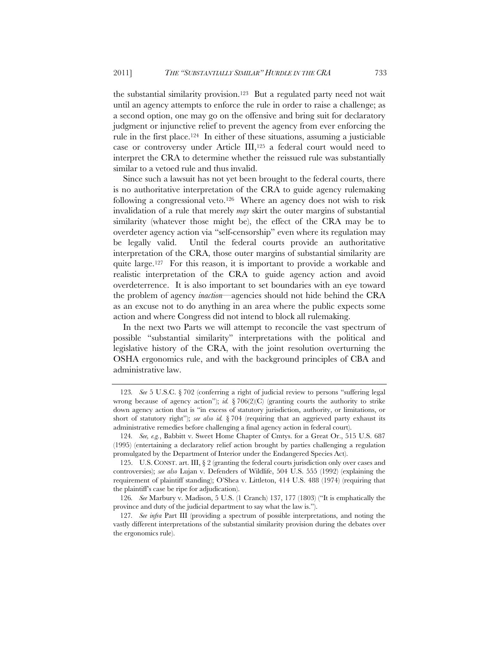the substantial similarity provision.123 But a regulated party need not wait until an agency attempts to enforce the rule in order to raise a challenge; as a second option, one may go on the offensive and bring suit for declaratory judgment or injunctive relief to prevent the agency from ever enforcing the rule in the first place.124 In either of these situations, assuming a justiciable case or controversy under Article III,125 a federal court would need to interpret the CRA to determine whether the reissued rule was substantially similar to a vetoed rule and thus invalid.

Since such a lawsuit has not yet been brought to the federal courts, there is no authoritative interpretation of the CRA to guide agency rulemaking following a congressional veto.<sup>126</sup> Where an agency does not wish to risk invalidation of a rule that merely *may* skirt the outer margins of substantial similarity (whatever those might be), the effect of the CRA may be to overdeter agency action via "self-censorship" even where its regulation may be legally valid. Until the federal courts provide an authoritative interpretation of the CRA, those outer margins of substantial similarity are quite large.127 For this reason, it is important to provide a workable and realistic interpretation of the CRA to guide agency action and avoid overdeterrence. It is also important to set boundaries with an eye toward the problem of agency *inaction*—agencies should not hide behind the CRA as an excuse not to do anything in an area where the public expects some action and where Congress did not intend to block all rulemaking.

In the next two Parts we will attempt to reconcile the vast spectrum of possible "substantial similarity" interpretations with the political and legislative history of the CRA, with the joint resolution overturning the OSHA ergonomics rule, and with the background principles of CBA and administrative law.

<sup>123</sup>*. See* 5 U.S.C. § 702 (conferring a right of judicial review to persons "suffering legal wrong because of agency action"); *id.*  $\frac{8}{206(2)(C)}$  (granting courts the authority to strike down agency action that is "in excess of statutory jurisdiction, authority, or limitations, or short of statutory right"); *see also id.* § 704 (requiring that an aggrieved party exhaust its administrative remedies before challenging a final agency action in federal court).

<sup>124</sup>*. See, e.g.*, Babbitt v. Sweet Home Chapter of Cmtys. for a Great Or., 515 U.S. 687 (1995) (entertaining a declaratory relief action brought by parties challenging a regulation promulgated by the Department of Interior under the Endangered Species Act).

<sup>125.</sup> U.S. CONST. art. III,  $\S$  2 (granting the federal courts jurisdiction only over cases and controversies); *see also* Lujan v. Defenders of Wildlife, 504 U.S. 555 (1992) (explaining the requirement of plaintiff standing); O'Shea v. Littleton, 414 U.S. 488 (1974) (requiring that the plaintiff's case be ripe for adjudication).

<sup>126</sup>*. See* Marbury v. Madison, 5 U.S. (1 Cranch) 137, 177 (1803) ("It is emphatically the province and duty of the judicial department to say what the law is.").

<sup>127</sup>*. See infra* Part III (providing a spectrum of possible interpretations, and noting the vastly different interpretations of the substantial similarity provision during the debates over the ergonomics rule).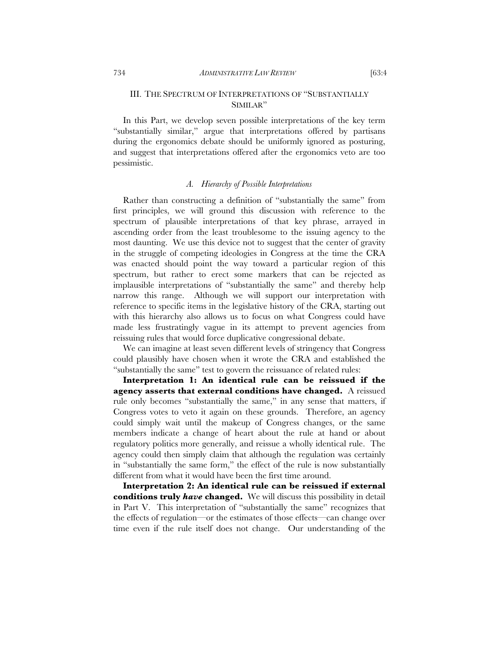# III. THE SPECTRUM OF INTERPRETATIONS OF "SUBSTANTIALLY SIMILAR"

In this Part, we develop seven possible interpretations of the key term "substantially similar," argue that interpretations offered by partisans during the ergonomics debate should be uniformly ignored as posturing, and suggest that interpretations offered after the ergonomics veto are too pessimistic.

## *A. Hierarchy of Possible Interpretations*

Rather than constructing a definition of "substantially the same" from first principles, we will ground this discussion with reference to the spectrum of plausible interpretations of that key phrase, arrayed in ascending order from the least troublesome to the issuing agency to the most daunting. We use this device not to suggest that the center of gravity in the struggle of competing ideologies in Congress at the time the CRA was enacted should point the way toward a particular region of this spectrum, but rather to erect some markers that can be rejected as implausible interpretations of "substantially the same" and thereby help narrow this range. Although we will support our interpretation with reference to specific items in the legislative history of the CRA, starting out with this hierarchy also allows us to focus on what Congress could have made less frustratingly vague in its attempt to prevent agencies from reissuing rules that would force duplicative congressional debate.

We can imagine at least seven different levels of stringency that Congress could plausibly have chosen when it wrote the CRA and established the "substantially the same" test to govern the reissuance of related rules:

**Interpretation 1: An identical rule can be reissued if the agency asserts that external conditions have changed.** A reissued rule only becomes "substantially the same," in any sense that matters, if Congress votes to veto it again on these grounds. Therefore, an agency could simply wait until the makeup of Congress changes, or the same members indicate a change of heart about the rule at hand or about regulatory politics more generally, and reissue a wholly identical rule. The agency could then simply claim that although the regulation was certainly in "substantially the same form," the effect of the rule is now substantially different from what it would have been the first time around.

**Interpretation 2: An identical rule can be reissued if external conditions truly** *have* **changed.** We will discuss this possibility in detail in Part V. This interpretation of "substantially the same" recognizes that the effects of regulation—or the estimates of those effects—can change over time even if the rule itself does not change. Our understanding of the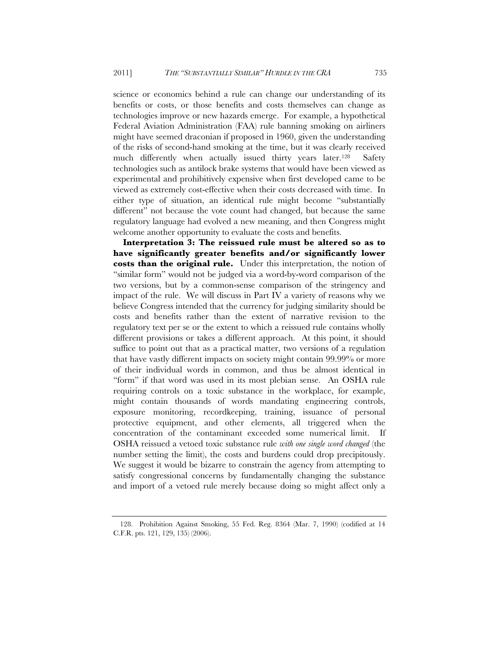science or economics behind a rule can change our understanding of its benefits or costs, or those benefits and costs themselves can change as technologies improve or new hazards emerge. For example, a hypothetical Federal Aviation Administration (FAA) rule banning smoking on airliners might have seemed draconian if proposed in 1960, given the understanding of the risks of second-hand smoking at the time, but it was clearly received much differently when actually issued thirty years later.128 Safety technologies such as antilock brake systems that would have been viewed as experimental and prohibitively expensive when first developed came to be viewed as extremely cost-effective when their costs decreased with time. In either type of situation, an identical rule might become "substantially different" not because the vote count had changed, but because the same regulatory language had evolved a new meaning, and then Congress might welcome another opportunity to evaluate the costs and benefits.

**Interpretation 3: The reissued rule must be altered so as to have significantly greater benefits and/or significantly lower costs than the original rule.** Under this interpretation, the notion of "similar form" would not be judged via a word-by-word comparison of the two versions, but by a common-sense comparison of the stringency and impact of the rule. We will discuss in Part IV a variety of reasons why we believe Congress intended that the currency for judging similarity should be costs and benefits rather than the extent of narrative revision to the regulatory text per se or the extent to which a reissued rule contains wholly different provisions or takes a different approach. At this point, it should suffice to point out that as a practical matter, two versions of a regulation that have vastly different impacts on society might contain 99.99% or more of their individual words in common, and thus be almost identical in "form" if that word was used in its most plebian sense. An OSHA rule requiring controls on a toxic substance in the workplace, for example, might contain thousands of words mandating engineering controls, exposure monitoring, recordkeeping, training, issuance of personal protective equipment, and other elements, all triggered when the concentration of the contaminant exceeded some numerical limit. If OSHA reissued a vetoed toxic substance rule *with one single word changed* (the number setting the limit), the costs and burdens could drop precipitously. We suggest it would be bizarre to constrain the agency from attempting to satisfy congressional concerns by fundamentally changing the substance and import of a vetoed rule merely because doing so might affect only a

 <sup>128.</sup> Prohibition Against Smoking, 55 Fed. Reg. 8364 (Mar. 7, 1990) (codified at 14 C.F.R. pts. 121, 129, 135) (2006).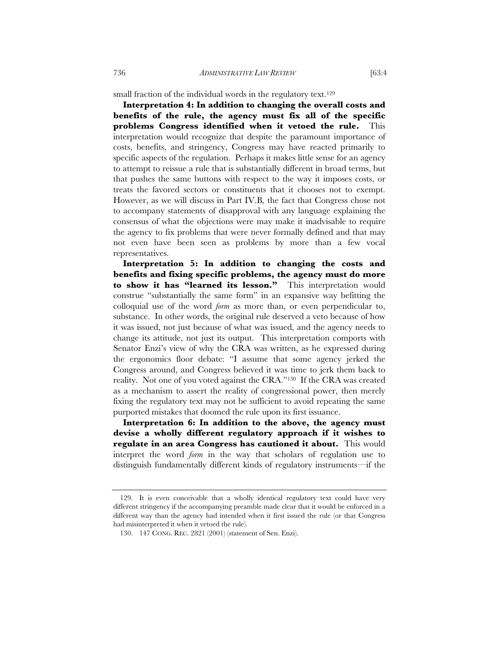small fraction of the individual words in the regulatory text.<sup>129</sup>

**Interpretation 4: In addition to changing the overall costs and benefits of the rule, the agency must fix all of the specific problems Congress identified when it vetoed the rule.** This interpretation would recognize that despite the paramount importance of costs, benefits, and stringency, Congress may have reacted primarily to specific aspects of the regulation. Perhaps it makes little sense for an agency to attempt to reissue a rule that is substantially different in broad terms, but that pushes the same buttons with respect to the way it imposes costs, or treats the favored sectors or constituents that it chooses not to exempt. However, as we will discuss in Part IV.B*,* the fact that Congress chose not to accompany statements of disapproval with any language explaining the consensus of what the objections were may make it inadvisable to require the agency to fix problems that were never formally defined and that may not even have been seen as problems by more than a few vocal representatives.

**Interpretation 5: In addition to changing the costs and benefits and fixing specific problems, the agency must do more to show it has "learned its lesson."** This interpretation would construe "substantially the same form" in an expansive way befitting the colloquial use of the word *form* as more than, or even perpendicular to, substance. In other words, the original rule deserved a veto because of how it was issued, not just because of what was issued, and the agency needs to change its attitude, not just its output. This interpretation comports with Senator Enzi's view of why the CRA was written, as he expressed during the ergonomics floor debate: "I assume that some agency jerked the Congress around, and Congress believed it was time to jerk them back to reality. Not one of you voted against the CRA."130 If the CRA was created as a mechanism to assert the reality of congressional power, then merely fixing the regulatory text may not be sufficient to avoid repeating the same purported mistakes that doomed the rule upon its first issuance.

**Interpretation 6: In addition to the above, the agency must devise a wholly different regulatory approach if it wishes to regulate in an area Congress has cautioned it about.** This would interpret the word *form* in the way that scholars of regulation use to distinguish fundamentally different kinds of regulatory instruments—if the

 <sup>129.</sup> It is even conceivable that a wholly identical regulatory text could have very different stringency if the accompanying preamble made clear that it would be enforced in a different way than the agency had intended when it first issued the rule (or that Congress had misinterpreted it when it vetoed the rule).

 <sup>130. 147</sup> CONG. REC. 2821 (2001) (statement of Sen. Enzi).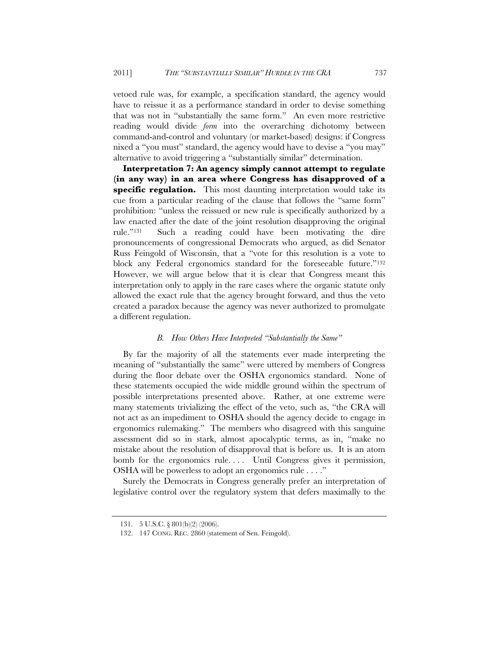vetoed rule was, for example, a specification standard, the agency would have to reissue it as a performance standard in order to devise something that was not in "substantially the same form." An even more restrictive reading would divide *form* into the overarching dichotomy between command-and-control and voluntary (or market-based) designs: if Congress nixed a "you must" standard, the agency would have to devise a "you may" alternative to avoid triggering a "substantially similar" determination.

**Interpretation 7: An agency simply cannot attempt to regulate (in any way) in an area where Congress has disapproved of a specific regulation.** This most daunting interpretation would take its cue from a particular reading of the clause that follows the "same form" prohibition: "unless the reissued or new rule is specifically authorized by a law enacted after the date of the joint resolution disapproving the original rule."131 Such a reading could have been motivating the dire pronouncements of congressional Democrats who argued, as did Senator Russ Feingold of Wisconsin, that a "vote for this resolution is a vote to block any Federal ergonomics standard for the foreseeable future."132 However, we will argue below that it is clear that Congress meant this interpretation only to apply in the rare cases where the organic statute only allowed the exact rule that the agency brought forward, and thus the veto created a paradox because the agency was never authorized to promulgate a different regulation.

## *B. How Others Have Interpreted "Substantially the Same"*

By far the majority of all the statements ever made interpreting the meaning of "substantially the same" were uttered by members of Congress during the floor debate over the OSHA ergonomics standard. None of these statements occupied the wide middle ground within the spectrum of possible interpretations presented above. Rather, at one extreme were many statements trivializing the effect of the veto, such as, "the CRA will not act as an impediment to OSHA should the agency decide to engage in ergonomics rulemaking." The members who disagreed with this sanguine assessment did so in stark, almost apocalyptic terms, as in, "make no mistake about the resolution of disapproval that is before us. It is an atom bomb for the ergonomics rule.... Until Congress gives it permission, OSHA will be powerless to adopt an ergonomics rule . . . ."

Surely the Democrats in Congress generally prefer an interpretation of legislative control over the regulatory system that defers maximally to the

<sup>131. 5</sup> U.S.C. § 801(b)(2) (2006).

 <sup>132. 147</sup> CONG. REC. 2860 (statement of Sen. Feingold).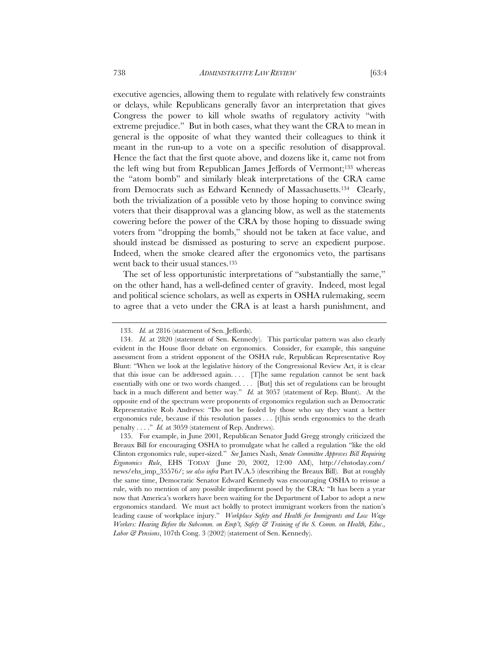executive agencies, allowing them to regulate with relatively few constraints or delays, while Republicans generally favor an interpretation that gives Congress the power to kill whole swaths of regulatory activity "with extreme prejudice." But in both cases, what they want the CRA to mean in general is the opposite of what they wanted their colleagues to think it meant in the run-up to a vote on a specific resolution of disapproval. Hence the fact that the first quote above, and dozens like it, came not from the left wing but from Republican James Jeffords of Vermont;133 whereas the "atom bomb" and similarly bleak interpretations of the CRA came from Democrats such as Edward Kennedy of Massachusetts.<sup>134</sup> Clearly, both the trivialization of a possible veto by those hoping to convince swing voters that their disapproval was a glancing blow, as well as the statements cowering before the power of the CRA by those hoping to dissuade swing voters from "dropping the bomb," should not be taken at face value, and should instead be dismissed as posturing to serve an expedient purpose. Indeed, when the smoke cleared after the ergonomics veto, the partisans

went back to their usual stances.<sup>135</sup> The set of less opportunistic interpretations of "substantially the same," on the other hand, has a well-defined center of gravity. Indeed, most legal and political science scholars, as well as experts in OSHA rulemaking, seem to agree that a veto under the CRA is at least a harsh punishment, and

 <sup>133.</sup> *Id.* at 2816 (statement of Sen. Jeffords).

 <sup>134.</sup> *Id.* at 2820 (statement of Sen. Kennedy). This particular pattern was also clearly evident in the House floor debate on ergonomics. Consider, for example, this sanguine assessment from a strident opponent of the OSHA rule, Republican Representative Roy Blunt: "When we look at the legislative history of the Congressional Review Act, it is clear that this issue can be addressed again.... [T]he same regulation cannot be sent back essentially with one or two words changed. . . . [But] this set of regulations can be brought back in a much different and better way." *Id.* at 3057 (statement of Rep. Blunt). At the opposite end of the spectrum were proponents of ergonomics regulation such as Democratic Representative Rob Andrews: "Do not be fooled by those who say they want a better ergonomics rule, because if this resolution passes . . . [t]his sends ergonomics to the death penalty . . . ." *Id.* at 3059 (statement of Rep. Andrews).

<sup>135.</sup> For example, in June 2001, Republican Senator Judd Gregg strongly criticized the Breaux Bill for encouraging OSHA to promulgate what he called a regulation "like the old Clinton ergonomics rule, super-sized." *See* James Nash, *Senate Committee Approves Bill Requiring Ergonomics Rule*, EHS TODAY (June 20, 2002, 12:00 AM), http://ehstoday.com/ news/ehs\_imp\_35576/; *see also infra* Part IV.A.5 (describing the Breaux Bill). But at roughly the same time, Democratic Senator Edward Kennedy was encouraging OSHA to reissue a rule, with no mention of any possible impediment posed by the CRA: "It has been a year now that America's workers have been waiting for the Department of Labor to adopt a new ergonomics standard. We must act boldly to protect immigrant workers from the nation's leading cause of workplace injury." *Workplace Safety and Health for Immigrants and Low Wage Workers: Hearing Before the Subcomm. on Emp't, Safety & Training of the S. Comm. on Health, Educ., Labor & Pensions*, 107th Cong. 3 (2002) (statement of Sen. Kennedy).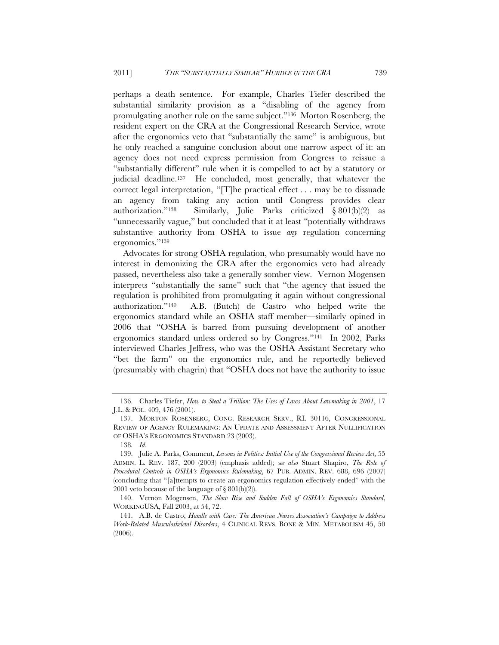perhaps a death sentence. For example, Charles Tiefer described the substantial similarity provision as a "disabling of the agency from promulgating another rule on the same subject."136 Morton Rosenberg, the resident expert on the CRA at the Congressional Research Service, wrote after the ergonomics veto that "substantially the same" is ambiguous, but he only reached a sanguine conclusion about one narrow aspect of it: an agency does not need express permission from Congress to reissue a "substantially different" rule when it is compelled to act by a statutory or judicial deadline.<sup>137</sup> He concluded, most generally, that whatever the correct legal interpretation, "[T]he practical effect . . . may be to dissuade an agency from taking any action until Congress provides clear authorization."138 Similarly, Julie Parks criticized § 801(b)(2) as "unnecessarily vague," but concluded that it at least "potentially withdraws substantive authority from OSHA to issue *any* regulation concerning ergonomics."139

Advocates for strong OSHA regulation, who presumably would have no interest in demonizing the CRA after the ergonomics veto had already passed, nevertheless also take a generally somber view. Vernon Mogensen interprets "substantially the same" such that "the agency that issued the regulation is prohibited from promulgating it again without congressional authorization."140 A.B. (Butch) de Castro—who helped write the ergonomics standard while an OSHA staff member—similarly opined in 2006 that "OSHA is barred from pursuing development of another ergonomics standard unless ordered so by Congress."141 In 2002, Parks interviewed Charles Jeffress, who was the OSHA Assistant Secretary who "bet the farm" on the ergonomics rule, and he reportedly believed (presumably with chagrin) that "OSHA does not have the authority to issue

 <sup>136.</sup> Charles Tiefer, *How to Steal a Trillion: The Uses of Laws About Lawmaking in 2001*, 17 J.L. & POL. 409, 476 (2001).

 <sup>137.</sup> MORTON ROSENBERG, CONG. RESEARCH SERV., RL 30116, CONGRESSIONAL REVIEW OF AGENCY RULEMAKING: AN UPDATE AND ASSESSMENT AFTER NULLIFICATION OF OSHA'S ERGONOMICS STANDARD 23 (2003).

<sup>138</sup>*. Id.*

 <sup>139.</sup> Julie A. Parks, Comment, *Lessons in Politics: Initial Use of the Congressional Review Act*, 55 ADMIN. L. REV. 187, 200 (2003) (emphasis added); *see also* Stuart Shapiro, *The Role of Procedural Controls in OSHA's Ergonomics Rulemaking*, 67 PUB. ADMIN. REV. 688, 696 (2007) (concluding that "[a]ttempts to create an ergonomics regulation effectively ended" with the 2001 veto because of the language of  $\S 801(b)(2)$ .

 <sup>140.</sup> Vernon Mogensen, *The Slow Rise and Sudden Fall of OSHA's Ergonomics Standard*, WORKINGUSA, Fall 2003, at 54, 72.

 <sup>141.</sup> A.B. de Castro, *Handle with Care: The American Nurses Association's Campaign to Address Work-Related Musculoskeletal Disorders*, 4 CLINICAL REVS. BONE & MIN. METABOLISM 45, 50 (2006).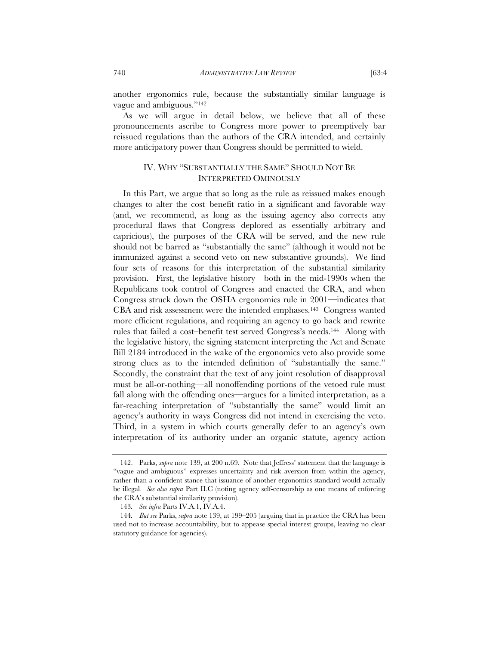another ergonomics rule, because the substantially similar language is vague and ambiguous."142

As we will argue in detail below, we believe that all of these pronouncements ascribe to Congress more power to preemptively bar reissued regulations than the authors of the CRA intended, and certainly more anticipatory power than Congress should be permitted to wield.

# IV. WHY "SUBSTANTIALLY THE SAME" SHOULD NOT BE INTERPRETED OMINOUSLY

In this Part, we argue that so long as the rule as reissued makes enough changes to alter the cost–benefit ratio in a significant and favorable way (and, we recommend, as long as the issuing agency also corrects any procedural flaws that Congress deplored as essentially arbitrary and capricious), the purposes of the CRA will be served, and the new rule should not be barred as "substantially the same" (although it would not be immunized against a second veto on new substantive grounds). We find four sets of reasons for this interpretation of the substantial similarity provision. First, the legislative history—both in the mid-1990s when the Republicans took control of Congress and enacted the CRA, and when Congress struck down the OSHA ergonomics rule in 2001—indicates that CBA and risk assessment were the intended emphases.143 Congress wanted more efficient regulations, and requiring an agency to go back and rewrite rules that failed a cost–benefit test served Congress's needs.144 Along with the legislative history, the signing statement interpreting the Act and Senate Bill 2184 introduced in the wake of the ergonomics veto also provide some strong clues as to the intended definition of "substantially the same." Secondly, the constraint that the text of any joint resolution of disapproval must be all-or-nothing—all nonoffending portions of the vetoed rule must fall along with the offending ones—argues for a limited interpretation, as a far-reaching interpretation of "substantially the same" would limit an agency's authority in ways Congress did not intend in exercising the veto. Third, in a system in which courts generally defer to an agency's own interpretation of its authority under an organic statute, agency action

 <sup>142.</sup> Parks, *supra* note 139, at 200 n.69. Note that Jeffress' statement that the language is "vague and ambiguous" expresses uncertainty and risk aversion from within the agency, rather than a confident stance that issuance of another ergonomics standard would actually be illegal. *See also supra* Part II.C (noting agency self-censorship as one means of enforcing the CRA's substantial similarity provision).

<sup>143</sup>*. See infra* Parts IV.A.1, IV.A.4.

<sup>144</sup>*. But see* Parks, *supra* note 139, at 199–205 (arguing that in practice the CRA has been used not to increase accountability, but to appease special interest groups, leaving no clear statutory guidance for agencies).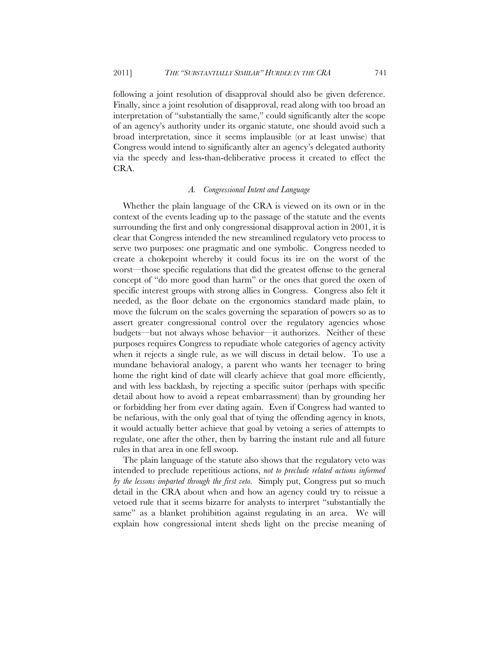following a joint resolution of disapproval should also be given deference. Finally, since a joint resolution of disapproval, read along with too broad an interpretation of "substantially the same," could significantly alter the scope of an agency's authority under its organic statute, one should avoid such a broad interpretation, since it seems implausible (or at least unwise) that Congress would intend to significantly alter an agency's delegated authority via the speedy and less-than-deliberative process it created to effect the CRA.

#### *A. Congressional Intent and Language*

Whether the plain language of the CRA is viewed on its own or in the context of the events leading up to the passage of the statute and the events surrounding the first and only congressional disapproval action in 2001, it is clear that Congress intended the new streamlined regulatory veto process to serve two purposes: one pragmatic and one symbolic. Congress needed to create a chokepoint whereby it could focus its ire on the worst of the worst—those specific regulations that did the greatest offense to the general concept of "do more good than harm" or the ones that gored the oxen of specific interest groups with strong allies in Congress. Congress also felt it needed, as the floor debate on the ergonomics standard made plain, to move the fulcrum on the scales governing the separation of powers so as to assert greater congressional control over the regulatory agencies whose budgets—but not always whose behavior—it authorizes. Neither of these purposes requires Congress to repudiate whole categories of agency activity when it rejects a single rule, as we will discuss in detail below. To use a mundane behavioral analogy, a parent who wants her teenager to bring home the right kind of date will clearly achieve that goal more efficiently, and with less backlash, by rejecting a specific suitor (perhaps with specific detail about how to avoid a repeat embarrassment) than by grounding her or forbidding her from ever dating again. Even if Congress had wanted to be nefarious, with the only goal that of tying the offending agency in knots, it would actually better achieve that goal by vetoing a series of attempts to regulate, one after the other, then by barring the instant rule and all future rules in that area in one fell swoop.

The plain language of the statute also shows that the regulatory veto was intended to preclude repetitious actions, *not to preclude related actions informed by the lessons imparted through the first veto.* Simply put, Congress put so much detail in the CRA about when and how an agency could try to reissue a vetoed rule that it seems bizarre for analysts to interpret "substantially the same" as a blanket prohibition against regulating in an area. We will explain how congressional intent sheds light on the precise meaning of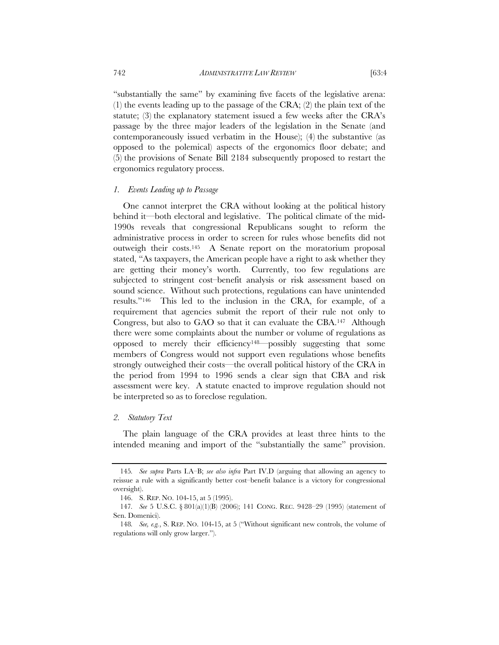"substantially the same" by examining five facets of the legislative arena: (1) the events leading up to the passage of the CRA; (2) the plain text of the statute; (3) the explanatory statement issued a few weeks after the CRA's passage by the three major leaders of the legislation in the Senate (and contemporaneously issued verbatim in the House); (4) the substantive (as opposed to the polemical) aspects of the ergonomics floor debate; and (5) the provisions of Senate Bill 2184 subsequently proposed to restart the ergonomics regulatory process.

#### *1. Events Leading up to Passage*

One cannot interpret the CRA without looking at the political history behind it—both electoral and legislative. The political climate of the mid-1990s reveals that congressional Republicans sought to reform the administrative process in order to screen for rules whose benefits did not outweigh their costs.145 A Senate report on the moratorium proposal stated, "As taxpayers, the American people have a right to ask whether they are getting their money's worth. Currently, too few regulations are subjected to stringent cost–benefit analysis or risk assessment based on sound science. Without such protections, regulations can have unintended results."146 This led to the inclusion in the CRA, for example, of a requirement that agencies submit the report of their rule not only to Congress, but also to GAO so that it can evaluate the CBA.147 Although there were some complaints about the number or volume of regulations as opposed to merely their efficiency148—possibly suggesting that some members of Congress would not support even regulations whose benefits strongly outweighed their costs—the overall political history of the CRA in the period from 1994 to 1996 sends a clear sign that CBA and risk assessment were key. A statute enacted to improve regulation should not be interpreted so as to foreclose regulation.

#### *2. Statutory Text*

The plain language of the CRA provides at least three hints to the intended meaning and import of the "substantially the same" provision.

<sup>145</sup>*. See supra* Parts I.A–B; *see also infra* Part IV.D (arguing that allowing an agency to reissue a rule with a significantly better cost–benefit balance is a victory for congressional oversight).

 <sup>146.</sup> S. REP. NO. 104-15, at 5 (1995).

<sup>147</sup>*. See* 5 U.S.C. § 801(a)(1)(B) (2006); 141 CONG. REC. 9428–29 (1995) (statement of Sen. Domenici).

<sup>148</sup>*. See, e.g.*, S. REP. NO. 104-15, at 5 ("Without significant new controls, the volume of regulations will only grow larger.").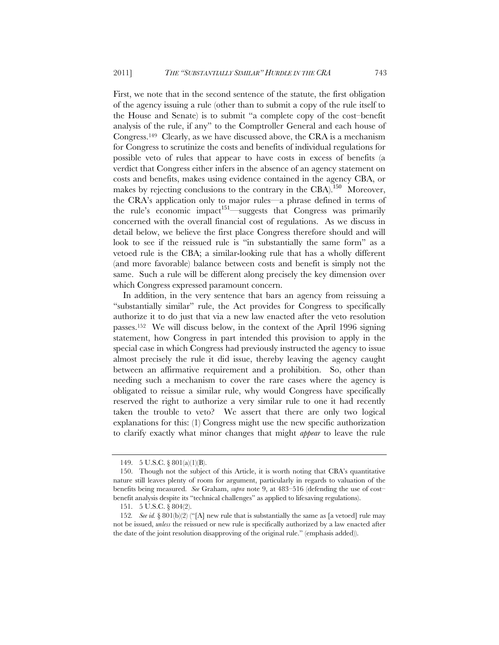First, we note that in the second sentence of the statute, the first obligation of the agency issuing a rule (other than to submit a copy of the rule itself to the House and Senate) is to submit "a complete copy of the cost–benefit analysis of the rule, if any" to the Comptroller General and each house of Congress.149 Clearly, as we have discussed above, the CRA is a mechanism for Congress to scrutinize the costs and benefits of individual regulations for possible veto of rules that appear to have costs in excess of benefits (a verdict that Congress either infers in the absence of an agency statement on costs and benefits, makes using evidence contained in the agency CBA, or makes by rejecting conclusions to the contrary in the CBA).<sup>150</sup> Moreover, the CRA's application only to major rules—a phrase defined in terms of the rule's economic impact<sup>151—suggests</sup> that Congress was primarily concerned with the overall financial cost of regulations. As we discuss in detail below, we believe the first place Congress therefore should and will look to see if the reissued rule is "in substantially the same form" as a vetoed rule is the CBA; a similar-looking rule that has a wholly different (and more favorable) balance between costs and benefit is simply not the same. Such a rule will be different along precisely the key dimension over which Congress expressed paramount concern.

In addition, in the very sentence that bars an agency from reissuing a "substantially similar" rule, the Act provides for Congress to specifically authorize it to do just that via a new law enacted after the veto resolution passes.152 We will discuss below, in the context of the April 1996 signing statement, how Congress in part intended this provision to apply in the special case in which Congress had previously instructed the agency to issue almost precisely the rule it did issue, thereby leaving the agency caught between an affirmative requirement and a prohibition. So, other than needing such a mechanism to cover the rare cases where the agency is obligated to reissue a similar rule, why would Congress have specifically reserved the right to authorize a very similar rule to one it had recently taken the trouble to veto? We assert that there are only two logical explanations for this: (1) Congress might use the new specific authorization to clarify exactly what minor changes that might *appear* to leave the rule

<sup>149. 5</sup> U.S.C. § 801(a)(1)(B).

<sup>150.</sup> Though not the subject of this Article, it is worth noting that CBA's quantitative nature still leaves plenty of room for argument, particularly in regards to valuation of the benefits being measured. *See* Graham, *supra* note 9, at 483–516 (defending the use of cost– benefit analysis despite its "technical challenges" as applied to lifesaving regulations).

<sup>151. 5</sup> U.S.C. § 804(2).

<sup>152</sup>*. See id.* § 801(b)(2) ("[A] new rule that is substantially the same as [a vetoed] rule may not be issued, *unless* the reissued or new rule is specifically authorized by a law enacted after the date of the joint resolution disapproving of the original rule." (emphasis added)).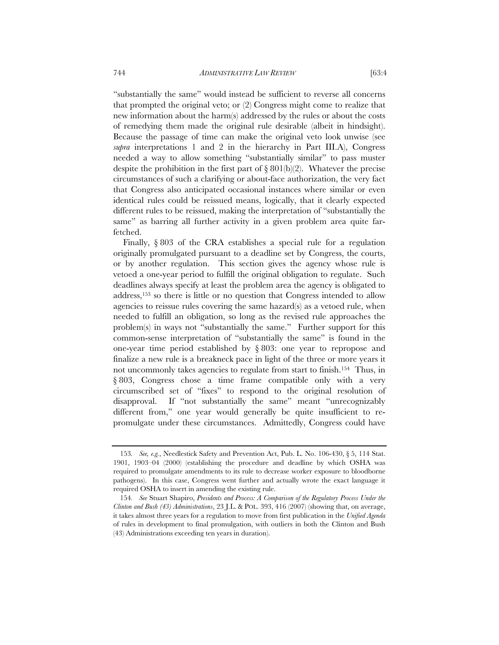"substantially the same" would instead be sufficient to reverse all concerns that prompted the original veto; or (2) Congress might come to realize that new information about the harm(s) addressed by the rules or about the costs of remedying them made the original rule desirable (albeit in hindsight). Because the passage of time can make the original veto look unwise (see *supra* interpretations 1 and 2 in the hierarchy in Part III.A), Congress needed a way to allow something "substantially similar" to pass muster despite the prohibition in the first part of  $\S 801(b)(2)$ . Whatever the precise circumstances of such a clarifying or about-face authorization, the very fact that Congress also anticipated occasional instances where similar or even identical rules could be reissued means, logically, that it clearly expected different rules to be reissued, making the interpretation of "substantially the same" as barring all further activity in a given problem area quite farfetched.

Finally, § 803 of the CRA establishes a special rule for a regulation originally promulgated pursuant to a deadline set by Congress, the courts, or by another regulation. This section gives the agency whose rule is vetoed a one-year period to fulfill the original obligation to regulate. Such deadlines always specify at least the problem area the agency is obligated to address,153 so there is little or no question that Congress intended to allow agencies to reissue rules covering the same hazard(s) as a vetoed rule, when needed to fulfill an obligation, so long as the revised rule approaches the problem(s) in ways not "substantially the same." Further support for this common-sense interpretation of "substantially the same" is found in the one-year time period established by § 803: one year to repropose and finalize a new rule is a breakneck pace in light of the three or more years it not uncommonly takes agencies to regulate from start to finish.154 Thus, in § 803, Congress chose a time frame compatible only with a very circumscribed set of "fixes" to respond to the original resolution of disapproval. If "not substantially the same" meant "unrecognizably different from," one year would generally be quite insufficient to repromulgate under these circumstances. Admittedly, Congress could have

<sup>153</sup>*. See, e.g.*, Needlestick Safety and Prevention Act, Pub. L. No. 106-430, § 5, 114 Stat. 1901, 1903–04 (2000) (establishing the procedure and deadline by which OSHA was required to promulgate amendments to its rule to decrease worker exposure to bloodborne pathogens). In this case, Congress went further and actually wrote the exact language it required OSHA to insert in amending the existing rule.

<sup>154</sup>*. See* Stuart Shapiro, *Presidents and Process: A Comparison of the Regulatory Process Under the Clinton and Bush (43) Administrations*, 23 J.L. & POL. 393, 416 (2007) (showing that, on average, it takes almost three years for a regulation to move from first publication in the *Unified Agenda* of rules in development to final promulgation, with outliers in both the Clinton and Bush (43) Administrations exceeding ten years in duration).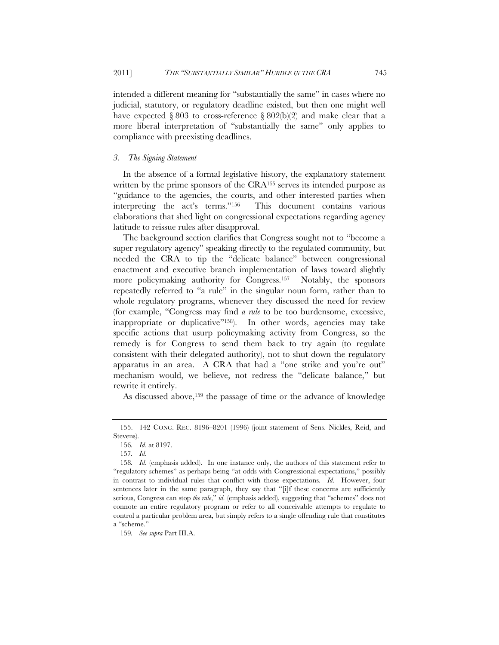intended a different meaning for "substantially the same" in cases where no judicial, statutory, or regulatory deadline existed, but then one might well have expected § 803 to cross-reference § 802(b)(2) and make clear that a more liberal interpretation of "substantially the same" only applies to compliance with preexisting deadlines.

### *3. The Signing Statement*

In the absence of a formal legislative history, the explanatory statement written by the prime sponsors of the CRA<sup>155</sup> serves its intended purpose as "guidance to the agencies, the courts, and other interested parties when interpreting the act's terms."156 This document contains various elaborations that shed light on congressional expectations regarding agency latitude to reissue rules after disapproval.

The background section clarifies that Congress sought not to "become a super regulatory agency" speaking directly to the regulated community, but needed the CRA to tip the "delicate balance" between congressional enactment and executive branch implementation of laws toward slightly more policymaking authority for Congress.157 Notably, the sponsors repeatedly referred to "a rule" in the singular noun form, rather than to whole regulatory programs, whenever they discussed the need for review (for example, "Congress may find *a rule* to be too burdensome, excessive, inappropriate or duplicative"158). In other words, agencies may take specific actions that usurp policymaking activity from Congress, so the remedy is for Congress to send them back to try again (to regulate consistent with their delegated authority), not to shut down the regulatory apparatus in an area. A CRA that had a "one strike and you're out" mechanism would, we believe, not redress the "delicate balance," but rewrite it entirely.

As discussed above,159 the passage of time or the advance of knowledge

 <sup>155. 142</sup> CONG. REC. 8196–8201 (1996) (joint statement of Sens. Nickles, Reid, and Stevens).

<sup>156</sup>*. Id.* at 8197.

<sup>157</sup>*. Id.*

<sup>158</sup>*. Id.* (emphasis added). In one instance only, the authors of this statement refer to "regulatory schemes" as perhaps being "at odds with Congressional expectations," possibly in contrast to individual rules that conflict with those expectations. *Id.* However, four sentences later in the same paragraph, they say that "[i]f these concerns are sufficiently serious, Congress can stop *the rule*," *id.* (emphasis added), suggesting that "schemes" does not connote an entire regulatory program or refer to all conceivable attempts to regulate to control a particular problem area, but simply refers to a single offending rule that constitutes a "scheme."

<sup>159</sup>*. See supra* Part III.A.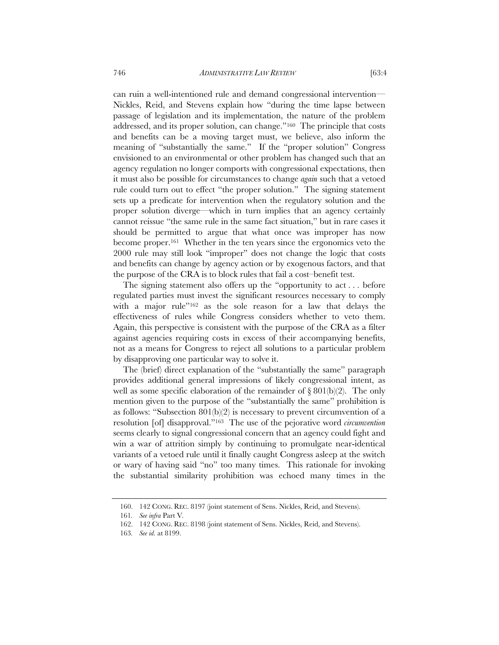can ruin a well-intentioned rule and demand congressional intervention— Nickles, Reid, and Stevens explain how "during the time lapse between passage of legislation and its implementation, the nature of the problem addressed, and its proper solution, can change."160 The principle that costs and benefits can be a moving target must, we believe, also inform the meaning of "substantially the same." If the "proper solution" Congress envisioned to an environmental or other problem has changed such that an agency regulation no longer comports with congressional expectations, then it must also be possible for circumstances to change *again* such that a vetoed rule could turn out to effect "the proper solution." The signing statement sets up a predicate for intervention when the regulatory solution and the proper solution diverge—which in turn implies that an agency certainly cannot reissue "the same rule in the same fact situation," but in rare cases it should be permitted to argue that what once was improper has now become proper.161 Whether in the ten years since the ergonomics veto the 2000 rule may still look "improper" does not change the logic that costs and benefits can change by agency action or by exogenous factors, and that the purpose of the CRA is to block rules that fail a cost–benefit test.

The signing statement also offers up the "opportunity to act . . . before regulated parties must invest the significant resources necessary to comply with a major rule"162 as the sole reason for a law that delays the effectiveness of rules while Congress considers whether to veto them. Again, this perspective is consistent with the purpose of the CRA as a filter against agencies requiring costs in excess of their accompanying benefits, not as a means for Congress to reject all solutions to a particular problem by disapproving one particular way to solve it.

The (brief) direct explanation of the "substantially the same" paragraph provides additional general impressions of likely congressional intent, as well as some specific elaboration of the remainder of  $\S 801(b)(2)$ . The only mention given to the purpose of the "substantially the same" prohibition is as follows: "Subsection  $801(b)(2)$  is necessary to prevent circumvention of a resolution [of] disapproval."163 The use of the pejorative word *circumvention* seems clearly to signal congressional concern that an agency could fight and win a war of attrition simply by continuing to promulgate near-identical variants of a vetoed rule until it finally caught Congress asleep at the switch or wary of having said "no" too many times. This rationale for invoking the substantial similarity prohibition was echoed many times in the

 <sup>160. 142</sup> CONG. REC. 8197 (joint statement of Sens. Nickles, Reid, and Stevens).

<sup>161</sup>*. See infra* Part V*.*

 <sup>162. 142</sup> CONG. REC. 8198 (joint statement of Sens. Nickles, Reid, and Stevens).

<sup>163</sup>*. See id.* at 8199.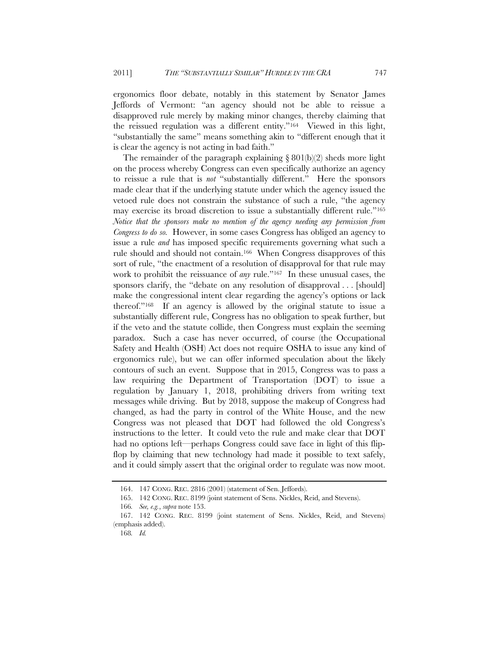ergonomics floor debate, notably in this statement by Senator James Jeffords of Vermont: "an agency should not be able to reissue a disapproved rule merely by making minor changes, thereby claiming that the reissued regulation was a different entity."164 Viewed in this light, "substantially the same" means something akin to "different enough that it is clear the agency is not acting in bad faith."

The remainder of the paragraph explaining  $\S 801(b)(2)$  sheds more light on the process whereby Congress can even specifically authorize an agency to reissue a rule that is *not* "substantially different." Here the sponsors made clear that if the underlying statute under which the agency issued the vetoed rule does not constrain the substance of such a rule, "the agency may exercise its broad discretion to issue a substantially different rule."165 *Notice that the sponsors make no mention of the agency needing any permission from Congress to do so.* However, in some cases Congress has obliged an agency to issue a rule *and* has imposed specific requirements governing what such a rule should and should not contain.166 When Congress disapproves of this sort of rule, "the enactment of a resolution of disapproval for that rule may work to prohibit the reissuance of *any* rule."167 In these unusual cases, the sponsors clarify, the "debate on any resolution of disapproval . . . [should] make the congressional intent clear regarding the agency's options or lack thereof."168 If an agency is allowed by the original statute to issue a substantially different rule, Congress has no obligation to speak further, but if the veto and the statute collide, then Congress must explain the seeming paradox. Such a case has never occurred, of course (the Occupational Safety and Health (OSH) Act does not require OSHA to issue any kind of ergonomics rule), but we can offer informed speculation about the likely contours of such an event. Suppose that in 2015, Congress was to pass a law requiring the Department of Transportation (DOT) to issue a regulation by January 1, 2018, prohibiting drivers from writing text messages while driving. But by 2018, suppose the makeup of Congress had changed, as had the party in control of the White House, and the new Congress was not pleased that DOT had followed the old Congress's instructions to the letter. It could veto the rule and make clear that DOT had no options left—perhaps Congress could save face in light of this flipflop by claiming that new technology had made it possible to text safely, and it could simply assert that the original order to regulate was now moot.

 <sup>164. 147</sup> CONG. REC. 2816 (2001) (statement of Sen. Jeffords).

 <sup>165. 142</sup> CONG. REC. 8199 (joint statement of Sens. Nickles, Reid, and Stevens).

<sup>166</sup>*. See, e.g.*, *supra* note 153.

 <sup>167. 142</sup> CONG. REC. 8199 (joint statement of Sens. Nickles, Reid, and Stevens) (emphasis added).

<sup>168</sup>*. Id.*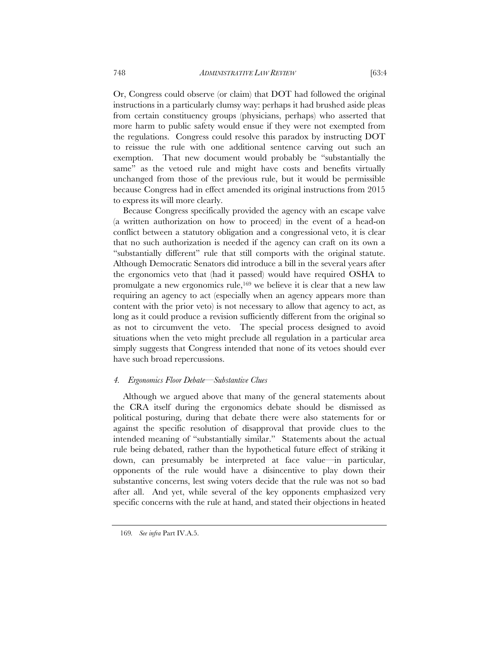Or, Congress could observe (or claim) that DOT had followed the original instructions in a particularly clumsy way: perhaps it had brushed aside pleas from certain constituency groups (physicians, perhaps) who asserted that more harm to public safety would ensue if they were not exempted from the regulations. Congress could resolve this paradox by instructing DOT to reissue the rule with one additional sentence carving out such an exemption. That new document would probably be "substantially the same" as the vetoed rule and might have costs and benefits virtually unchanged from those of the previous rule, but it would be permissible because Congress had in effect amended its original instructions from 2015

Because Congress specifically provided the agency with an escape valve (a written authorization on how to proceed) in the event of a head-on conflict between a statutory obligation and a congressional veto, it is clear that no such authorization is needed if the agency can craft on its own a "substantially different" rule that still comports with the original statute. Although Democratic Senators did introduce a bill in the several years after the ergonomics veto that (had it passed) would have required OSHA to promulgate a new ergonomics rule,<sup>169</sup> we believe it is clear that a new law requiring an agency to act (especially when an agency appears more than content with the prior veto) is not necessary to allow that agency to act, as long as it could produce a revision sufficiently different from the original so as not to circumvent the veto. The special process designed to avoid situations when the veto might preclude all regulation in a particular area simply suggests that Congress intended that none of its vetoes should ever have such broad repercussions.

#### *4. Ergonomics Floor Debate—Substantive Clues*

to express its will more clearly.

Although we argued above that many of the general statements about the CRA itself during the ergonomics debate should be dismissed as political posturing, during that debate there were also statements for or against the specific resolution of disapproval that provide clues to the intended meaning of "substantially similar." Statements about the actual rule being debated, rather than the hypothetical future effect of striking it down, can presumably be interpreted at face value—in particular, opponents of the rule would have a disincentive to play down their substantive concerns, lest swing voters decide that the rule was not so bad after all. And yet, while several of the key opponents emphasized very specific concerns with the rule at hand, and stated their objections in heated

<sup>169</sup>*. See infra* Part IV.A.5.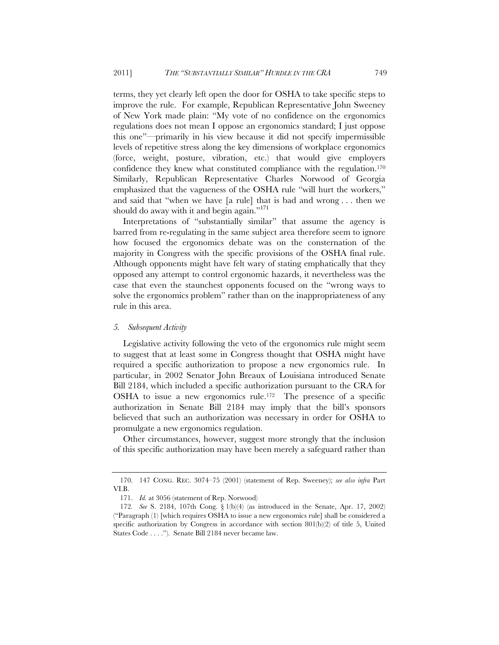terms, they yet clearly left open the door for OSHA to take specific steps to improve the rule. For example, Republican Representative John Sweeney of New York made plain: "My vote of no confidence on the ergonomics regulations does not mean I oppose an ergonomics standard; I just oppose this one"—primarily in his view because it did not specify impermissible levels of repetitive stress along the key dimensions of workplace ergonomics (force, weight, posture, vibration, etc.) that would give employers confidence they knew what constituted compliance with the regulation.170 Similarly, Republican Representative Charles Norwood of Georgia emphasized that the vagueness of the OSHA rule "will hurt the workers," and said that "when we have [a rule] that is bad and wrong . . . then we should do away with it and begin again."<sup>171</sup>

Interpretations of "substantially similar" that assume the agency is barred from re-regulating in the same subject area therefore seem to ignore how focused the ergonomics debate was on the consternation of the majority in Congress with the specific provisions of the OSHA final rule. Although opponents might have felt wary of stating emphatically that they opposed any attempt to control ergonomic hazards, it nevertheless was the case that even the staunchest opponents focused on the "wrong ways to solve the ergonomics problem" rather than on the inappropriateness of any rule in this area.

### *5. Subsequent Activity*

Legislative activity following the veto of the ergonomics rule might seem to suggest that at least some in Congress thought that OSHA might have required a specific authorization to propose a new ergonomics rule. In particular, in 2002 Senator John Breaux of Louisiana introduced Senate Bill 2184, which included a specific authorization pursuant to the CRA for OSHA to issue a new ergonomics rule.172 The presence of a specific authorization in Senate Bill 2184 may imply that the bill's sponsors believed that such an authorization was necessary in order for OSHA to promulgate a new ergonomics regulation.

Other circumstances, however, suggest more strongly that the inclusion of this specific authorization may have been merely a safeguard rather than

 <sup>170. 147</sup> CONG. REC. 3074–75 (2001) (statement of Rep. Sweeney); *see also infra* Part VI.B.

 <sup>171.</sup> *Id.* at 3056 (statement of Rep. Norwood)

<sup>172</sup>*. See* S. 2184, 107th Cong. § 1(b)(4) (as introduced in the Senate, Apr. 17, 2002) ("Paragraph (1) [which requires OSHA to issue a new ergonomics rule] shall be considered a specific authorization by Congress in accordance with section  $801(b)(2)$  of title 5, United States Code . . . ."). Senate Bill 2184 never became law.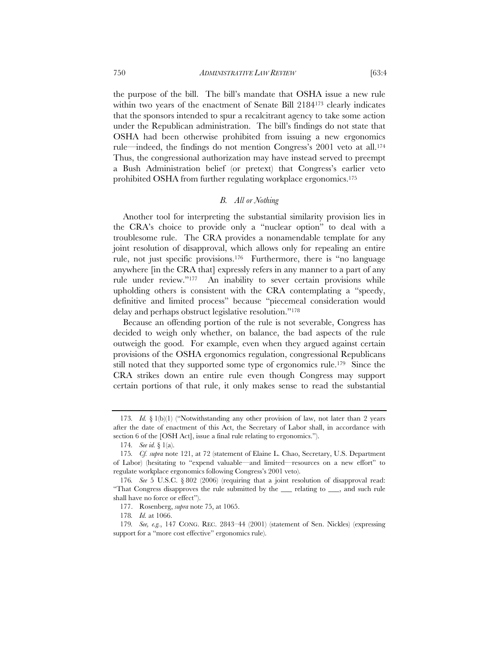the purpose of the bill. The bill's mandate that OSHA issue a new rule within two years of the enactment of Senate Bill 2184173 clearly indicates that the sponsors intended to spur a recalcitrant agency to take some action under the Republican administration. The bill's findings do not state that OSHA had been otherwise prohibited from issuing a new ergonomics rule—indeed, the findings do not mention Congress's 2001 veto at all.174 Thus, the congressional authorization may have instead served to preempt a Bush Administration belief (or pretext) that Congress's earlier veto prohibited OSHA from further regulating workplace ergonomics.175

#### *B. All or Nothing*

Another tool for interpreting the substantial similarity provision lies in the CRA's choice to provide only a "nuclear option" to deal with a troublesome rule. The CRA provides a nonamendable template for any joint resolution of disapproval, which allows only for repealing an entire rule, not just specific provisions.176 Furthermore, there is "no language anywhere [in the CRA that] expressly refers in any manner to a part of any rule under review."177 An inability to sever certain provisions while upholding others is consistent with the CRA contemplating a "speedy, definitive and limited process" because "piecemeal consideration would delay and perhaps obstruct legislative resolution."178

Because an offending portion of the rule is not severable, Congress has decided to weigh only whether, on balance, the bad aspects of the rule outweigh the good. For example, even when they argued against certain provisions of the OSHA ergonomics regulation, congressional Republicans still noted that they supported some type of ergonomics rule.179 Since the CRA strikes down an entire rule even though Congress may support certain portions of that rule, it only makes sense to read the substantial

<sup>173</sup>*. Id.* § 1(b)(1) ("Notwithstanding any other provision of law, not later than 2 years after the date of enactment of this Act, the Secretary of Labor shall, in accordance with section 6 of the [OSH Act], issue a final rule relating to ergonomics.").

<sup>174</sup>*. See id.* § 1(a).

<sup>175</sup>*. Cf. supra* note 121, at 72 (statement of Elaine L. Chao, Secretary, U.S. Department of Labor) (hesitating to "expend valuable—and limited—resources on a new effort" to regulate workplace ergonomics following Congress's 2001 veto).

<sup>176</sup>*. See* 5 U.S.C. § 802 (2006) (requiring that a joint resolution of disapproval read: "That Congress disapproves the rule submitted by the \_\_\_ relating to \_\_\_, and such rule shall have no force or effect").

 <sup>177.</sup> Rosenberg, *supra* note 75, at 1065.

<sup>178</sup>*. Id.* at 1066.

<sup>179</sup>*. See, e.g.*, 147 CONG. REC. 2843–44 (2001) (statement of Sen. Nickles) (expressing support for a "more cost effective" ergonomics rule).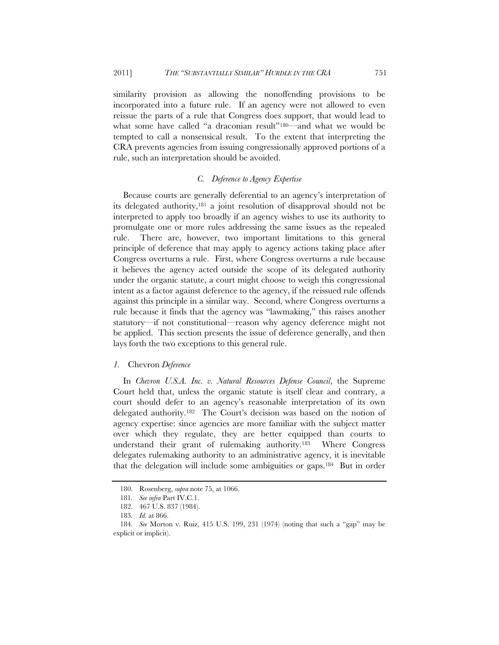similarity provision as allowing the nonoffending provisions to be incorporated into a future rule. If an agency were not allowed to even reissue the parts of a rule that Congress does support, that would lead to what some have called "a draconian result"<sup>180</sup>—and what we would be tempted to call a nonsensical result. To the extent that interpreting the CRA prevents agencies from issuing congressionally approved portions of a rule, such an interpretation should be avoided.

## *C. Deference to Agency Expertise*

Because courts are generally deferential to an agency's interpretation of its delegated authority,181 a joint resolution of disapproval should not be interpreted to apply too broadly if an agency wishes to use its authority to promulgate one or more rules addressing the same issues as the repealed rule. There are, however, two important limitations to this general principle of deference that may apply to agency actions taking place after Congress overturns a rule. First, where Congress overturns a rule because it believes the agency acted outside the scope of its delegated authority under the organic statute, a court might choose to weigh this congressional intent as a factor against deference to the agency, if the reissued rule offends against this principle in a similar way. Second, where Congress overturns a rule because it finds that the agency was "lawmaking," this raises another statutory—if not constitutional—reason why agency deference might not be applied. This section presents the issue of deference generally, and then lays forth the two exceptions to this general rule.

# *1.* Chevron *Deference*

In *Chevron U.S.A. Inc. v. Natural Resources Defense Council*, the Supreme Court held that, unless the organic statute is itself clear and contrary, a court should defer to an agency's reasonable interpretation of its own delegated authority.182 The Court's decision was based on the notion of agency expertise: since agencies are more familiar with the subject matter over which they regulate, they are better equipped than courts to understand their grant of rulemaking authority.183 Where Congress delegates rulemaking authority to an administrative agency, it is inevitable that the delegation will include some ambiguities or gaps.184 But in order

 <sup>180.</sup> Rosenberg, *supra* note 75, at 1066.

<sup>181</sup>*. See infra* Part IV.C.1.

<sup>182. 467</sup> U.S. 837 (1984).

<sup>183</sup>*. Id.* at 866.

<sup>184</sup>*. See* Morton v. Ruiz, 415 U.S. 199, 231 (1974) (noting that such a "gap" may be explicit or implicit).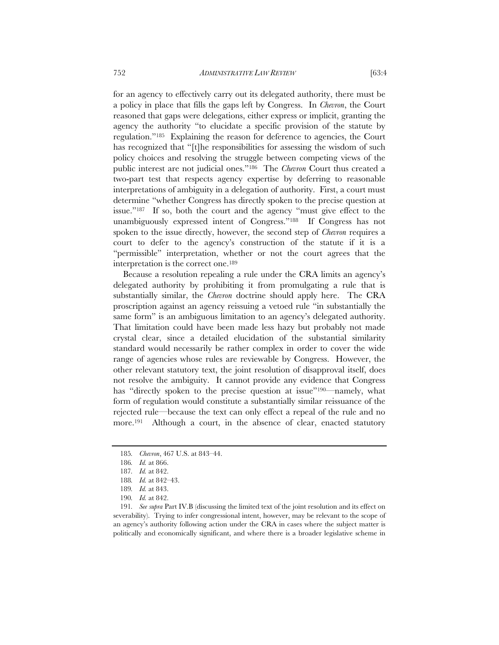for an agency to effectively carry out its delegated authority, there must be a policy in place that fills the gaps left by Congress. In *Chevron*, the Court reasoned that gaps were delegations, either express or implicit, granting the agency the authority "to elucidate a specific provision of the statute by regulation."185 Explaining the reason for deference to agencies, the Court has recognized that "[t]he responsibilities for assessing the wisdom of such policy choices and resolving the struggle between competing views of the public interest are not judicial ones."186 The *Chevron* Court thus created a two-part test that respects agency expertise by deferring to reasonable interpretations of ambiguity in a delegation of authority. First, a court must determine "whether Congress has directly spoken to the precise question at issue."187 If so, both the court and the agency "must give effect to the unambiguously expressed intent of Congress."188 If Congress has not spoken to the issue directly, however, the second step of *Chevron* requires a court to defer to the agency's construction of the statute if it is a "permissible" interpretation, whether or not the court agrees that the interpretation is the correct one.189

Because a resolution repealing a rule under the CRA limits an agency's delegated authority by prohibiting it from promulgating a rule that is substantially similar, the *Chevron* doctrine should apply here. The CRA proscription against an agency reissuing a vetoed rule "in substantially the same form" is an ambiguous limitation to an agency's delegated authority. That limitation could have been made less hazy but probably not made crystal clear, since a detailed elucidation of the substantial similarity standard would necessarily be rather complex in order to cover the wide range of agencies whose rules are reviewable by Congress. However, the other relevant statutory text, the joint resolution of disapproval itself, does not resolve the ambiguity. It cannot provide any evidence that Congress has "directly spoken to the precise question at issue"190—namely, what form of regulation would constitute a substantially similar reissuance of the rejected rule—because the text can only effect a repeal of the rule and no more.<sup>191</sup> Although a court, in the absence of clear, enacted statutory

191*. See supra* Part IV.B (discussing the limited text of the joint resolution and its effect on severability). Trying to infer congressional intent, however, may be relevant to the scope of an agency's authority following action under the CRA in cases where the subject matter is politically and economically significant, and where there is a broader legislative scheme in

<sup>185</sup>*. Chevron*, 467 U.S. at 843–44.

<sup>186</sup>*. Id.* at 866.

<sup>187</sup>*. Id.* at 842.

<sup>188</sup>*. Id.* at 842–43.

<sup>189</sup>*. Id.* at 843.

<sup>190</sup>*. Id.* at 842.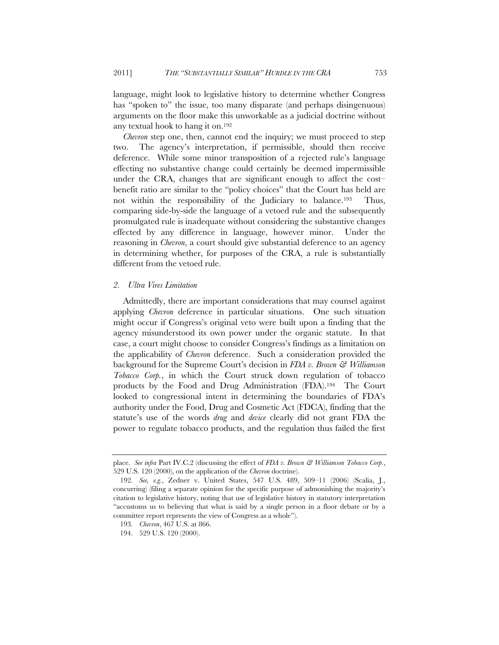language, might look to legislative history to determine whether Congress has "spoken to" the issue, too many disparate (and perhaps disingenuous) arguments on the floor make this unworkable as a judicial doctrine without any textual hook to hang it on.192

*Chevron* step one, then, cannot end the inquiry; we must proceed to step two. The agency's interpretation, if permissible, should then receive deference. While some minor transposition of a rejected rule's language effecting no substantive change could certainly be deemed impermissible under the CRA, changes that are significant enough to affect the cost– benefit ratio are similar to the "policy choices" that the Court has held are not within the responsibility of the Judiciary to balance.193 Thus, comparing side-by-side the language of a vetoed rule and the subsequently promulgated rule is inadequate without considering the substantive changes effected by any difference in language, however minor. Under the reasoning in *Chevron*, a court should give substantial deference to an agency in determining whether, for purposes of the CRA, a rule is substantially different from the vetoed rule.

### *2. Ultra Vires Limitation*

Admittedly, there are important considerations that may counsel against applying *Chevron* deference in particular situations. One such situation might occur if Congress's original veto were built upon a finding that the agency misunderstood its own power under the organic statute. In that case, a court might choose to consider Congress's findings as a limitation on the applicability of *Chevron* deference. Such a consideration provided the background for the Supreme Court's decision in *FDA v. Brown & Williamson Tobacco Corp.*, in which the Court struck down regulation of tobacco products by the Food and Drug Administration (FDA).194 The Court looked to congressional intent in determining the boundaries of FDA's authority under the Food, Drug and Cosmetic Act (FDCA), finding that the statute's use of the words *drug* and *device* clearly did not grant FDA the power to regulate tobacco products, and the regulation thus failed the first

place. *See infra* Part IV.C.2 (discussing the effect of *FDA v. Brown & Williamson Tobacco Corp.*, 529 U.S. 120 (2000), on the application of the *Chevron* doctrine).

<sup>192</sup>*. See, e.g.*, Zedner v. United States, 547 U.S. 489, 509–11 (2006) (Scalia, J., concurring) (filing a separate opinion for the specific purpose of admonishing the majority's citation to legislative history, noting that use of legislative history in statutory interpretation "accustoms us to believing that what is said by a single person in a floor debate or by a committee report represents the view of Congress as a whole").

<sup>193</sup>*. Chevron*, 467 U.S. at 866.

<sup>194. 529</sup> U.S. 120 (2000).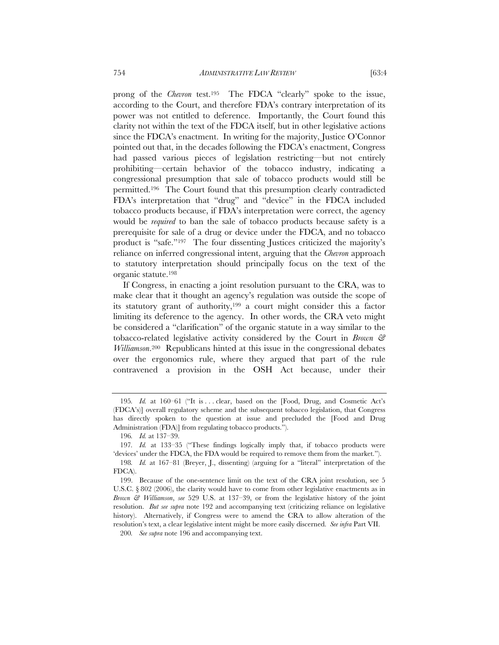prong of the *Chevron* test.195 The FDCA "clearly" spoke to the issue, according to the Court, and therefore FDA's contrary interpretation of its power was not entitled to deference. Importantly, the Court found this clarity not within the text of the FDCA itself, but in other legislative actions since the FDCA's enactment. In writing for the majority, Justice O'Connor pointed out that, in the decades following the FDCA's enactment, Congress had passed various pieces of legislation restricting—but not entirely prohibiting—certain behavior of the tobacco industry, indicating a congressional presumption that sale of tobacco products would still be permitted.196 The Court found that this presumption clearly contradicted FDA's interpretation that "drug" and "device" in the FDCA included tobacco products because, if FDA's interpretation were correct, the agency would be *required* to ban the sale of tobacco products because safety is a prerequisite for sale of a drug or device under the FDCA, and no tobacco product is "safe."197 The four dissenting Justices criticized the majority's reliance on inferred congressional intent, arguing that the *Chevron* approach to statutory interpretation should principally focus on the text of the organic statute.198

If Congress, in enacting a joint resolution pursuant to the CRA, was to make clear that it thought an agency's regulation was outside the scope of its statutory grant of authority,199 a court might consider this a factor limiting its deference to the agency. In other words, the CRA veto might be considered a "clarification" of the organic statute in a way similar to the tobacco-related legislative activity considered by the Court in *Brown & Williamson*.200 Republicans hinted at this issue in the congressional debates over the ergonomics rule, where they argued that part of the rule contravened a provision in the OSH Act because, under their

<sup>195</sup>*. Id.* at 160–61 ("It is ... clear, based on the [Food, Drug, and Cosmetic Act's (FDCA's)] overall regulatory scheme and the subsequent tobacco legislation, that Congress has directly spoken to the question at issue and precluded the [Food and Drug Administration (FDA)] from regulating tobacco products.").

<sup>196</sup>*. Id.* at 137–39.

<sup>197</sup>*. Id.* at 133–35 ("These findings logically imply that, if tobacco products were 'devices' under the FDCA, the FDA would be required to remove them from the market."). 198*. Id.* at 167–81 (Breyer, J., dissenting) (arguing for a "literal" interpretation of the FDCA).

 <sup>199.</sup> Because of the one-sentence limit on the text of the CRA joint resolution, see 5 U.S.C. § 802 (2006), the clarity would have to come from other legislative enactments as in *Brown & Williamson*, *see* 529 U.S. at 137–39, or from the legislative history of the joint resolution. *But see supra* note 192 and accompanying text (criticizing reliance on legislative history). Alternatively, if Congress were to amend the CRA to allow alteration of the resolution's text, a clear legislative intent might be more easily discerned. *See infra* Part VII.

<sup>200</sup>*. See supra* note 196 and accompanying text.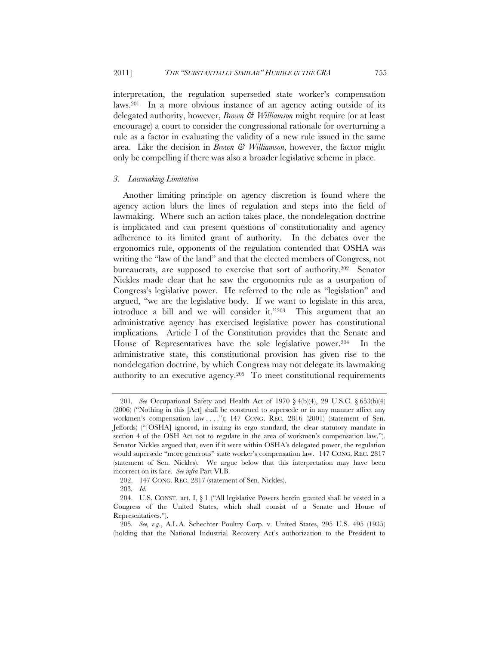interpretation, the regulation superseded state worker's compensation laws.201 In a more obvious instance of an agency acting outside of its delegated authority, however, *Brown & Williamson* might require (or at least encourage) a court to consider the congressional rationale for overturning a rule as a factor in evaluating the validity of a new rule issued in the same area. Like the decision in *Brown & Williamson*, however, the factor might only be compelling if there was also a broader legislative scheme in place.

# *3. Lawmaking Limitation*

Another limiting principle on agency discretion is found where the agency action blurs the lines of regulation and steps into the field of lawmaking. Where such an action takes place, the nondelegation doctrine is implicated and can present questions of constitutionality and agency adherence to its limited grant of authority. In the debates over the ergonomics rule, opponents of the regulation contended that OSHA was writing the "law of the land" and that the elected members of Congress, not bureaucrats, are supposed to exercise that sort of authority.202 Senator Nickles made clear that he saw the ergonomics rule as a usurpation of Congress's legislative power. He referred to the rule as "legislation" and argued, "we are the legislative body. If we want to legislate in this area, introduce a bill and we will consider it."203 This argument that an administrative agency has exercised legislative power has constitutional implications. Article I of the Constitution provides that the Senate and House of Representatives have the sole legislative power.204 In the administrative state, this constitutional provision has given rise to the nondelegation doctrine, by which Congress may not delegate its lawmaking authority to an executive agency.205 To meet constitutional requirements

<sup>201</sup>*. See* Occupational Safety and Health Act of 1970 § 4(b)(4), 29 U.S.C. § 653(b)(4) (2006) ("Nothing in this [Act] shall be construed to supersede or in any manner affect any workmen's compensation law . . . ."); 147 CONG. REC. 2816 (2001) (statement of Sen. Jeffords) ("[OSHA] ignored, in issuing its ergo standard, the clear statutory mandate in section 4 of the OSH Act not to regulate in the area of workmen's compensation law."). Senator Nickles argued that, even if it were within OSHA's delegated power, the regulation would supersede "more generous" state worker's compensation law. 147 CONG. REC. 2817 (statement of Sen. Nickles). We argue below that this interpretation may have been incorrect on its face. *See infra* Part VI.B.

 <sup>202. 147</sup> CONG. REC. 2817 (statement of Sen. Nickles).

<sup>203</sup>*. Id.*

 <sup>204.</sup> U.S. CONST. art. I, § 1 ("All legislative Powers herein granted shall be vested in a Congress of the United States, which shall consist of a Senate and House of Representatives.").

<sup>205</sup>*. See, e.g.*, A.L.A. Schechter Poultry Corp. v. United States, 295 U.S. 495 (1935) (holding that the National Industrial Recovery Act's authorization to the President to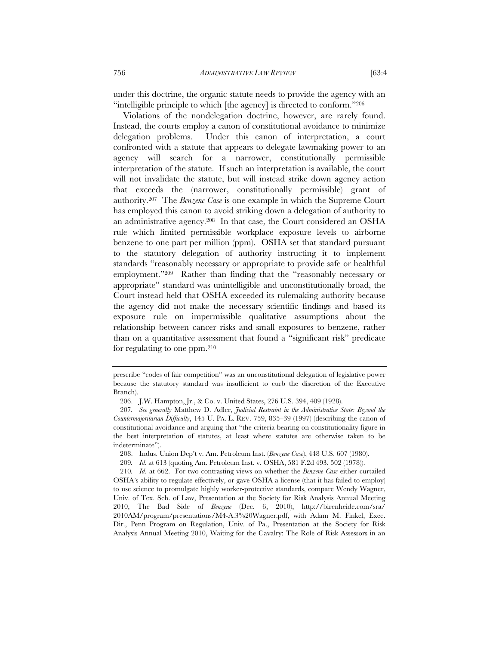under this doctrine, the organic statute needs to provide the agency with an "intelligible principle to which [the agency] is directed to conform."206

Violations of the nondelegation doctrine, however, are rarely found. Instead, the courts employ a canon of constitutional avoidance to minimize delegation problems. Under this canon of interpretation, a court confronted with a statute that appears to delegate lawmaking power to an agency will search for a narrower, constitutionally permissible interpretation of the statute. If such an interpretation is available, the court will not invalidate the statute, but will instead strike down agency action that exceeds the (narrower, constitutionally permissible) grant of authority.207 The *Benzene Case* is one example in which the Supreme Court has employed this canon to avoid striking down a delegation of authority to an administrative agency.208 In that case, the Court considered an OSHA rule which limited permissible workplace exposure levels to airborne benzene to one part per million (ppm). OSHA set that standard pursuant to the statutory delegation of authority instructing it to implement standards "reasonably necessary or appropriate to provide safe or healthful employment."209 Rather than finding that the "reasonably necessary or appropriate" standard was unintelligible and unconstitutionally broad, the Court instead held that OSHA exceeded its rulemaking authority because the agency did not make the necessary scientific findings and based its exposure rule on impermissible qualitative assumptions about the relationship between cancer risks and small exposures to benzene, rather than on a quantitative assessment that found a "significant risk" predicate for regulating to one ppm.210

prescribe "codes of fair competition" was an unconstitutional delegation of legislative power because the statutory standard was insufficient to curb the discretion of the Executive Branch).

<sup>206.</sup> J.W. Hampton, Jr., & Co. v. United States, 276 U.S. 394, 409 (1928).

<sup>207</sup>*. See generally* Matthew D. Adler, *Judicial Restraint in the Administrative State: Beyond the Countermajoritarian Difficulty*, 145 U. PA. L. REV. 759, 835–39 (1997) (describing the canon of constitutional avoidance and arguing that "the criteria bearing on constitutionality figure in the best interpretation of statutes, at least where statutes are otherwise taken to be indeterminate").

<sup>208.</sup> Indus. Union Dep't v. Am. Petroleum Inst. (*Benzene Case*), 448 U.S. 607 (1980).

<sup>209</sup>*. Id.* at 613 (quoting Am. Petroleum Inst. v. OSHA, 581 F.2d 493, 502 (1978)).

<sup>210</sup>*. Id.* at 662. For two contrasting views on whether the *Benzene Case* either curtailed OSHA's ability to regulate effectively, or gave OSHA a license (that it has failed to employ) to use science to promulgate highly worker-protective standards, compare Wendy Wagner, Univ. of Tex. Sch. of Law, Presentation at the Society for Risk Analysis Annual Meeting 2010, The Bad Side of *Benzene* (Dec. 6, 2010), http://birenheide.com/sra/ 2010AM/program/presentations/M4-A.3%20Wagner.pdf, with Adam M. Finkel, Exec. Dir., Penn Program on Regulation, Univ. of Pa., Presentation at the Society for Risk Analysis Annual Meeting 2010, Waiting for the Cavalry: The Role of Risk Assessors in an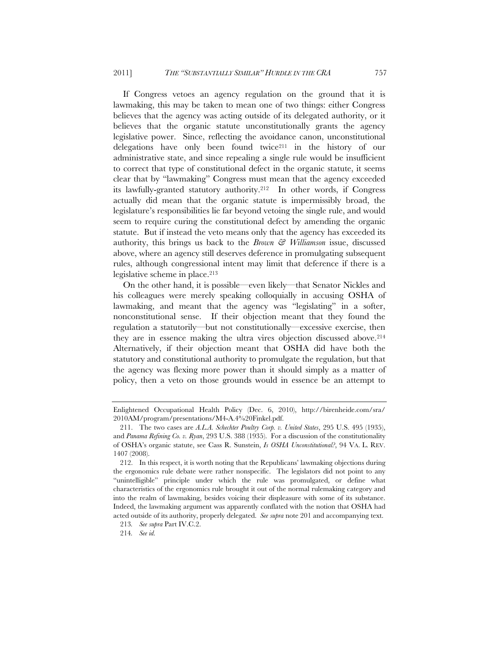If Congress vetoes an agency regulation on the ground that it is lawmaking, this may be taken to mean one of two things: either Congress believes that the agency was acting outside of its delegated authority, or it believes that the organic statute unconstitutionally grants the agency legislative power. Since, reflecting the avoidance canon, unconstitutional delegations have only been found twice211 in the history of our administrative state, and since repealing a single rule would be insufficient to correct that type of constitutional defect in the organic statute, it seems clear that by "lawmaking" Congress must mean that the agency exceeded its lawfully-granted statutory authority.212 In other words, if Congress actually did mean that the organic statute is impermissibly broad, the legislature's responsibilities lie far beyond vetoing the single rule, and would seem to require curing the constitutional defect by amending the organic statute. But if instead the veto means only that the agency has exceeded its authority, this brings us back to the *Brown & Williamson* issue, discussed above, where an agency still deserves deference in promulgating subsequent rules, although congressional intent may limit that deference if there is a legislative scheme in place.213

On the other hand, it is possible—even likely—that Senator Nickles and his colleagues were merely speaking colloquially in accusing OSHA of lawmaking, and meant that the agency was "legislating" in a softer, nonconstitutional sense. If their objection meant that they found the regulation a statutorily—but not constitutionally—excessive exercise, then they are in essence making the ultra vires objection discussed above.214 Alternatively, if their objection meant that OSHA did have both the statutory and constitutional authority to promulgate the regulation, but that the agency was flexing more power than it should simply as a matter of policy, then a veto on those grounds would in essence be an attempt to

Enlightened Occupational Health Policy (Dec. 6, 2010), http://birenheide.com/sra/ 2010AM/program/presentations/M4-A.4%20Finkel.pdf.

 <sup>211.</sup> The two cases are *A.L.A. Schechter Poultry Corp. v. United States*, 295 U.S. 495 (1935), and *Panama Refining Co. v. Ryan*, 293 U.S. 388 (1935). For a discussion of the constitutionality of OSHA's organic statute, see Cass R. Sunstein, *Is OSHA Unconstitutional?*, 94 VA. L. REV. 1407 (2008).

 <sup>212.</sup> In this respect, it is worth noting that the Republicans' lawmaking objections during the ergonomics rule debate were rather nonspecific. The legislators did not point to any "unintelligible" principle under which the rule was promulgated, or define what characteristics of the ergonomics rule brought it out of the normal rulemaking category and into the realm of lawmaking, besides voicing their displeasure with some of its substance. Indeed, the lawmaking argument was apparently conflated with the notion that OSHA had acted outside of its authority, properly delegated. *See supra* note 201 and accompanying text.

<sup>213</sup>*. See supra* Part IV.C.2.

<sup>214</sup>*. See id.*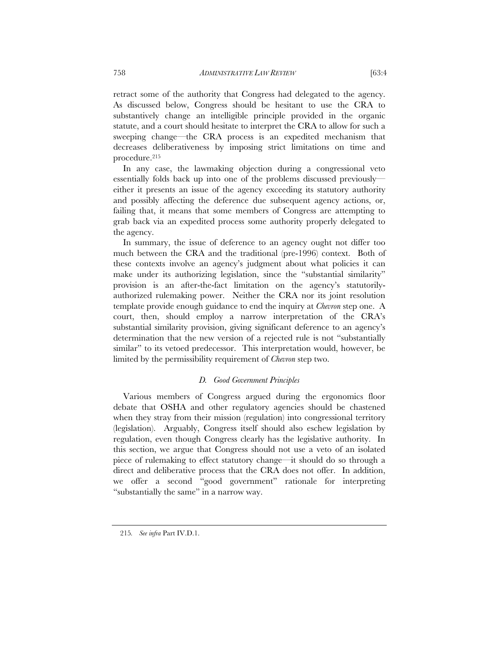retract some of the authority that Congress had delegated to the agency. As discussed below, Congress should be hesitant to use the CRA to substantively change an intelligible principle provided in the organic statute, and a court should hesitate to interpret the CRA to allow for such a sweeping change—the CRA process is an expedited mechanism that decreases deliberativeness by imposing strict limitations on time and procedure.215

In any case, the lawmaking objection during a congressional veto essentially folds back up into one of the problems discussed previously either it presents an issue of the agency exceeding its statutory authority and possibly affecting the deference due subsequent agency actions, or, failing that, it means that some members of Congress are attempting to grab back via an expedited process some authority properly delegated to the agency.

In summary, the issue of deference to an agency ought not differ too much between the CRA and the traditional (pre-1996) context. Both of these contexts involve an agency's judgment about what policies it can make under its authorizing legislation, since the "substantial similarity" provision is an after-the-fact limitation on the agency's statutorilyauthorized rulemaking power. Neither the CRA nor its joint resolution template provide enough guidance to end the inquiry at *Chevron* step one. A court, then, should employ a narrow interpretation of the CRA's substantial similarity provision, giving significant deference to an agency's determination that the new version of a rejected rule is not "substantially similar" to its vetoed predecessor. This interpretation would, however, be limited by the permissibility requirement of *Chevron* step two.

### *D. Good Government Principles*

Various members of Congress argued during the ergonomics floor debate that OSHA and other regulatory agencies should be chastened when they stray from their mission (regulation) into congressional territory (legislation). Arguably, Congress itself should also eschew legislation by regulation, even though Congress clearly has the legislative authority. In this section, we argue that Congress should not use a veto of an isolated piece of rulemaking to effect statutory change—it should do so through a direct and deliberative process that the CRA does not offer. In addition, we offer a second "good government" rationale for interpreting "substantially the same" in a narrow way.

<sup>215</sup>*. See infra* Part IV.D.1.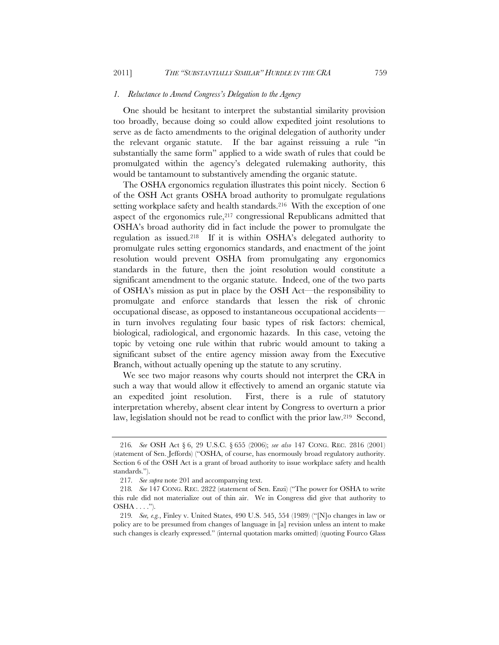#### *1. Reluctance to Amend Congress's Delegation to the Agency*

One should be hesitant to interpret the substantial similarity provision too broadly, because doing so could allow expedited joint resolutions to serve as de facto amendments to the original delegation of authority under the relevant organic statute. If the bar against reissuing a rule "in substantially the same form" applied to a wide swath of rules that could be promulgated within the agency's delegated rulemaking authority, this would be tantamount to substantively amending the organic statute.

The OSHA ergonomics regulation illustrates this point nicely. Section 6 of the OSH Act grants OSHA broad authority to promulgate regulations setting workplace safety and health standards.<sup>216</sup> With the exception of one aspect of the ergonomics rule, $2^{17}$  congressional Republicans admitted that OSHA's broad authority did in fact include the power to promulgate the regulation as issued.218 If it is within OSHA's delegated authority to promulgate rules setting ergonomics standards, and enactment of the joint resolution would prevent OSHA from promulgating any ergonomics standards in the future, then the joint resolution would constitute a significant amendment to the organic statute. Indeed, one of the two parts of OSHA's mission as put in place by the OSH Act—the responsibility to promulgate and enforce standards that lessen the risk of chronic occupational disease, as opposed to instantaneous occupational accidents in turn involves regulating four basic types of risk factors: chemical, biological, radiological, and ergonomic hazards. In this case, vetoing the topic by vetoing one rule within that rubric would amount to taking a significant subset of the entire agency mission away from the Executive Branch, without actually opening up the statute to any scrutiny.

We see two major reasons why courts should not interpret the CRA in such a way that would allow it effectively to amend an organic statute via an expedited joint resolution. First, there is a rule of statutory interpretation whereby, absent clear intent by Congress to overturn a prior law, legislation should not be read to conflict with the prior law.219 Second,

<sup>216</sup>*. See* OSH Act § 6, 29 U.S.C. § 655 (2006); *see also* 147 CONG. REC. 2816 (2001) (statement of Sen. Jeffords) ("OSHA, of course, has enormously broad regulatory authority. Section 6 of the OSH Act is a grant of broad authority to issue workplace safety and health standards.").

<sup>217</sup>*. See supra* note 201 and accompanying text.

<sup>218</sup>*. See* 147 CONG. REC. 2822 (statement of Sen. Enzi) ("The power for OSHA to write this rule did not materialize out of thin air. We in Congress did give that authority to  $OSHA \ldots$ .").

<sup>219</sup>*. See, e.g.*, Finley v. United States, 490 U.S. 545, 554 (1989) ("[N]o changes in law or policy are to be presumed from changes of language in [a] revision unless an intent to make such changes is clearly expressed." (internal quotation marks omitted) (quoting Fourco Glass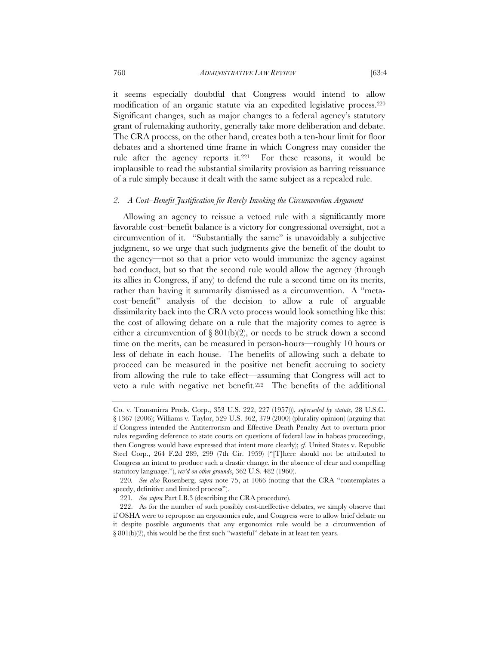it seems especially doubtful that Congress would intend to allow modification of an organic statute via an expedited legislative process.220 Significant changes, such as major changes to a federal agency's statutory grant of rulemaking authority, generally take more deliberation and debate. The CRA process, on the other hand, creates both a ten-hour limit for floor debates and a shortened time frame in which Congress may consider the rule after the agency reports it.221 For these reasons, it would be implausible to read the substantial similarity provision as barring reissuance of a rule simply because it dealt with the same subject as a repealed rule.

#### *2. A Cost–Benefit Justification for Rarely Invoking the Circumvention Argument*

Allowing an agency to reissue a vetoed rule with a significantly more favorable cost–benefit balance is a victory for congressional oversight, not a circumvention of it. "Substantially the same" is unavoidably a subjective judgment, so we urge that such judgments give the benefit of the doubt to the agency—not so that a prior veto would immunize the agency against bad conduct, but so that the second rule would allow the agency (through its allies in Congress, if any) to defend the rule a second time on its merits, rather than having it summarily dismissed as a circumvention. A "metacost–benefit" analysis of the decision to allow a rule of arguable dissimilarity back into the CRA veto process would look something like this: the cost of allowing debate on a rule that the majority comes to agree is either a circumvention of  $\S 801(b)(2)$ , or needs to be struck down a second time on the merits, can be measured in person-hours—roughly 10 hours or less of debate in each house. The benefits of allowing such a debate to proceed can be measured in the positive net benefit accruing to society from allowing the rule to take effect—assuming that Congress will act to veto a rule with negative net benefit.<sup>222</sup> The benefits of the additional

Co. v. Transmirra Prods. Corp., 353 U.S. 222, 227 (1957))), *superseded by statute*, 28 U.S.C. § 1367 (2006); Williams v. Taylor, 529 U.S. 362, 379 (2000) (plurality opinion) (arguing that if Congress intended the Antiterrorism and Effective Death Penalty Act to overturn prior rules regarding deference to state courts on questions of federal law in habeas proceedings, then Congress would have expressed that intent more clearly); *cf.* United States v. Republic Steel Corp., 264 F.2d 289, 299 (7th Cir. 1959) ("[T]here should not be attributed to Congress an intent to produce such a drastic change, in the absence of clear and compelling statutory language."), *rev'd on other grounds*, 362 U.S. 482 (1960).

<sup>220</sup>*. See also* Rosenberg, *supra* note 75, at 1066 (noting that the CRA "contemplates a speedy, definitive and limited process").

<sup>221</sup>*. See supra* Part I.B.3 (describing the CRA procedure).

 <sup>222.</sup> As for the number of such possibly cost-ineffective debates, we simply observe that if OSHA were to repropose an ergonomics rule, and Congress were to allow brief debate on it despite possible arguments that any ergonomics rule would be a circumvention of § 801(b)(2), this would be the first such "wasteful" debate in at least ten years.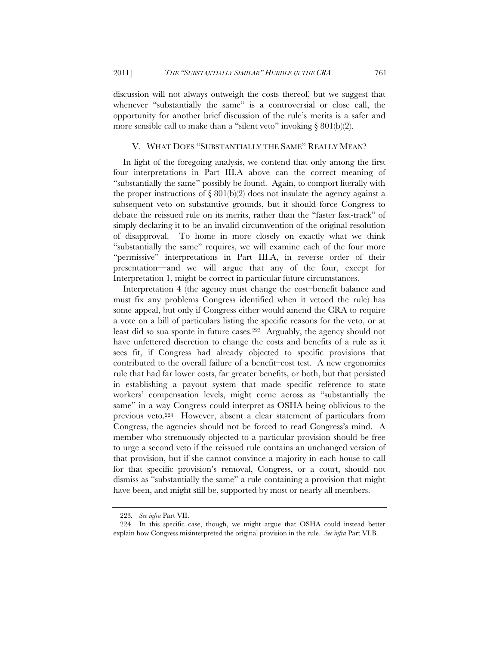discussion will not always outweigh the costs thereof, but we suggest that whenever "substantially the same" is a controversial or close call, the opportunity for another brief discussion of the rule's merits is a safer and more sensible call to make than a "silent veto" invoking  $\S 801(b)(2)$ .

### V. WHAT DOES "SUBSTANTIALLY THE SAME" REALLY MEAN?

In light of the foregoing analysis, we contend that only among the first four interpretations in Part III.A above can the correct meaning of "substantially the same" possibly be found. Again, to comport literally with the proper instructions of  $\S 801(b)(2)$  does not insulate the agency against a subsequent veto on substantive grounds, but it should force Congress to debate the reissued rule on its merits, rather than the "faster fast-track" of simply declaring it to be an invalid circumvention of the original resolution of disapproval. To home in more closely on exactly what we think "substantially the same" requires, we will examine each of the four more "permissive" interpretations in Part III.A, in reverse order of their presentation—and we will argue that any of the four, except for Interpretation 1, might be correct in particular future circumstances.

Interpretation 4 (the agency must change the cost–benefit balance and must fix any problems Congress identified when it vetoed the rule) has some appeal, but only if Congress either would amend the CRA to require a vote on a bill of particulars listing the specific reasons for the veto, or at least did so sua sponte in future cases.223 Arguably, the agency should not have unfettered discretion to change the costs and benefits of a rule as it sees fit, if Congress had already objected to specific provisions that contributed to the overall failure of a benefit–cost test. A new ergonomics rule that had far lower costs, far greater benefits, or both, but that persisted in establishing a payout system that made specific reference to state workers' compensation levels, might come across as "substantially the same" in a way Congress could interpret as OSHA being oblivious to the previous veto.224 However, absent a clear statement of particulars from Congress, the agencies should not be forced to read Congress's mind. A member who strenuously objected to a particular provision should be free to urge a second veto if the reissued rule contains an unchanged version of that provision, but if she cannot convince a majority in each house to call for that specific provision's removal, Congress, or a court, should not dismiss as "substantially the same" a rule containing a provision that might have been, and might still be, supported by most or nearly all members.

<sup>223</sup>*. See infra* Part VII.

 <sup>224.</sup> In this specific case, though, we might argue that OSHA could instead better explain how Congress misinterpreted the original provision in the rule. *See infra* Part VI.B.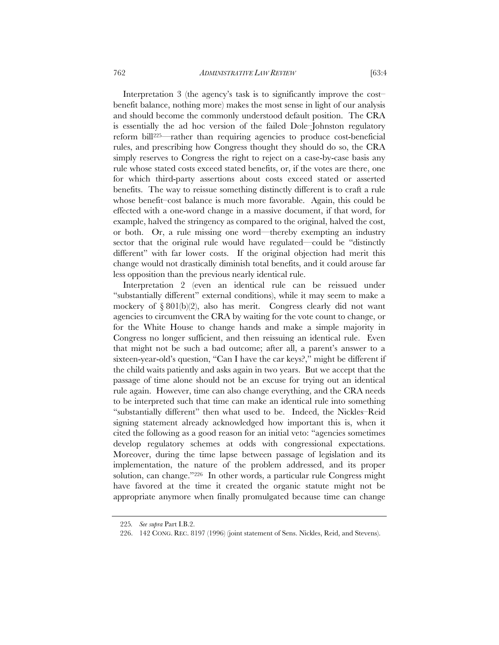Interpretation 3 (the agency's task is to significantly improve the cost– benefit balance, nothing more) makes the most sense in light of our analysis and should become the commonly understood default position. The CRA is essentially the ad hoc version of the failed Dole–Johnston regulatory reform bill225—rather than requiring agencies to produce cost-beneficial rules, and prescribing how Congress thought they should do so, the CRA simply reserves to Congress the right to reject on a case-by-case basis any rule whose stated costs exceed stated benefits, or, if the votes are there, one for which third-party assertions about costs exceed stated or asserted benefits. The way to reissue something distinctly different is to craft a rule whose benefit–cost balance is much more favorable. Again, this could be effected with a one-word change in a massive document, if that word, for example, halved the stringency as compared to the original, halved the cost, or both. Or, a rule missing one word—thereby exempting an industry sector that the original rule would have regulated—could be "distinctly different" with far lower costs. If the original objection had merit this change would not drastically diminish total benefits, and it could arouse far less opposition than the previous nearly identical rule.

Interpretation 2 (even an identical rule can be reissued under "substantially different" external conditions), while it may seem to make a mockery of  $\S 801(b)(2)$ , also has merit. Congress clearly did not want agencies to circumvent the CRA by waiting for the vote count to change, or for the White House to change hands and make a simple majority in Congress no longer sufficient, and then reissuing an identical rule. Even that might not be such a bad outcome; after all, a parent's answer to a sixteen-year-old's question, "Can I have the car keys?," might be different if the child waits patiently and asks again in two years. But we accept that the passage of time alone should not be an excuse for trying out an identical rule again. However, time can also change everything, and the CRA needs to be interpreted such that time can make an identical rule into something "substantially different" then what used to be. Indeed, the Nickles–Reid signing statement already acknowledged how important this is, when it cited the following as a good reason for an initial veto: "agencies sometimes develop regulatory schemes at odds with congressional expectations. Moreover, during the time lapse between passage of legislation and its implementation, the nature of the problem addressed, and its proper solution, can change."226 In other words, a particular rule Congress might have favored at the time it created the organic statute might not be appropriate anymore when finally promulgated because time can change

<sup>225</sup>*. See supra* Part I.B.2.

 <sup>226. 142</sup> CONG. REC. 8197 (1996) (joint statement of Sens. Nickles, Reid, and Stevens).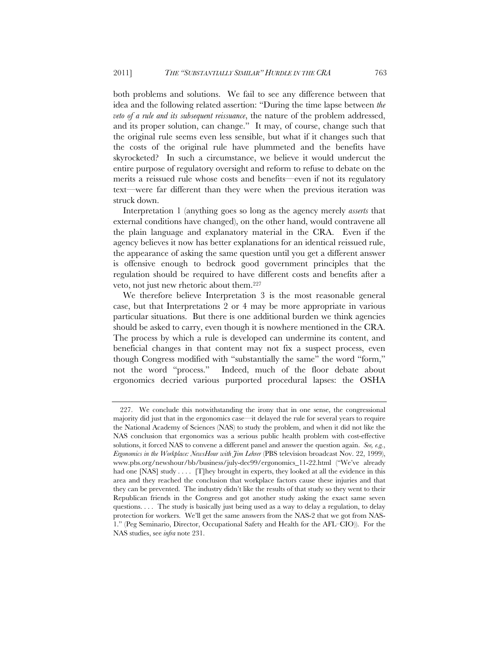both problems and solutions. We fail to see any difference between that idea and the following related assertion: "During the time lapse between *the veto of a rule and its subsequent reissuance*, the nature of the problem addressed, and its proper solution, can change." It may, of course, change such that the original rule seems even less sensible, but what if it changes such that the costs of the original rule have plummeted and the benefits have skyrocketed? In such a circumstance, we believe it would undercut the entire purpose of regulatory oversight and reform to refuse to debate on the merits a reissued rule whose costs and benefits—even if not its regulatory text—were far different than they were when the previous iteration was struck down.

Interpretation 1 (anything goes so long as the agency merely *asserts* that external conditions have changed), on the other hand, would contravene all the plain language and explanatory material in the CRA. Even if the agency believes it now has better explanations for an identical reissued rule, the appearance of asking the same question until you get a different answer is offensive enough to bedrock good government principles that the regulation should be required to have different costs and benefits after a veto, not just new rhetoric about them.227

We therefore believe Interpretation 3 is the most reasonable general case, but that Interpretations 2 or 4 may be more appropriate in various particular situations. But there is one additional burden we think agencies should be asked to carry, even though it is nowhere mentioned in the CRA. The process by which a rule is developed can undermine its content, and beneficial changes in that content may not fix a suspect process, even though Congress modified with "substantially the same" the word "form," not the word "process." Indeed, much of the floor debate about ergonomics decried various purported procedural lapses: the OSHA

 <sup>227.</sup> We conclude this notwithstanding the irony that in one sense, the congressional majority did just that in the ergonomics case—it delayed the rule for several years to require the National Academy of Sciences (NAS) to study the problem, and when it did not like the NAS conclusion that ergonomics was a serious public health problem with cost-effective solutions, it forced NAS to convene a different panel and answer the question again. *See, e.g.*, *Ergonomics in the Workplace: NewsHour with Jim Lehrer* (PBS television broadcast Nov. 22, 1999), www.pbs.org/newshour/bb/business/july-dec99/ergonomics\_11-22.html ("We've already had one [NAS] study . . . . [T]hey brought in experts, they looked at all the evidence in this area and they reached the conclusion that workplace factors cause these injuries and that they can be prevented. The industry didn't like the results of that study so they went to their Republican friends in the Congress and got another study asking the exact same seven questions. . . . The study is basically just being used as a way to delay a regulation, to delay protection for workers. We'll get the same answers from the NAS-2 that we got from NAS-1." (Peg Seminario, Director, Occupational Safety and Health for the AFL–CIO)). For the NAS studies, see *infra* note 231.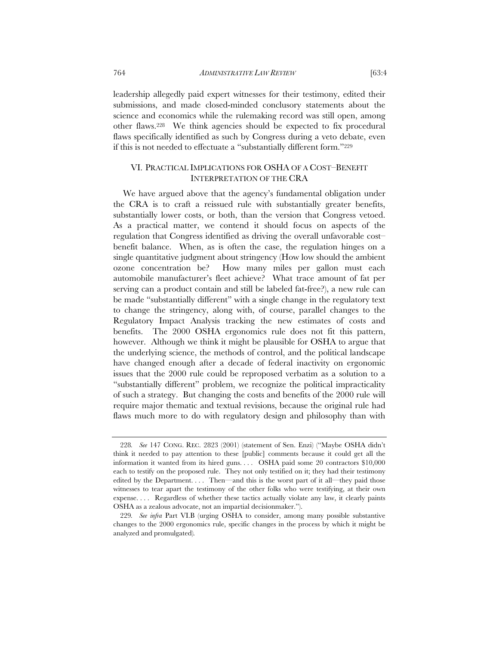leadership allegedly paid expert witnesses for their testimony, edited their submissions, and made closed-minded conclusory statements about the science and economics while the rulemaking record was still open, among other flaws.228 We think agencies should be expected to fix procedural flaws specifically identified as such by Congress during a veto debate, even if this is not needed to effectuate a "substantially different form."229

# VI. PRACTICAL IMPLICATIONS FOR OSHA OF A COST–BENEFIT INTERPRETATION OF THE CRA

We have argued above that the agency's fundamental obligation under the CRA is to craft a reissued rule with substantially greater benefits, substantially lower costs, or both, than the version that Congress vetoed. As a practical matter, we contend it should focus on aspects of the regulation that Congress identified as driving the overall unfavorable cost– benefit balance. When, as is often the case, the regulation hinges on a single quantitative judgment about stringency (How low should the ambient ozone concentration be? How many miles per gallon must each automobile manufacturer's fleet achieve? What trace amount of fat per serving can a product contain and still be labeled fat-free?), a new rule can be made "substantially different" with a single change in the regulatory text to change the stringency, along with, of course, parallel changes to the Regulatory Impact Analysis tracking the new estimates of costs and benefits. The 2000 OSHA ergonomics rule does not fit this pattern, however. Although we think it might be plausible for OSHA to argue that the underlying science, the methods of control, and the political landscape have changed enough after a decade of federal inactivity on ergonomic issues that the 2000 rule could be reproposed verbatim as a solution to a "substantially different" problem, we recognize the political impracticality of such a strategy. But changing the costs and benefits of the 2000 rule will require major thematic and textual revisions, because the original rule had flaws much more to do with regulatory design and philosophy than with

<sup>228</sup>*. See* 147 CONG. REC. 2823 (2001) (statement of Sen. Enzi) ("Maybe OSHA didn't think it needed to pay attention to these [public] comments because it could get all the information it wanted from its hired guns. . . . OSHA paid some 20 contractors \$10,000 each to testify on the proposed rule. They not only testified on it; they had their testimony edited by the Department. . . . Then—and this is the worst part of it all—they paid those witnesses to tear apart the testimony of the other folks who were testifying, at their own expense. . . . Regardless of whether these tactics actually violate any law, it clearly paints OSHA as a zealous advocate, not an impartial decisionmaker.").

<sup>229</sup>*. See infra* Part VI.B (urging OSHA to consider, among many possible substantive changes to the 2000 ergonomics rule, specific changes in the process by which it might be analyzed and promulgated)*.*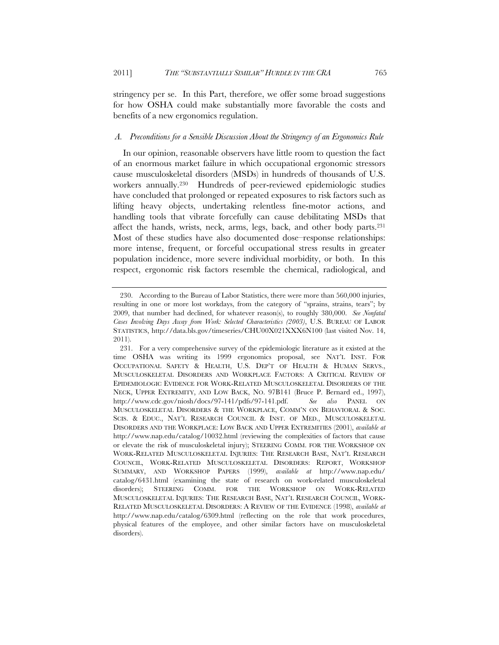stringency per se. In this Part, therefore, we offer some broad suggestions for how OSHA could make substantially more favorable the costs and benefits of a new ergonomics regulation.

#### *A. Preconditions for a Sensible Discussion About the Stringency of an Ergonomics Rule*

In our opinion, reasonable observers have little room to question the fact of an enormous market failure in which occupational ergonomic stressors cause musculoskeletal disorders (MSDs) in hundreds of thousands of U.S. workers annually.230 Hundreds of peer-reviewed epidemiologic studies have concluded that prolonged or repeated exposures to risk factors such as lifting heavy objects, undertaking relentless fine-motor actions, and handling tools that vibrate forcefully can cause debilitating MSDs that affect the hands, wrists, neck, arms, legs, back, and other body parts.231 Most of these studies have also documented dose–response relationships: more intense, frequent, or forceful occupational stress results in greater population incidence, more severe individual morbidity, or both. In this respect, ergonomic risk factors resemble the chemical, radiological, and

 <sup>230.</sup> According to the Bureau of Labor Statistics, there were more than 560,000 injuries, resulting in one or more lost workdays, from the category of "sprains, strains, tears"; by 2009, that number had declined, for whatever reason(s), to roughly 380,000. *See Nonfatal Cases Involving Days Away from Work: Selected Characteristics (2003)*, U.S. BUREAU OF LABOR STATISTICS, http://data.bls.gov/timeseries/CHU00X021XXX6N100 (last visited Nov. 14, 2011).

 <sup>231.</sup> For a very comprehensive survey of the epidemiologic literature as it existed at the time OSHA was writing its 1999 ergonomics proposal, see NAT'L INST. FOR OCCUPATIONAL SAFETY & HEALTH, U.S. DEP'T OF HEALTH & HUMAN SERVS., MUSCULOSKELETAL DISORDERS AND WORKPLACE FACTORS: A CRITICAL REVIEW OF EPIDEMIOLOGIC EVIDENCE FOR WORK-RELATED MUSCULOSKELETAL DISORDERS OF THE NECK, UPPER EXTREMITY, AND LOW BACK, NO. 97B141 (Bruce P. Bernard ed., 1997), http://www.cdc.gov/niosh/docs/97-141/pdfs/97-141.pdf. *See also* PANEL ON MUSCULOSKELETAL DISORDERS & THE WORKPLACE, COMM'N ON BEHAVIORAL & SOC. SCIS. & EDUC., NAT'L RESEARCH COUNCIL & INST. OF MED., MUSCULOSKELETAL DISORDERS AND THE WORKPLACE: LOW BACK AND UPPER EXTREMITIES (2001), *available at* http://www.nap.edu/catalog/10032.html (reviewing the complexities of factors that cause or elevate the risk of musculoskeletal injury); STEERING COMM. FOR THE WORKSHOP ON WORK-RELATED MUSCULOSKELETAL INJURIES: THE RESEARCH BASE, NAT'L RESEARCH COUNCIL, WORK-RELATED MUSCULOSKELETAL DISORDERS: REPORT, WORKSHOP SUMMARY, AND WORKSHOP PAPERS (1999), *available at* http://www.nap.edu/ catalog/6431.html (examining the state of research on work-related musculoskeletal disorders); STEERING COMM. FOR THE WORKSHOP ON WORK-RELATED MUSCULOSKELETAL INJURIES: THE RESEARCH BASE, NAT'L RESEARCH COUNCIL, WORK-RELATED MUSCULOSKELETAL DISORDERS: A REVIEW OF THE EVIDENCE (1998), *available at* http://www.nap.edu/catalog/6309.html (reflecting on the role that work procedures, physical features of the employee, and other similar factors have on musculoskeletal disorders).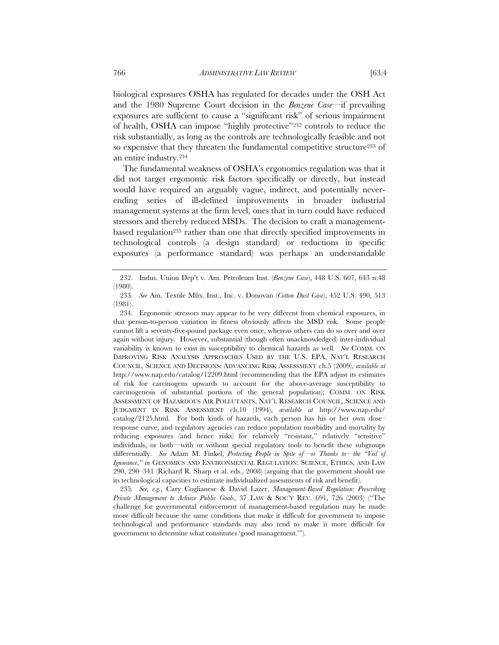biological exposures OSHA has regulated for decades under the OSH Act and the 1980 Supreme Court decision in the *Benzene Case*—if prevailing exposures are sufficient to cause a "significant risk" of serious impairment of health, OSHA can impose "highly protective"232 controls to reduce the risk substantially, as long as the controls are technologically feasible and not so expensive that they threaten the fundamental competitive structure233 of an entire industry.234

The fundamental weakness of OSHA's ergonomics regulation was that it did not target ergonomic risk factors specifically or directly, but instead would have required an arguably vague, indirect, and potentially neverending series of ill-defined improvements in broader industrial management systems at the firm level, ones that in turn could have reduced stressors and thereby reduced MSDs. The decision to craft a managementbased regulation<sup>235</sup> rather than one that directly specified improvements in technological controls (a design standard) or reductions in specific exposures (a performance standard) was perhaps an understandable

235*. See, e.g.*, Cary Coglianese & David Lazer, *Management-Based Regulation: Prescribing Private Management to Achieve Public Goals*, 37 LAW & SOC'Y REV. 691, 726 (2003) ("The challenge for governmental enforcement of management-based regulation may be made more difficult because the same conditions that make it difficult for government to impose technological and performance standards may also tend to make it more difficult for government to determine what constitutes 'good management.'").

 <sup>232.</sup> Indus. Union Dep't v. Am. Petroleum Inst. (*Benzene Case*), 448 U.S. 607, 643 n.48 (1980).

<sup>233</sup>*. See* Am. Textile Mfrs. Inst., Inc. v. Donovan (*Cotton Dust Case*), 452 U.S. 490, 513 (1981).

 <sup>234.</sup> Ergonomic stressors may appear to be very different from chemical exposures, in that person-to-person variation in fitness obviously affects the MSD risk. Some people cannot lift a seventy-five-pound package even once, whereas others can do so over and over again without injury. However, substantial (though often unacknowledged) inter-individual variability is known to exist in susceptibility to chemical hazards as well. *See* COMM. ON IMPROVING RISK ANALYSIS APPROACHES USED BY THE U.S. EPA, NAT'L RESEARCH COUNCIL, SCIENCE AND DECISIONS: ADVANCING RISK ASSESSMENT ch.5 (2009), *available at* http://www.nap.edu/catalog/12209.html (recommending that the EPA adjust its estimates of risk for carcinogens upwards to account for the above-average susceptibility to carcinogenesis of substantial portions of the general population); COMM. ON RISK ASSESSMENT OF HAZARDOUS AIR POLLUTANTS, NAT'L RESEARCH COUNCIL, SCIENCE AND JUDGMENT IN RISK ASSESSMENT ch.10 (1994), *available at* http://www.nap.edu/ catalog/2125.html. For both kinds of hazards, each person has his or her own dose– response curve, and regulatory agencies can reduce population morbidity and mortality by reducing exposures (and hence risks) for relatively "resistant," relatively "sensitive" individuals, or both—with or without special regulatory tools to benefit these subgroups differentially. *See* Adam M. Finkel, *Protecting People in Spite of—or Thanks to—the "Veil of Ignorance*,*" in* GENOMICS AND ENVIRONMENTAL REGULATION: SCIENCE, ETHICS, AND LAW 290, 290–341 (Richard R. Sharp et al. eds., 2008) (arguing that the government should use its technological capacities to estimate individualized assessments of risk and benefit).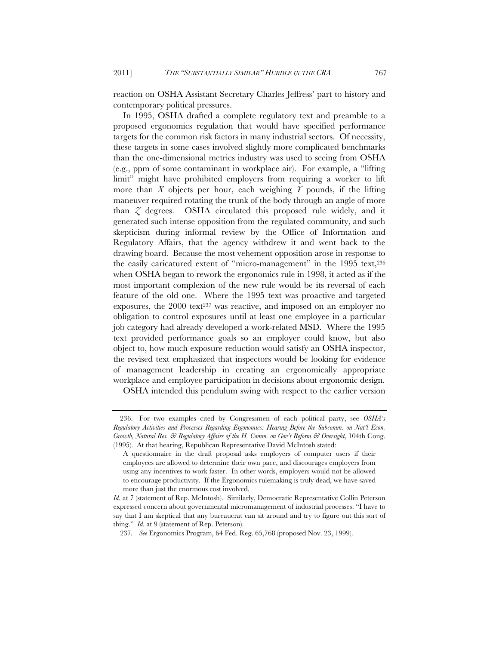reaction on OSHA Assistant Secretary Charles Jeffress' part to history and contemporary political pressures.

In 1995, OSHA drafted a complete regulatory text and preamble to a proposed ergonomics regulation that would have specified performance targets for the common risk factors in many industrial sectors. Of necessity, these targets in some cases involved slightly more complicated benchmarks than the one-dimensional metrics industry was used to seeing from OSHA (e.g., ppm of some contaminant in workplace air). For example, a "lifting limit" might have prohibited employers from requiring a worker to lift more than  $X$  objects per hour, each weighing  $Y$  pounds, if the lifting maneuver required rotating the trunk of the body through an angle of more than *Z* degrees. OSHA circulated this proposed rule widely, and it generated such intense opposition from the regulated community, and such skepticism during informal review by the Office of Information and Regulatory Affairs, that the agency withdrew it and went back to the drawing board. Because the most vehement opposition arose in response to the easily caricatured extent of "micro-management" in the 1995 text,<sup>236</sup> when OSHA began to rework the ergonomics rule in 1998, it acted as if the most important complexion of the new rule would be its reversal of each feature of the old one. Where the 1995 text was proactive and targeted exposures, the 2000 text<sup>237</sup> was reactive, and imposed on an employer no obligation to control exposures until at least one employee in a particular job category had already developed a work-related MSD. Where the 1995 text provided performance goals so an employer could know, but also object to, how much exposure reduction would satisfy an OSHA inspector, the revised text emphasized that inspectors would be looking for evidence of management leadership in creating an ergonomically appropriate workplace and employee participation in decisions about ergonomic design.

OSHA intended this pendulum swing with respect to the earlier version

 <sup>236.</sup> For two examples cited by Congressmen of each political party, see *OSHA's Regulatory Activities and Processes Regarding Ergonomics: Hearing Before the Subcomm. on Nat'l Econ. Growth, Natural Res. & Regulatory Affairs of the H. Comm. on Gov't Reform & Oversight*, 104th Cong. (1995). At that hearing, Republican Representative David McIntosh stated:

A questionnaire in the draft proposal asks employers of computer users if their employees are allowed to determine their own pace, and discourages employers from using any incentives to work faster. In other words, employers would not be allowed to encourage productivity. If the Ergonomics rulemaking is truly dead, we have saved more than just the enormous cost involved.

*Id.* at 7 (statement of Rep. McIntosh). Similarly, Democratic Representative Collin Peterson expressed concern about governmental micromanagement of industrial processes: "I have to say that I am skeptical that any bureaucrat can sit around and try to figure out this sort of thing." *Id.* at 9 (statement of Rep. Peterson).

<sup>237</sup>*. See* Ergonomics Program, 64 Fed. Reg. 65,768 (proposed Nov. 23, 1999).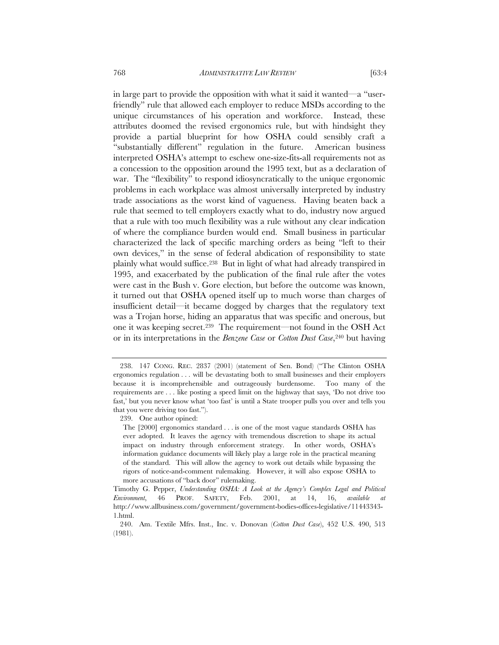in large part to provide the opposition with what it said it wanted—a "userfriendly" rule that allowed each employer to reduce MSDs according to the unique circumstances of his operation and workforce. Instead, these attributes doomed the revised ergonomics rule, but with hindsight they provide a partial blueprint for how OSHA could sensibly craft a "substantially different" regulation in the future. American business interpreted OSHA's attempt to eschew one-size-fits-all requirements not as a concession to the opposition around the 1995 text, but as a declaration of war. The "flexibility" to respond idiosyncratically to the unique ergonomic problems in each workplace was almost universally interpreted by industry trade associations as the worst kind of vagueness. Having beaten back a rule that seemed to tell employers exactly what to do, industry now argued that a rule with too much flexibility was a rule without any clear indication of where the compliance burden would end. Small business in particular characterized the lack of specific marching orders as being "left to their own devices," in the sense of federal abdication of responsibility to state plainly what would suffice.238 But in light of what had already transpired in 1995, and exacerbated by the publication of the final rule after the votes were cast in the Bush v. Gore election, but before the outcome was known, it turned out that OSHA opened itself up to much worse than charges of insufficient detail—it became dogged by charges that the regulatory text was a Trojan horse, hiding an apparatus that was specific and onerous, but one it was keeping secret.239 The requirement—not found in the OSH Act or in its interpretations in the *Benzene Case* or *Cotton Dust Case*,240 but having

 <sup>238. 147</sup> CONG. REC. 2837 (2001) (statement of Sen. Bond) ("The Clinton OSHA ergonomics regulation . . . will be devastating both to small businesses and their employers because it is incomprehensible and outrageously burdensome. Too many of the requirements are . . . like posting a speed limit on the highway that says, 'Do not drive too fast,' but you never know what 'too fast' is until a State trooper pulls you over and tells you that you were driving too fast.").

<sup>239.</sup> One author opined:

The [2000] ergonomics standard . . . is one of the most vague standards OSHA has ever adopted. It leaves the agency with tremendous discretion to shape its actual impact on industry through enforcement strategy. In other words, OSHA's information guidance documents will likely play a large role in the practical meaning of the standard. This will allow the agency to work out details while bypassing the rigors of notice-and-comment rulemaking. However, it will also expose OSHA to more accusations of "back door" rulemaking.

Timothy G. Pepper, *Understanding OSHA: A Look at the Agency's Complex Legal and Political Environment*, 46 PROF. SAFETY, Feb. 2001, at 14, 16, *available at* http://www.allbusiness.com/government/government-bodies-offices-legislative/11443343- 1.html.

 <sup>240.</sup> Am. Textile Mfrs. Inst., Inc. v. Donovan (*Cotton Dust Case*), 452 U.S. 490, 513 (1981).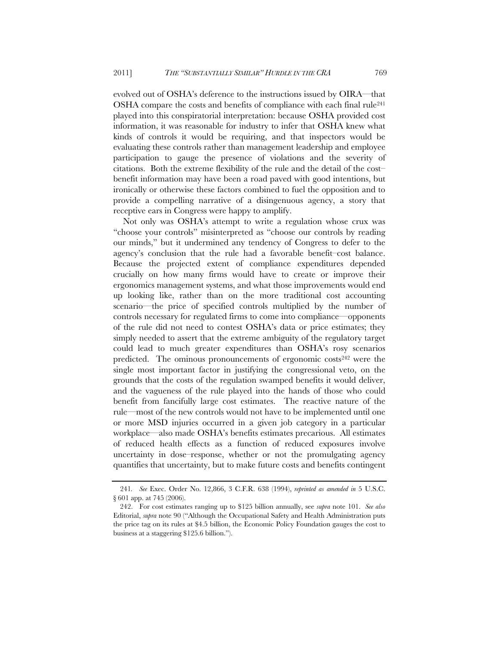evolved out of OSHA's deference to the instructions issued by OIRA—that OSHA compare the costs and benefits of compliance with each final rule<sup>241</sup> played into this conspiratorial interpretation: because OSHA provided cost information, it was reasonable for industry to infer that OSHA knew what kinds of controls it would be requiring, and that inspectors would be evaluating these controls rather than management leadership and employee participation to gauge the presence of violations and the severity of citations. Both the extreme flexibility of the rule and the detail of the cost– benefit information may have been a road paved with good intentions, but ironically or otherwise these factors combined to fuel the opposition and to provide a compelling narrative of a disingenuous agency, a story that receptive ears in Congress were happy to amplify.

Not only was OSHA's attempt to write a regulation whose crux was "choose your controls" misinterpreted as "choose our controls by reading our minds," but it undermined any tendency of Congress to defer to the agency's conclusion that the rule had a favorable benefit–cost balance. Because the projected extent of compliance expenditures depended crucially on how many firms would have to create or improve their ergonomics management systems, and what those improvements would end up looking like, rather than on the more traditional cost accounting scenario—the price of specified controls multiplied by the number of controls necessary for regulated firms to come into compliance—opponents of the rule did not need to contest OSHA's data or price estimates; they simply needed to assert that the extreme ambiguity of the regulatory target could lead to much greater expenditures than OSHA's rosy scenarios predicted. The ominous pronouncements of ergonomic costs<sup>242</sup> were the single most important factor in justifying the congressional veto, on the grounds that the costs of the regulation swamped benefits it would deliver, and the vagueness of the rule played into the hands of those who could benefit from fancifully large cost estimates. The reactive nature of the rule—most of the new controls would not have to be implemented until one or more MSD injuries occurred in a given job category in a particular workplace—also made OSHA's benefits estimates precarious. All estimates of reduced health effects as a function of reduced exposures involve uncertainty in dose–response, whether or not the promulgating agency quantifies that uncertainty, but to make future costs and benefits contingent

<sup>241</sup>*. See* Exec. Order No. 12,866, 3 C.F.R. 638 (1994), *reprinted as amended in* 5 U.S.C. § 601 app. at 745 (2006).

 <sup>242.</sup> For cost estimates ranging up to \$125 billion annually, see *supra* note 101. *See also* Editorial, *supra* note 90 ("Although the Occupational Safety and Health Administration puts the price tag on its rules at \$4.5 billion, the Economic Policy Foundation gauges the cost to business at a staggering \$125.6 billion.").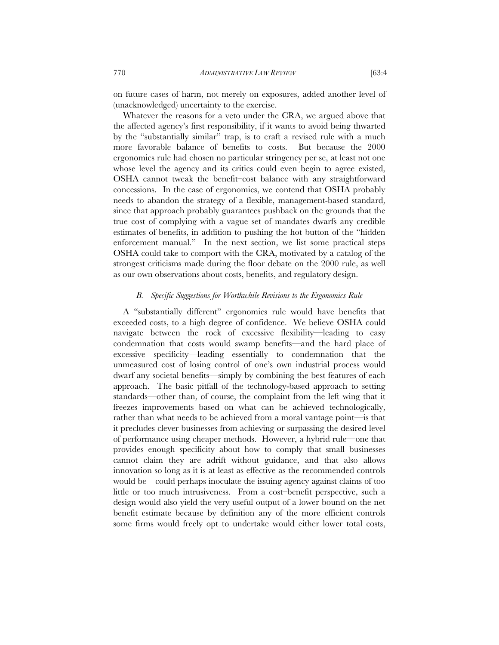on future cases of harm, not merely on exposures, added another level of (unacknowledged) uncertainty to the exercise.

Whatever the reasons for a veto under the CRA, we argued above that the affected agency's first responsibility, if it wants to avoid being thwarted by the "substantially similar" trap, is to craft a revised rule with a much more favorable balance of benefits to costs. But because the 2000 ergonomics rule had chosen no particular stringency per se, at least not one whose level the agency and its critics could even begin to agree existed, OSHA cannot tweak the benefit–cost balance with any straightforward concessions. In the case of ergonomics, we contend that OSHA probably needs to abandon the strategy of a flexible, management-based standard, since that approach probably guarantees pushback on the grounds that the true cost of complying with a vague set of mandates dwarfs any credible estimates of benefits, in addition to pushing the hot button of the "hidden enforcement manual." In the next section, we list some practical steps OSHA could take to comport with the CRA, motivated by a catalog of the strongest criticisms made during the floor debate on the 2000 rule, as well as our own observations about costs, benefits, and regulatory design.

# *B. Specific Suggestions for Worthwhile Revisions to the Ergonomics Rule*

A "substantially different" ergonomics rule would have benefits that exceeded costs, to a high degree of confidence. We believe OSHA could navigate between the rock of excessive flexibility—leading to easy condemnation that costs would swamp benefits—and the hard place of excessive specificity—leading essentially to condemnation that the unmeasured cost of losing control of one's own industrial process would dwarf any societal benefits—simply by combining the best features of each approach. The basic pitfall of the technology-based approach to setting standards—other than, of course, the complaint from the left wing that it freezes improvements based on what can be achieved technologically, rather than what needs to be achieved from a moral vantage point—is that it precludes clever businesses from achieving or surpassing the desired level of performance using cheaper methods. However, a hybrid rule—one that provides enough specificity about how to comply that small businesses cannot claim they are adrift without guidance, and that also allows innovation so long as it is at least as effective as the recommended controls would be—could perhaps inoculate the issuing agency against claims of too little or too much intrusiveness. From a cost–benefit perspective, such a design would also yield the very useful output of a lower bound on the net benefit estimate because by definition any of the more efficient controls some firms would freely opt to undertake would either lower total costs,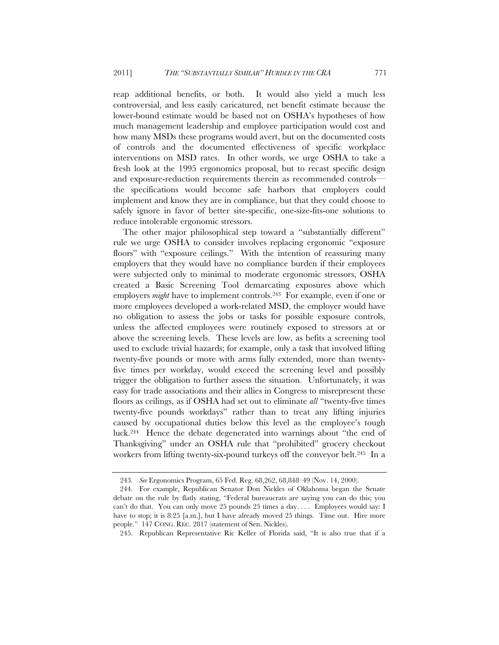reap additional benefits, or both. It would also yield a much less controversial, and less easily caricatured, net benefit estimate because the lower-bound estimate would be based not on OSHA's hypotheses of how much management leadership and employee participation would cost and how many MSDs these programs would avert, but on the documented costs of controls and the documented effectiveness of specific workplace interventions on MSD rates. In other words, we urge OSHA to take a fresh look at the 1995 ergonomics proposal, but to recast specific design and exposure-reduction requirements therein as recommended controls the specifications would become safe harbors that employers could implement and know they are in compliance, but that they could choose to safely ignore in favor of better site-specific, one-size-fits-one solutions to reduce intolerable ergonomic stressors.

The other major philosophical step toward a "substantially different" rule we urge OSHA to consider involves replacing ergonomic "exposure floors" with "exposure ceilings." With the intention of reassuring many employers that they would have no compliance burden if their employees were subjected only to minimal to moderate ergonomic stressors, OSHA created a Basic Screening Tool demarcating exposures above which employers *might* have to implement controls.<sup>243</sup> For example, even if one or more employees developed a work-related MSD, the employer would have no obligation to assess the jobs or tasks for possible exposure controls, unless the affected employees were routinely exposed to stressors at or above the screening levels. These levels are low, as befits a screening tool used to exclude trivial hazards; for example, only a task that involved lifting twenty-five pounds or more with arms fully extended, more than twentyfive times per workday, would exceed the screening level and possibly trigger the obligation to further assess the situation. Unfortunately, it was easy for trade associations and their allies in Congress to misrepresent these floors as ceilings, as if OSHA had set out to eliminate *all* "twenty-five times twenty-five pounds workdays" rather than to treat any lifting injuries caused by occupational duties below this level as the employee's tough luck.244 Hence the debate degenerated into warnings about "the end of Thanksgiving" under an OSHA rule that "prohibited" grocery checkout workers from lifting twenty-six-pound turkeys off the conveyor belt.<sup>245</sup> In a

<sup>243</sup>*. See* Ergonomics Program, 65 Fed. Reg. 68,262, 68,848–49 (Nov. 14, 2000).

 <sup>244.</sup> For example, Republican Senator Don Nickles of Oklahoma began the Senate debate on the rule by flatly stating, "Federal bureaucrats are saying you can do this; you can't do that. You can only move 25 pounds 25 times a day. . . . Employees would say: I have to stop; it is 8:25 [a.m.], but I have already moved 25 things. Time out. Hire more people." 147 CONG. REC. 2817 (statement of Sen. Nickles).

 <sup>245.</sup> Republican Representative Ric Keller of Florida said, "It is also true that if a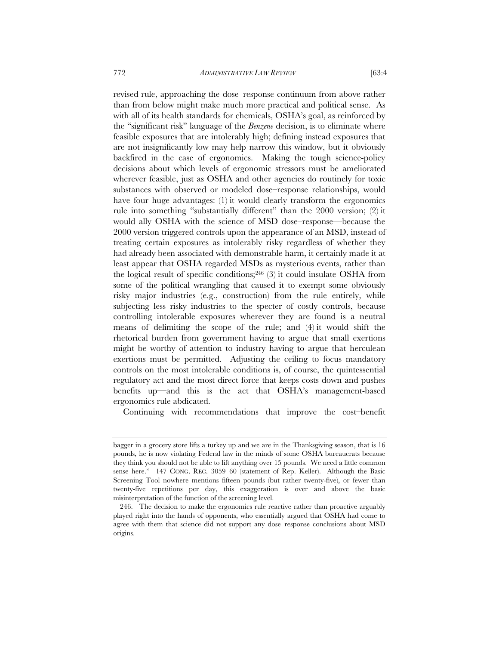revised rule, approaching the dose–response continuum from above rather than from below might make much more practical and political sense. As with all of its health standards for chemicals, OSHA's goal, as reinforced by the "significant risk" language of the *Benzene* decision, is to eliminate where feasible exposures that are intolerably high; defining instead exposures that are not insignificantly low may help narrow this window, but it obviously backfired in the case of ergonomics. Making the tough science-policy decisions about which levels of ergonomic stressors must be ameliorated wherever feasible, just as OSHA and other agencies do routinely for toxic substances with observed or modeled dose–response relationships, would have four huge advantages: (1) it would clearly transform the ergonomics rule into something "substantially different" than the 2000 version; (2) it would ally OSHA with the science of MSD dose–response—because the 2000 version triggered controls upon the appearance of an MSD, instead of treating certain exposures as intolerably risky regardless of whether they had already been associated with demonstrable harm, it certainly made it at least appear that OSHA regarded MSDs as mysterious events, rather than the logical result of specific conditions;<sup>246</sup> $(3)$  it could insulate OSHA from some of the political wrangling that caused it to exempt some obviously risky major industries (e.g., construction) from the rule entirely, while subjecting less risky industries to the specter of costly controls, because controlling intolerable exposures wherever they are found is a neutral means of delimiting the scope of the rule; and (4) it would shift the rhetorical burden from government having to argue that small exertions might be worthy of attention to industry having to argue that herculean exertions must be permitted. Adjusting the ceiling to focus mandatory controls on the most intolerable conditions is, of course, the quintessential regulatory act and the most direct force that keeps costs down and pushes benefits up—and this is the act that OSHA's management-based ergonomics rule abdicated.

Continuing with recommendations that improve the cost–benefit

bagger in a grocery store lifts a turkey up and we are in the Thanksgiving season, that is 16 pounds, he is now violating Federal law in the minds of some OSHA bureaucrats because they think you should not be able to lift anything over 15 pounds. We need a little common sense here." 147 CONG. REC. 3059–60 (statement of Rep. Keller). Although the Basic Screening Tool nowhere mentions fifteen pounds (but rather twenty-five), or fewer than twenty-five repetitions per day, this exaggeration is over and above the basic misinterpretation of the function of the screening level.

 <sup>246.</sup> The decision to make the ergonomics rule reactive rather than proactive arguably played right into the hands of opponents, who essentially argued that OSHA had come to agree with them that science did not support any dose–response conclusions about MSD origins.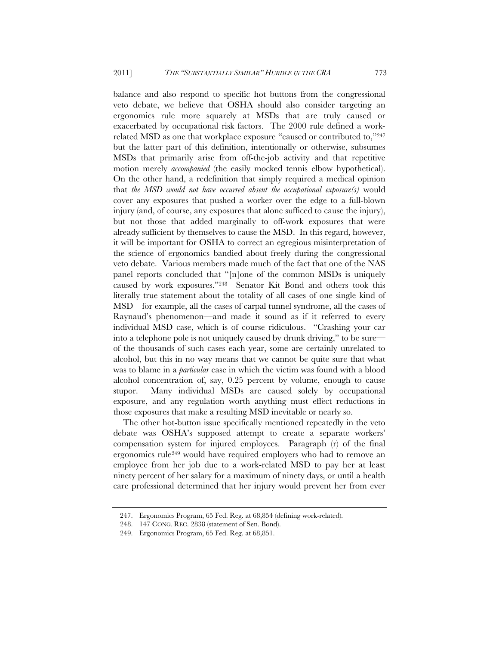balance and also respond to specific hot buttons from the congressional veto debate, we believe that OSHA should also consider targeting an ergonomics rule more squarely at MSDs that are truly caused or exacerbated by occupational risk factors. The 2000 rule defined a workrelated MSD as one that workplace exposure "caused or contributed to,"247 but the latter part of this definition, intentionally or otherwise, subsumes MSDs that primarily arise from off-the-job activity and that repetitive motion merely *accompanied* (the easily mocked tennis elbow hypothetical). On the other hand, a redefinition that simply required a medical opinion that *the MSD would not have occurred absent the occupational exposure(s)* would cover any exposures that pushed a worker over the edge to a full-blown injury (and, of course, any exposures that alone sufficed to cause the injury), but not those that added marginally to off-work exposures that were already sufficient by themselves to cause the MSD. In this regard, however, it will be important for OSHA to correct an egregious misinterpretation of the science of ergonomics bandied about freely during the congressional veto debate. Various members made much of the fact that one of the NAS panel reports concluded that "[n]one of the common MSDs is uniquely caused by work exposures."248 Senator Kit Bond and others took this literally true statement about the totality of all cases of one single kind of MSD—for example, all the cases of carpal tunnel syndrome, all the cases of Raynaud's phenomenon—and made it sound as if it referred to every individual MSD case, which is of course ridiculous. "Crashing your car into a telephone pole is not uniquely caused by drunk driving," to be sure of the thousands of such cases each year, some are certainly unrelated to alcohol, but this in no way means that we cannot be quite sure that what was to blame in a *particular* case in which the victim was found with a blood alcohol concentration of, say, 0.25 percent by volume, enough to cause stupor. Many individual MSDs are caused solely by occupational exposure, and any regulation worth anything must effect reductions in those exposures that make a resulting MSD inevitable or nearly so.

The other hot-button issue specifically mentioned repeatedly in the veto debate was OSHA's supposed attempt to create a separate workers' compensation system for injured employees. Paragraph (r) of the final ergonomics rule249 would have required employers who had to remove an employee from her job due to a work-related MSD to pay her at least ninety percent of her salary for a maximum of ninety days, or until a health care professional determined that her injury would prevent her from ever

<sup>247.</sup> Ergonomics Program, 65 Fed. Reg. at 68,854 (defining work-related).

 <sup>248. 147</sup> CONG. REC. 2838 (statement of Sen. Bond).

<sup>249.</sup> Ergonomics Program, 65 Fed. Reg. at 68,851.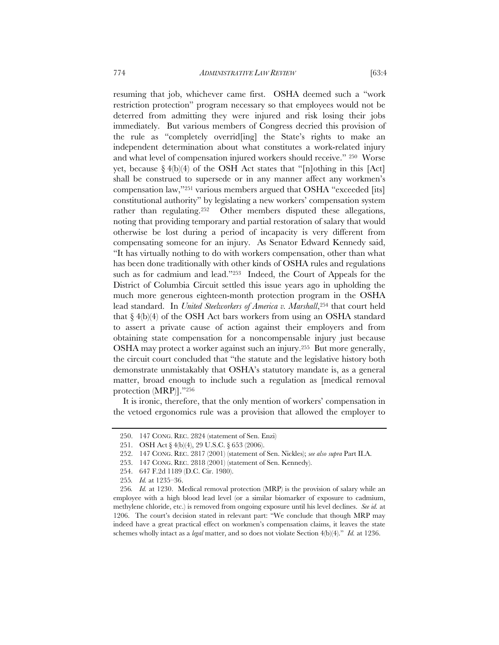resuming that job, whichever came first. OSHA deemed such a "work restriction protection" program necessary so that employees would not be deterred from admitting they were injured and risk losing their jobs immediately. But various members of Congress decried this provision of the rule as "completely overrid[ing] the State's rights to make an independent determination about what constitutes a work-related injury and what level of compensation injured workers should receive." 250 Worse yet, because  $\S 4(b)(4)$  of the OSH Act states that "[n]othing in this [Act] shall be construed to supersede or in any manner affect any workmen's compensation law,"251 various members argued that OSHA "exceeded [its] constitutional authority" by legislating a new workers' compensation system rather than regulating.<sup>252</sup> Other members disputed these allegations, noting that providing temporary and partial restoration of salary that would otherwise be lost during a period of incapacity is very different from compensating someone for an injury. As Senator Edward Kennedy said, "It has virtually nothing to do with workers compensation, other than what has been done traditionally with other kinds of OSHA rules and regulations such as for cadmium and lead."253 Indeed, the Court of Appeals for the District of Columbia Circuit settled this issue years ago in upholding the much more generous eighteen-month protection program in the OSHA lead standard. In *United Steelworkers of America v. Marshall*,<sup>254</sup> that court held that  $\S 4(b)(4)$  of the OSH Act bars workers from using an OSHA standard to assert a private cause of action against their employers and from obtaining state compensation for a noncompensable injury just because OSHA may protect a worker against such an injury.255 But more generally, the circuit court concluded that "the statute and the legislative history both demonstrate unmistakably that OSHA's statutory mandate is, as a general matter, broad enough to include such a regulation as [medical removal protection (MRP)]."256

It is ironic, therefore, that the only mention of workers' compensation in the vetoed ergonomics rule was a provision that allowed the employer to

 <sup>250. 147</sup> CONG. REC. 2824 (statement of Sen. Enzi)

<sup>251.</sup> OSH Act § 4(b)(4), 29 U.S.C. § 653 (2006).

 <sup>252. 147</sup> CONG. REC. 2817 (2001) (statement of Sen. Nickles); *see also supra* Part II.A.

 <sup>253. 147</sup> CONG. REC. 2818 (2001) (statement of Sen. Kennedy).

<sup>254. 647</sup> F.2d 1189 (D.C. Cir. 1980).

<sup>255</sup>*. Id.* at 1235–36.

<sup>256</sup>*. Id.* at 1230. Medical removal protection (MRP) is the provision of salary while an employee with a high blood lead level (or a similar biomarker of exposure to cadmium, methylene chloride, etc.) is removed from ongoing exposure until his level declines. *See id.* at 1206. The court's decision stated in relevant part: "We conclude that though MRP may indeed have a great practical effect on workmen's compensation claims, it leaves the state schemes wholly intact as a *legal* matter, and so does not violate Section 4(b)(4)." *Id.* at 1236.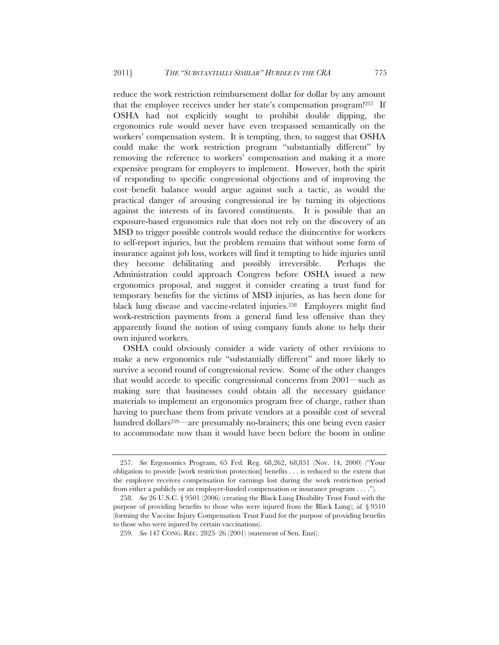reduce the work restriction reimbursement dollar for dollar by any amount that the employee receives under her state's compensation program!257 If OSHA had not explicitly sought to prohibit double dipping, the ergonomics rule would never have even trespassed semantically on the workers' compensation system. It is tempting, then, to suggest that OSHA could make the work restriction program "substantially different" by removing the reference to workers' compensation and making it a more expensive program for employers to implement. However, both the spirit of responding to specific congressional objections and of improving the cost–benefit balance would argue against such a tactic, as would the practical danger of arousing congressional ire by turning its objections against the interests of its favored constituents. It is possible that an exposure-based ergonomics rule that does not rely on the discovery of an MSD to trigger possible controls would reduce the disincentive for workers to self-report injuries, but the problem remains that without some form of insurance against job loss, workers will find it tempting to hide injuries until they become debilitating and possibly irreversible. Perhaps the Administration could approach Congress before OSHA issued a new ergonomics proposal, and suggest it consider creating a trust fund for temporary benefits for the victims of MSD injuries, as has been done for black lung disease and vaccine-related injuries.258 Employers might find work-restriction payments from a general fund less offensive than they apparently found the notion of using company funds alone to help their own injured workers.

OSHA could obviously consider a wide variety of other revisions to make a new ergonomics rule "substantially different" and more likely to survive a second round of congressional review. Some of the other changes that would accede to specific congressional concerns from 2001—such as making sure that businesses could obtain all the necessary guidance materials to implement an ergonomics program free of charge, rather than having to purchase them from private vendors at a possible cost of several hundred dollars<sup>259—</sup>are presumably no-brainers; this one being even easier to accommodate now than it would have been before the boom in online

<sup>257</sup>*. See* Ergonomics Program, 65 Fed. Reg. 68,262, 68,851 (Nov. 14, 2000) ("Your obligation to provide [work restriction protection] benefits . . . is reduced to the extent that the employee receives compensation for earnings lost during the work restriction period from either a publicly or an employer-funded compensation or insurance program . . . .").

<sup>258</sup>*. See* 26 U.S.C. § 9501 (2006) (creating the Black Lung Disability Trust Fund with the purpose of providing benefits to those who were injured from the Black Lung); *id.* § 9510 (forming the Vaccine Injury Compensation Trust Fund for the purpose of providing benefits to those who were injured by certain vaccinations).

<sup>259</sup>*. See* 147 CONG. REC. 2825–26 (2001) (statement of Sen. Enzi).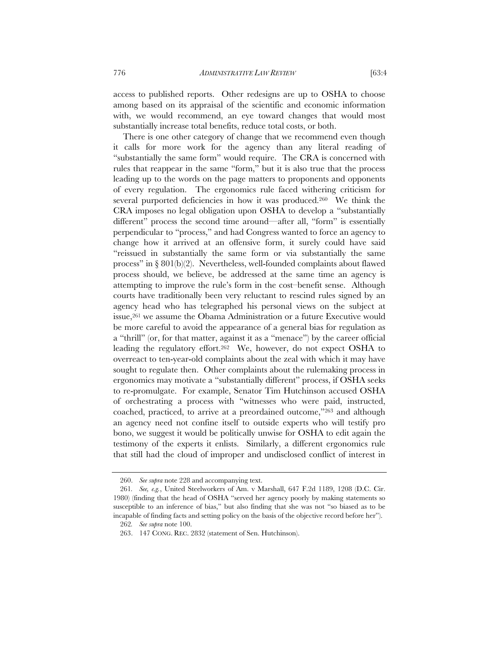access to published reports. Other redesigns are up to OSHA to choose among based on its appraisal of the scientific and economic information with, we would recommend, an eye toward changes that would most substantially increase total benefits, reduce total costs, or both.

There is one other category of change that we recommend even though it calls for more work for the agency than any literal reading of "substantially the same form" would require. The CRA is concerned with rules that reappear in the same "form," but it is also true that the process leading up to the words on the page matters to proponents and opponents of every regulation. The ergonomics rule faced withering criticism for several purported deficiencies in how it was produced.<sup>260</sup> We think the CRA imposes no legal obligation upon OSHA to develop a "substantially different" process the second time around—after all, "form" is essentially perpendicular to "process," and had Congress wanted to force an agency to change how it arrived at an offensive form, it surely could have said "reissued in substantially the same form or via substantially the same process" in § 801(b)(2). Nevertheless, well-founded complaints about flawed process should, we believe, be addressed at the same time an agency is attempting to improve the rule's form in the cost–benefit sense. Although courts have traditionally been very reluctant to rescind rules signed by an agency head who has telegraphed his personal views on the subject at issue,<sup>261</sup> we assume the Obama Administration or a future Executive would be more careful to avoid the appearance of a general bias for regulation as a "thrill" (or, for that matter, against it as a "menace") by the career official leading the regulatory effort.<sup>262</sup> We, however, do not expect OSHA to overreact to ten-year-old complaints about the zeal with which it may have sought to regulate then. Other complaints about the rulemaking process in ergonomics may motivate a "substantially different" process, if OSHA seeks to re-promulgate. For example, Senator Tim Hutchinson accused OSHA of orchestrating a process with "witnesses who were paid, instructed, coached, practiced, to arrive at a preordained outcome,"263 and although an agency need not confine itself to outside experts who will testify pro bono, we suggest it would be politically unwise for OSHA to edit again the testimony of the experts it enlists. Similarly, a different ergonomics rule that still had the cloud of improper and undisclosed conflict of interest in

 <sup>260.</sup> *See supra* note 228 and accompanying text.

<sup>261</sup>*. See, e.g.*, United Steelworkers of Am. v Marshall, 647 F.2d 1189, 1208 (D.C. Cir. 1980) (finding that the head of OSHA "served her agency poorly by making statements so susceptible to an inference of bias," but also finding that she was not "so biased as to be incapable of finding facts and setting policy on the basis of the objective record before her").

<sup>262</sup>*. See supra* note 100.

 <sup>263. 147</sup> CONG. REC. 2832 (statement of Sen. Hutchinson).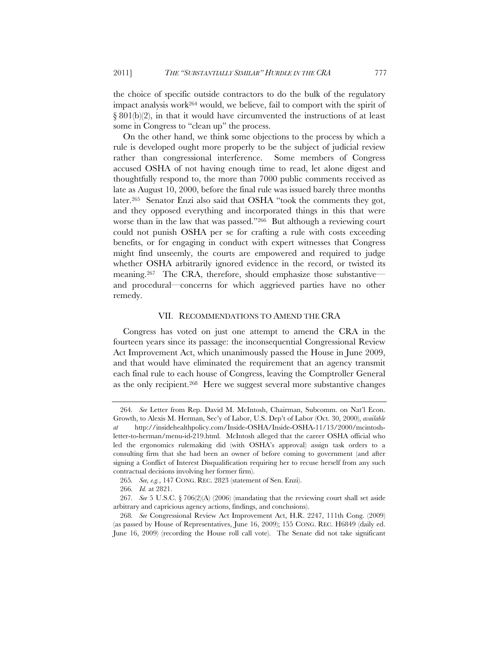the choice of specific outside contractors to do the bulk of the regulatory impact analysis work264 would, we believe, fail to comport with the spirit of  $\S 801(b)(2)$ , in that it would have circumvented the instructions of at least some in Congress to "clean up" the process.

On the other hand, we think some objections to the process by which a rule is developed ought more properly to be the subject of judicial review rather than congressional interference. Some members of Congress accused OSHA of not having enough time to read, let alone digest and thoughtfully respond to, the more than 7000 public comments received as late as August 10, 2000, before the final rule was issued barely three months later.265 Senator Enzi also said that OSHA "took the comments they got, and they opposed everything and incorporated things in this that were worse than in the law that was passed."266 But although a reviewing court could not punish OSHA per se for crafting a rule with costs exceeding benefits, or for engaging in conduct with expert witnesses that Congress might find unseemly, the courts are empowered and required to judge whether OSHA arbitrarily ignored evidence in the record, or twisted its meaning.<sup>267</sup> The CRA, therefore, should emphasize those substantiveand procedural—concerns for which aggrieved parties have no other remedy.

### VII. RECOMMENDATIONS TO AMEND THE CRA

Congress has voted on just one attempt to amend the CRA in the fourteen years since its passage: the inconsequential Congressional Review Act Improvement Act, which unanimously passed the House in June 2009, and that would have eliminated the requirement that an agency transmit each final rule to each house of Congress, leaving the Comptroller General as the only recipient.268 Here we suggest several more substantive changes

<sup>264</sup>*. See* Letter from Rep. David M. McIntosh, Chairman, Subcomm. on Nat'l Econ. Growth, to Alexis M. Herman, Sec'y of Labor, U.S. Dep't of Labor (Oct. 30, 2000), *available at* http://insidehealthpolicy.com/Inside-OSHA/Inside-OSHA-11/13/2000/mcintoshletter-to-herman/menu-id-219.html. McIntosh alleged that the career OSHA official who led the ergonomics rulemaking did (with OSHA's approval) assign task orders to a consulting firm that she had been an owner of before coming to government (and after signing a Conflict of Interest Disqualification requiring her to recuse herself from any such contractual decisions involving her former firm).

<sup>265</sup>*. See, e.g.*, 147 CONG. REC. 2823 (statement of Sen. Enzi).

<sup>266</sup>*. Id.* at 2821.

<sup>267</sup>*. See* 5 U.S.C. § 706(2)(A) (2006) (mandating that the reviewing court shall set aside arbitrary and capricious agency actions, findings, and conclusions).

<sup>268</sup>*. See* Congressional Review Act Improvement Act, H.R. 2247, 111th Cong. (2009) (as passed by House of Representatives, June 16, 2009); 155 CONG. REC. H6849 (daily ed. June 16, 2009) (recording the House roll call vote). The Senate did not take significant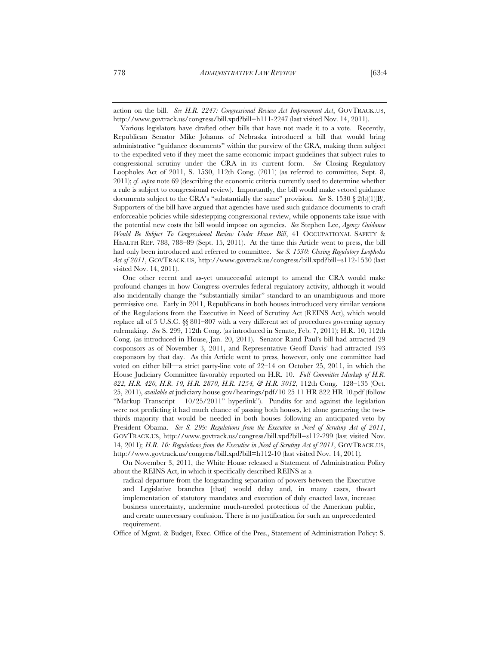action on the bill. *See H.R. 2247: Congressional Review Act Improvement Act*, GOVTRACK.US, http://www.govtrack.us/congress/bill.xpd?bill=h111-2247 (last visited Nov. 14, 2011).

 Various legislators have drafted other bills that have not made it to a vote. Recently, Republican Senator Mike Johanns of Nebraska introduced a bill that would bring administrative "guidance documents" within the purview of the CRA, making them subject to the expedited veto if they meet the same economic impact guidelines that subject rules to congressional scrutiny under the CRA in its current form. *See* Closing Regulatory Loopholes Act of 2011, S. 1530, 112th Cong. (2011) (as referred to committee, Sept. 8, 2011); *cf. supra* note 69 (describing the economic criteria currently used to determine whether a rule is subject to congressional review). Importantly, the bill would make vetoed guidance documents subject to the CRA's "substantially the same" provision. *See* S. 1530 § 2(b)(1)(B). Supporters of the bill have argued that agencies have used such guidance documents to craft enforceable policies while sidestepping congressional review, while opponents take issue with the potential new costs the bill would impose on agencies. *See* Stephen Lee, *Agency Guidance Would Be Subject To Congressional Review Under House Bill*, 41 OCCUPATIONAL SAFETY & HEALTH REP. 788, 788–89 (Sept. 15, 2011). At the time this Article went to press, the bill had only been introduced and referred to committee. *See S. 1530: Closing Regulatory Loopholes Act of 2011*, GOVTRACK.US, http://www.govtrack.us/congress/bill.xpd?bill=s112-1530 (last visited Nov. 14, 2011).

 One other recent and as-yet unsuccessful attempt to amend the CRA would make profound changes in how Congress overrules federal regulatory activity, although it would also incidentally change the "substantially similar" standard to an unambiguous and more permissive one. Early in 2011, Republicans in both houses introduced very similar versions of the Regulations from the Executive in Need of Scrutiny Act (REINS Act), which would replace all of 5 U.S.C. §§ 801–807 with a very different set of procedures governing agency rulemaking. *See* S. 299, 112th Cong. (as introduced in Senate, Feb. 7, 2011); H.R. 10, 112th Cong. (as introduced in House, Jan. 20, 2011). Senator Rand Paul's bill had attracted 29 cosponsors as of November 3, 2011, and Representative Geoff Davis' had attracted 193 cosponsors by that day. As this Article went to press, however, only one committee had voted on either bill—a strict party-line vote of 22–14 on October 25, 2011, in which the House Judiciary Committee favorably reported on H.R. 10. *Full Committee Markup of H.R. 822, H.R. 420, H.R. 10, H.R. 2870, H.R. 1254, & H.R. 3012*, 112th Cong. 128–135 (Oct. 25, 2011), *available at* judiciary.house.gov/hearings/pdf/10 25 11 HR 822 HR 10.pdf (follow "Markup Transcript –  $10/25/2011$ " hyperlink"). Pundits for and against the legislation were not predicting it had much chance of passing both houses, let alone garnering the twothirds majority that would be needed in both houses following an anticipated veto by President Obama. *See S. 299: Regulations from the Executive in Need of Scrutiny Act of 2011*, GOVTRACK.US, http://www.govtrack.us/congress/bill.xpd?bill=s112-299 (last visited Nov. 14, 2011); *H.R. 10: Regulations from the Executive in Need of Scrutiny Act of 2011*, GOVTRACK.US, http://www.govtrack.us/congress/bill.xpd?bill=h112-10 (last visited Nov. 14, 2011)*.* 

On November 3, 2011, the White House released a Statement of Administration Policy about the REINS Act, in which it specifically described REINS as a

radical departure from the longstanding separation of powers between the Executive and Legislative branches [that] would delay and, in many cases, thwart implementation of statutory mandates and execution of duly enacted laws, increase business uncertainty, undermine much-needed protections of the American public, and create unnecessary confusion. There is no justification for such an unprecedented requirement.

Office of Mgmt. & Budget, Exec. Office of the Pres., Statement of Administration Policy: S.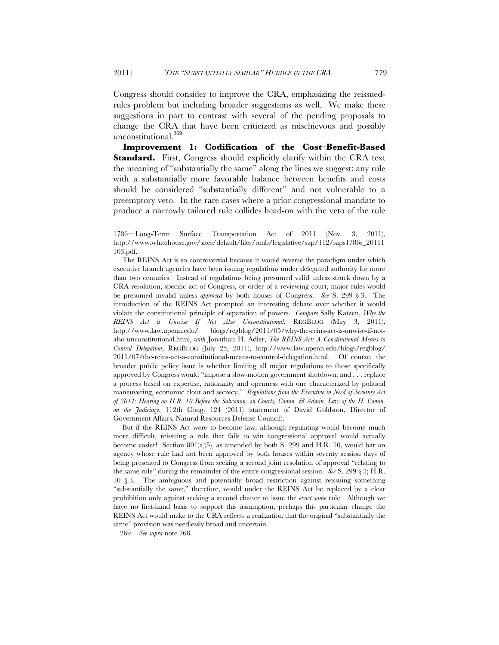Congress should consider to improve the CRA, emphasizing the reissuedrules problem but including broader suggestions as well. We make these suggestions in part to contrast with several of the pending proposals to change the CRA that have been criticized as mischievous and possibly unconstitutional.<sup>269</sup>

**Improvement 1: Codification of the Cost–Benefit-Based**  Standard. First, Congress should explicitly clarify within the CRA text the meaning of "substantially the same" along the lines we suggest: any rule with a substantially more favorable balance between benefits and costs should be considered "substantially different" and not vulnerable to a preemptory veto. In the rare cases where a prior congressional mandate to produce a narrowly tailored rule collides head-on with the veto of the rule

 But if the REINS Act were to become law, although regulating would become much more difficult, reissuing a rule that fails to win congressional approval would actually become easier! Section  $801(a)(5)$ , as amended by both S. 299 and H.R. 10, would bar an agency whose rule had not been approved by both houses within seventy session days of being presented to Congress from seeking a second joint resolution of approval "relating to the same rule" during the remainder of the entire congressional session. *See* S. 299 § 3; H.R. 10 § 3. The ambiguous and potentially broad restriction against reissuing something "substantially the same," therefore, would under the REINS Act be replaced by a clear prohibition only against seeking a second chance to issue the *exact same* rule. Although we have no first-hand basis to support this assumption, perhaps this particular change the REINS Act would make to the CRA reflects a realization that the original "substantially the same" provision was needlessly broad and uncertain.

269. *See supra* note 268.

<sup>1786—</sup>Long-Term Surface Transportation Act of 2011 (Nov. 3, 2011), http://www.whitehouse.gov/sites/default/files/omb/legislative/sap/112/saps1786s\_20111 103.pdf.

The REINS Act is so controversial because it would reverse the paradigm under which executive branch agencies have been issuing regulations under delegated authority for more than two centuries. Instead of regulations being presumed valid unless struck down by a CRA resolution, specific act of Congress, or order of a reviewing court, major rules would be presumed invalid unless *approved* by both houses of Congress. *See* S. 299 § 3. The introduction of the REINS Act prompted an interesting debate over whether it would violate the constitutional principle of separation of powers. *Compare* Sally Katzen, *Why the REINS Act is Unwise If Not Also Unconstitutional*, REGBLOG (May 3, 2011), http://www.law.upenn.edu/ blogs/regblog/2011/05/why-the-reins-act-is-unwise-if-notalso-unconstitutional.html, *with* Jonathan H. Adler, *The REINS Act: A Constitutional Means to Control Delegation*, REGBLOG (July 25, 2011), http://www.law.upenn.edu/blogs/regblog/ 2011/07/the-reins-act-a-constitutional-means-to-control-delegation.html. Of course, the broader public policy issue is whether limiting all major regulations to those specifically approved by Congress would "impose a slow-motion government shutdown, and . . . replace a process based on expertise, rationality and openness with one characterized by political maneuvering, economic clout and secrecy." *Regulations from the Executive in Need of Scrutiny Act of 2011: Hearing on H.R. 10 Before the Subcomm. on Courts, Comm. & Admin. Law of the H. Comm. on the Judiciary*, 112th Cong. 124 (2011) (statement of David Goldston, Director of Government Affairs, Natural Resources Defense Council).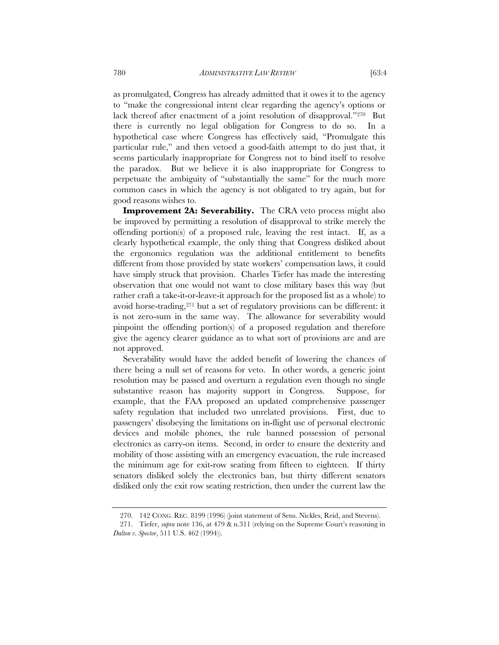as promulgated, Congress has already admitted that it owes it to the agency to "make the congressional intent clear regarding the agency's options or lack thereof after enactment of a joint resolution of disapproval."270 But there is currently no legal obligation for Congress to do so. In a hypothetical case where Congress has effectively said, "Promulgate this particular rule," and then vetoed a good-faith attempt to do just that, it seems particularly inappropriate for Congress not to bind itself to resolve the paradox. But we believe it is also inappropriate for Congress to perpetuate the ambiguity of "substantially the same" for the much more common cases in which the agency is not obligated to try again, but for good reasons wishes to.

**Improvement 2A: Severability.** The CRA veto process might also be improved by permitting a resolution of disapproval to strike merely the offending portion(s) of a proposed rule, leaving the rest intact. If, as a clearly hypothetical example, the only thing that Congress disliked about the ergonomics regulation was the additional entitlement to benefits different from those provided by state workers' compensation laws, it could have simply struck that provision. Charles Tiefer has made the interesting observation that one would not want to close military bases this way (but rather craft a take-it-or-leave-it approach for the proposed list as a whole) to avoid horse-trading,271 but a set of regulatory provisions can be different: it is not zero-sum in the same way. The allowance for severability would pinpoint the offending portion(s) of a proposed regulation and therefore give the agency clearer guidance as to what sort of provisions are and are not approved.

Severability would have the added benefit of lowering the chances of there being a null set of reasons for veto. In other words, a generic joint resolution may be passed and overturn a regulation even though no single substantive reason has majority support in Congress. Suppose, for example, that the FAA proposed an updated comprehensive passenger safety regulation that included two unrelated provisions. First, due to passengers' disobeying the limitations on in-flight use of personal electronic devices and mobile phones, the rule banned possession of personal electronics as carry-on items. Second, in order to ensure the dexterity and mobility of those assisting with an emergency evacuation, the rule increased the minimum age for exit-row seating from fifteen to eighteen. If thirty senators disliked solely the electronics ban, but thirty different senators disliked only the exit row seating restriction, then under the current law the

 <sup>270. 142</sup> CONG. REC. 8199 (1996) (joint statement of Sens. Nickles, Reid, and Stevens).

 <sup>271.</sup> Tiefer, *supra* note 136, at 479 & n.311 (relying on the Supreme Court's reasoning in *Dalton v. Spector*, 511 U.S. 462 (1994)).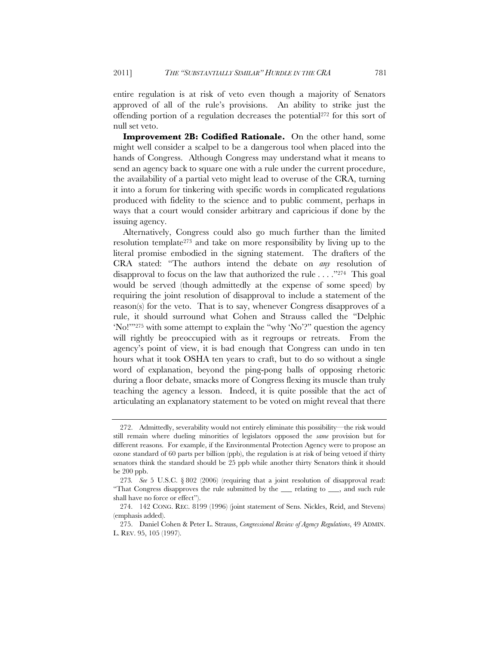entire regulation is at risk of veto even though a majority of Senators approved of all of the rule's provisions. An ability to strike just the offending portion of a regulation decreases the potential272 for this sort of null set veto.

**Improvement 2B: Codified Rationale.** On the other hand, some might well consider a scalpel to be a dangerous tool when placed into the hands of Congress. Although Congress may understand what it means to send an agency back to square one with a rule under the current procedure, the availability of a partial veto might lead to overuse of the CRA, turning it into a forum for tinkering with specific words in complicated regulations produced with fidelity to the science and to public comment, perhaps in ways that a court would consider arbitrary and capricious if done by the issuing agency.

Alternatively, Congress could also go much further than the limited resolution template273 and take on more responsibility by living up to the literal promise embodied in the signing statement. The drafters of the CRA stated: "The authors intend the debate on *any* resolution of disapproval to focus on the law that authorized the rule . . . ."274 This goal would be served (though admittedly at the expense of some speed) by requiring the joint resolution of disapproval to include a statement of the reason(s) for the veto. That is to say, whenever Congress disapproves of a rule, it should surround what Cohen and Strauss called the "Delphic 'No!'"275 with some attempt to explain the "why 'No'?" question the agency will rightly be preoccupied with as it regroups or retreats. From the agency's point of view, it is bad enough that Congress can undo in ten hours what it took OSHA ten years to craft, but to do so without a single word of explanation, beyond the ping-pong balls of opposing rhetoric during a floor debate, smacks more of Congress flexing its muscle than truly teaching the agency a lesson. Indeed, it is quite possible that the act of articulating an explanatory statement to be voted on might reveal that there

 <sup>272.</sup> Admittedly, severability would not entirely eliminate this possibility—the risk would still remain where dueling minorities of legislators opposed the *same* provision but for different reasons. For example, if the Environmental Protection Agency were to propose an ozone standard of 60 parts per billion (ppb), the regulation is at risk of being vetoed if thirty senators think the standard should be 25 ppb while another thirty Senators think it should be 200 ppb.

<sup>273</sup>*. See* 5 U.S.C. § 802 (2006) (requiring that a joint resolution of disapproval read: "That Congress disapproves the rule submitted by the \_\_\_ relating to \_\_\_, and such rule shall have no force or effect").

 <sup>274. 142</sup> CONG. REC. 8199 (1996) (joint statement of Sens. Nickles, Reid, and Stevens) (emphasis added).

 <sup>275.</sup> Daniel Cohen & Peter L. Strauss, *Congressional Review of Agency Regulations*, 49 ADMIN. L. REV. 95, 105 (1997).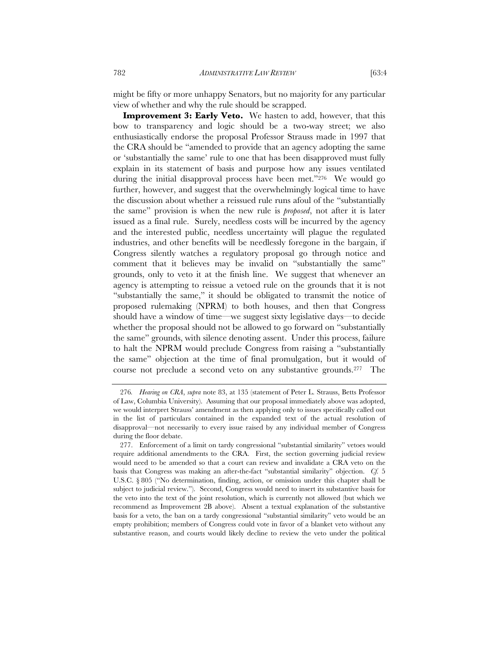might be fifty or more unhappy Senators, but no majority for any particular view of whether and why the rule should be scrapped.

**Improvement 3: Early Veto.** We hasten to add, however, that this bow to transparency and logic should be a two-way street; we also enthusiastically endorse the proposal Professor Strauss made in 1997 that the CRA should be "amended to provide that an agency adopting the same or 'substantially the same' rule to one that has been disapproved must fully explain in its statement of basis and purpose how any issues ventilated during the initial disapproval process have been met."276 We would go further, however, and suggest that the overwhelmingly logical time to have the discussion about whether a reissued rule runs afoul of the "substantially the same" provision is when the new rule is *proposed*, not after it is later issued as a final rule. Surely, needless costs will be incurred by the agency and the interested public, needless uncertainty will plague the regulated industries, and other benefits will be needlessly foregone in the bargain, if Congress silently watches a regulatory proposal go through notice and comment that it believes may be invalid on "substantially the same" grounds, only to veto it at the finish line. We suggest that whenever an agency is attempting to reissue a vetoed rule on the grounds that it is not "substantially the same," it should be obligated to transmit the notice of proposed rulemaking (NPRM) to both houses, and then that Congress should have a window of time—we suggest sixty legislative days—to decide whether the proposal should not be allowed to go forward on "substantially the same" grounds, with silence denoting assent. Under this process, failure to halt the NPRM would preclude Congress from raising a "substantially the same" objection at the time of final promulgation, but it would of course not preclude a second veto on any substantive grounds.277 The

<sup>276</sup>*. Hearing on CRA*, *supra* note 83, at 135 (statement of Peter L. Strauss, Betts Professor of Law, Columbia University). Assuming that our proposal immediately above was adopted, we would interpret Strauss' amendment as then applying only to issues specifically called out in the list of particulars contained in the expanded text of the actual resolution of disapproval—not necessarily to every issue raised by any individual member of Congress during the floor debate.

 <sup>277.</sup> Enforcement of a limit on tardy congressional "substantial similarity" vetoes would require additional amendments to the CRA. First, the section governing judicial review would need to be amended so that a court can review and invalidate a CRA veto on the basis that Congress was making an after-the-fact "substantial similarity" objection. *Cf.* 5 U.S.C. § 805 ("No determination, finding, action, or omission under this chapter shall be subject to judicial review."). Second, Congress would need to insert its substantive basis for the veto into the text of the joint resolution, which is currently not allowed (but which we recommend as Improvement 2B above). Absent a textual explanation of the substantive basis for a veto, the ban on a tardy congressional "substantial similarity" veto would be an empty prohibition; members of Congress could vote in favor of a blanket veto without any substantive reason, and courts would likely decline to review the veto under the political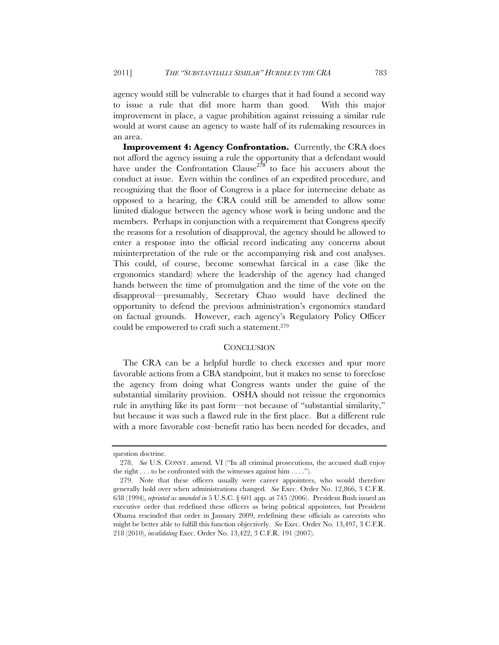agency would still be vulnerable to charges that it had found a second way to issue a rule that did more harm than good. With this major improvement in place, a vague prohibition against reissuing a similar rule would at worst cause an agency to waste half of its rulemaking resources in an area.

**Improvement 4: Agency Confrontation.** Currently, the CRA does not afford the agency issuing a rule the opportunity that a defendant would have under the Confrontation Clause<sup> $278$ </sup> to face his accusers about the conduct at issue. Even within the confines of an expedited procedure, and recognizing that the floor of Congress is a place for internecine debate as opposed to a hearing, the CRA could still be amended to allow some limited dialogue between the agency whose work is being undone and the members. Perhaps in conjunction with a requirement that Congress specify the reasons for a resolution of disapproval, the agency should be allowed to enter a response into the official record indicating any concerns about misinterpretation of the rule or the accompanying risk and cost analyses. This could, of course, become somewhat farcical in a case (like the ergonomics standard) where the leadership of the agency had changed hands between the time of promulgation and the time of the vote on the disapproval—presumably, Secretary Chao would have declined the opportunity to defend the previous administration's ergonomics standard on factual grounds. However, each agency's Regulatory Policy Officer could be empowered to craft such a statement.279

## **CONCLUSION**

The CRA can be a helpful hurdle to check excesses and spur more favorable actions from a CBA standpoint, but it makes no sense to foreclose the agency from doing what Congress wants under the guise of the substantial similarity provision. OSHA should not reissue the ergonomics rule in anything like its past form—not because of "substantial similarity," but because it was such a flawed rule in the first place. But a different rule with a more favorable cost–benefit ratio has been needed for decades, and

question doctrine.

 <sup>278.</sup> *See* U.S. CONST. amend. VI ("In all criminal prosecutions, the accused shall enjoy the right . . . to be confronted with the witnesses against him . . . .").

 <sup>279.</sup> Note that these officers usually were career appointees, who would therefore generally hold over when administrations changed. *See* Exec. Order No. 12,866, 3 C.F.R. 638 (1994), *reprinted as amended in* 5 U.S.C. § 601 app. at 745 (2006). President Bush issued an executive order that redefined these officers as being political appointees, but President Obama rescinded that order in January 2009, redefining these officials as careerists who might be better able to fulfill this function objectively. *See* Exec. Order No. 13,497, 3 C.F.R. 218 (2010), *invalidating* Exec. Order No. 13,422, 3 C.F.R. 191 (2007).